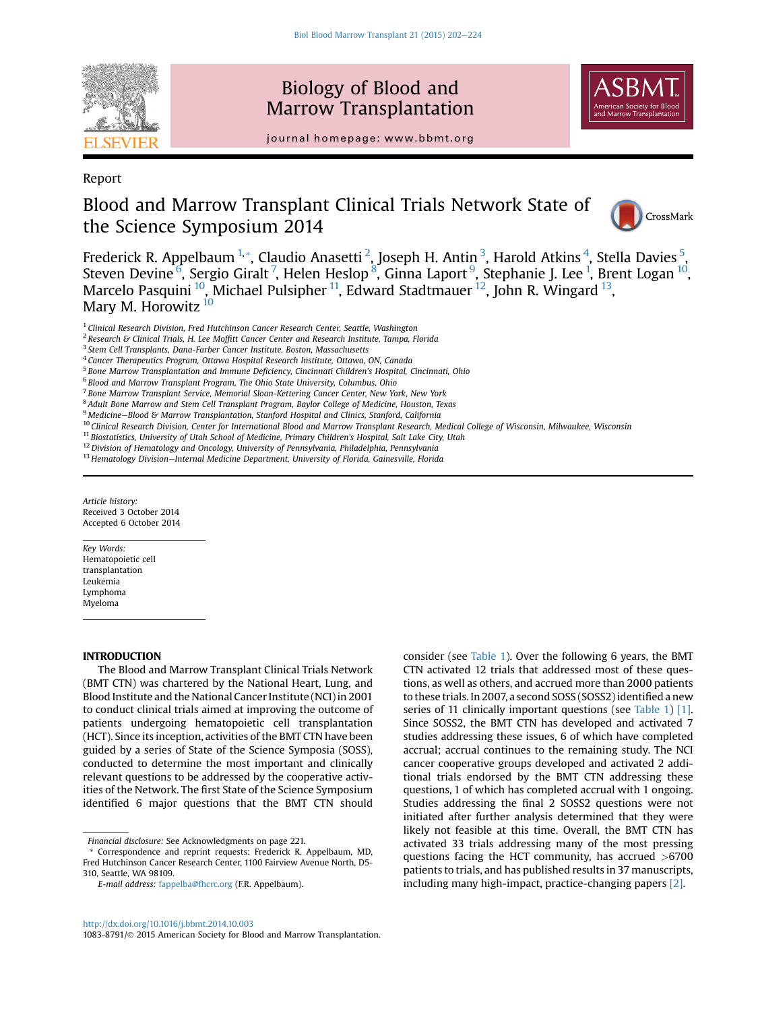

# Biology of Blood and Marrow Transplantation



Report

# Blood and Marrow Transplant Clinical Trials Network State of the Science Symposium 2014



Frederick R. Appelbaum  $^{1,\ast}$ , Claudio Anasetti  $^2$ , Joseph H. Antin  $^3$ , Harold Atkins  $^4$ , Stella Davies  $^5$ , Steven Devine <sup>6</sup>, Sergio Giralt <sup>7</sup>, Helen Heslop <sup>8</sup>, Ginna Laport <sup>9</sup>, Stephanie J. Lee <sup>1</sup>, Brent Logan <sup>10</sup>, Marcelo Pasquini <sup>10</sup>, Michael Pulsipher <sup>11</sup>, Edward Stadtmauer <sup>12</sup>, John R. Wingard <sup>13</sup>, Mary M. Horowitz<sup>10</sup>

 $1$  Clinical Research Division, Fred Hutchinson Cancer Research Center, Seattle, Washington

 $^2$  Research & Clinical Trials, H. Lee Moffitt Cancer Center and Research Institute, Tampa, Florida

<sup>3</sup> Stem Cell Transplants, Dana-Farber Cancer Institute, Boston, Massachusetts

<sup>4</sup> Cancer Therapeutics Program, Ottawa Hospital Research Institute, Ottawa, ON, Canada

 $^5$ Bone Marrow Transplantation and Immune Deficiency, Cincinnati Children's Hospital, Cincinnati, Ohio

<sup>6</sup> Blood and Marrow Transplant Program, The Ohio State University, Columbus, Ohio

<sup>7</sup> Bone Marrow Transplant Service, Memorial Sloan-Kettering Cancer Center, New York, New York

<sup>8</sup> Adult Bone Marrow and Stem Cell Transplant Program, Baylor College of Medicine, Houston, Texas

 $9$  Medicine-Blood & Marrow Transplantation, Stanford Hospital and Clinics, Stanford, California

<sup>10</sup> Clinical Research Division, Center for International Blood and Marrow Transplant Research, Medical College of Wisconsin, Milwaukee, Wisconsin

<sup>11</sup> Biostatistics, University of Utah School of Medicine, Primary Children's Hospital, Salt Lake City, Utah

<sup>12</sup> Division of Hematology and Oncology, University of Pennsylvania, Philadelphia, Pennsylvania

 $13$  Hematology Division-Internal Medicine Department, University of Florida, Gainesville, Florida

Article history: Received 3 October 2014 Accepted 6 October 2014

Key Words: Hematopoietic cell transplantation Leukemia Lymphoma Myeloma

The Blood and Marrow Transplant Clinical Trials Network (BMT CTN) was chartered by the National Heart, Lung, and Blood Institute and the National Cancer Institute (NCI) in 2001 to conduct clinical trials aimed at improving the outcome of patients undergoing hematopoietic cell transplantation (HCT). Since its inception, activities of the BMT CTN have been guided by a series of State of the Science Symposia (SOSS), conducted to determine the most important and clinically relevant questions to be addressed by the cooperative activities of the Network. The first State of the Science Symposium identified 6 major questions that the BMT CTN should

\* Correspondence and reprint requests: Frederick R. Appelbaum, MD, Fred Hutchinson Cancer Research Center, 1100 Fairview Avenue North, D5- 310, Seattle, WA 98109.

E-mail address: [fappelba@fhcrc.org](mailto:fappelba@fhcrc.org) (F.R. Appelbaum).

consider (see [Table 1\)](#page-1-0). Over the following 6 years, the BMT CTN activated 12 trials that addressed most of these questions, as well as others, and accrued more than 2000 patients to these trials. In 2007, a second SOSS (SOSS2) identified a new series of 11 clinically important questions (see [Table 1\)](#page-1-0)  $[1]$ . Since SOSS2, the BMT CTN has developed and activated 7 studies addressing these issues, 6 of which have completed accrual; accrual continues to the remaining study. The NCI cancer cooperative groups developed and activated 2 additional trials endorsed by the BMT CTN addressing these questions, 1 of which has completed accrual with 1 ongoing. Studies addressing the final 2 SOSS2 questions were not initiated after further analysis determined that they were likely not feasible at this time. Overall, the BMT CTN has activated 33 trials addressing many of the most pressing questions facing the HCT community, has accrued >6700 patients to trials, and has published results in 37 manuscripts, including many high-impact, practice-changing papers [\[2\]](#page-19-0).

Financial disclosure: See Acknowledgments on page 221.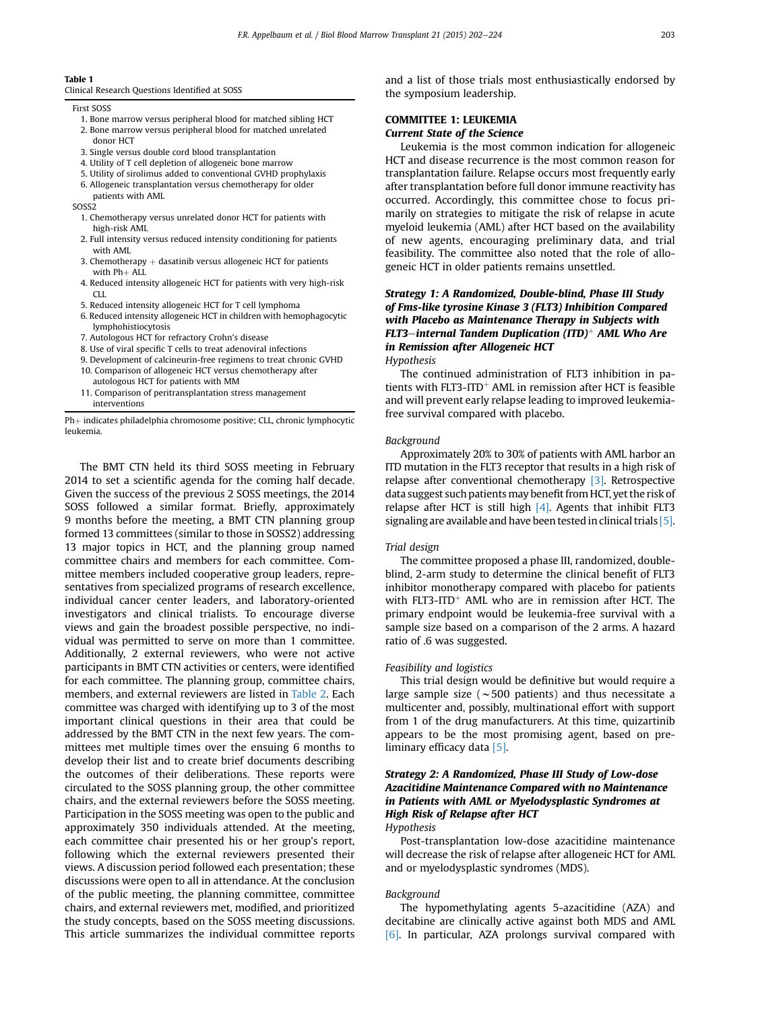#### <span id="page-1-0"></span>**Table 1**

------ -<br>Clinical Research Questions Identified at SOSS

- First SOSS
	- 1. Bone marrow versus peripheral blood for matched sibling HCT 2. Bone marrow versus peripheral blood for matched unrelated donor HCT
- 3. Single versus double cord blood transplantation
- 4. Utility of T cell depletion of allogeneic bone marrow
- 5. Utility of sirolimus added to conventional GVHD prophylaxis
- 6. Allogeneic transplantation versus chemotherapy for older
- patients with AML

SOSS2

- 1. Chemotherapy versus unrelated donor HCT for patients with high-risk AML
- 2. Full intensity versus reduced intensity conditioning for patients with AML
- 3. Chemotherapy  $+$  dasatinib versus allogeneic HCT for patients with  $Ph+ALL$
- 4. Reduced intensity allogeneic HCT for patients with very high-risk CLL
- 5. Reduced intensity allogeneic HCT for T cell lymphoma
- 6. Reduced intensity allogeneic HCT in children with hemophagocytic lymphohistiocytosis
- 7. Autologous HCT for refractory Crohn's disease
- 8. Use of viral specific T cells to treat adenoviral infections
- 9. Development of calcineurin-free regimens to treat chronic GVHD
- 10. Comparison of allogeneic HCT versus chemotherapy after autologous HCT for patients with MM
- 11. Comparison of peritransplantation stress management interventions

Ph+ indicates philadelphia chromosome positive; CLL, chronic lymphocytic leukemia.

The BMT CTN held its third SOSS meeting in February 2014 to set a scientific agenda for the coming half decade. Given the success of the previous 2 SOSS meetings, the 2014 SOSS followed a similar format. Briefly, approximately 9 months before the meeting, a BMT CTN planning group formed 13 committees (similar to those in SOSS2) addressing 13 major topics in HCT, and the planning group named committee chairs and members for each committee. Committee members included cooperative group leaders, representatives from specialized programs of research excellence, individual cancer center leaders, and laboratory-oriented investigators and clinical trialists. To encourage diverse views and gain the broadest possible perspective, no individual was permitted to serve on more than 1 committee. Additionally, 2 external reviewers, who were not active participants in BMT CTN activities or centers, were identified for each committee. The planning group, committee chairs, members, and external reviewers are listed in [Table 2.](#page-2-0) Each committee was charged with identifying up to 3 of the most important clinical questions in their area that could be addressed by the BMT CTN in the next few years. The committees met multiple times over the ensuing 6 months to develop their list and to create brief documents describing the outcomes of their deliberations. These reports were circulated to the SOSS planning group, the other committee chairs, and the external reviewers before the SOSS meeting. Participation in the SOSS meeting was open to the public and approximately 350 individuals attended. At the meeting, each committee chair presented his or her group's report, following which the external reviewers presented their views. A discussion period followed each presentation; these discussions were open to all in attendance. At the conclusion of the public meeting, the planning committee, committee chairs, and external reviewers met, modified, and prioritized the study concepts, based on the SOSS meeting discussions. This article summarizes the individual committee reports and a list of those trials most enthusiastically endorsed by the symposium leadership.

# COMMITTEE 1: LEUKEMIA Current State of the Science

Leukemia is the most common indication for allogeneic HCT and disease recurrence is the most common reason for transplantation failure. Relapse occurs most frequently early after transplantation before full donor immune reactivity has occurred. Accordingly, this committee chose to focus primarily on strategies to mitigate the risk of relapse in acute myeloid leukemia (AML) after HCT based on the availability of new agents, encouraging preliminary data, and trial feasibility. The committee also noted that the role of allogeneic HCT in older patients remains unsettled.

# Strategy 1: A Randomized, Double-blind, Phase III Study of Fms-like tyrosine Kinase 3 (FLT3) Inhibition Compared with Placebo as Maintenance Therapy in Subjects with FLT3-internal Tandem Duplication (ITD)<sup>+</sup> AML Who Are in Remission after Allogeneic HCT

Hypothesis

The continued administration of FLT3 inhibition in patients with FLT3-ITD<sup>+</sup> AML in remission after HCT is feasible and will prevent early relapse leading to improved leukemiafree survival compared with placebo.

#### Background

Approximately 20% to 30% of patients with AML harbor an ITD mutation in the FLT3 receptor that results in a high risk of relapse after conventional chemotherapy [\[3\]](#page-19-0). Retrospective data suggest such patients may benefit from HCT, yet the risk of relapse after HCT is still high  $[4]$ . Agents that inhibit FLT3 signaling are available and have been tested in clinical trials [\[5\]](#page-19-0).

#### Trial design

The committee proposed a phase III, randomized, doubleblind, 2-arm study to determine the clinical benefit of FLT3 inhibitor monotherapy compared with placebo for patients with FLT3-ITD<sup>+</sup> AML who are in remission after HCT. The primary endpoint would be leukemia-free survival with a sample size based on a comparison of the 2 arms. A hazard ratio of .6 was suggested.

#### Feasibility and logistics

This trial design would be definitive but would require a large sample size ( $\sim$  500 patients) and thus necessitate a multicenter and, possibly, multinational effort with support from 1 of the drug manufacturers. At this time, quizartinib appears to be the most promising agent, based on preliminary efficacy data [\[5\].](#page-19-0)

# Strategy 2: A Randomized, Phase III Study of Low-dose Azacitidine Maintenance Compared with no Maintenance in Patients with AML or Myelodysplastic Syndromes at High Risk of Relapse after HCT

Hypothesis

Post-transplantation low-dose azacitidine maintenance will decrease the risk of relapse after allogeneic HCT for AML and or myelodysplastic syndromes (MDS).

#### Background

The hypomethylating agents 5-azacitidine (AZA) and decitabine are clinically active against both MDS and AML [\[6\]](#page-19-0). In particular, AZA prolongs survival compared with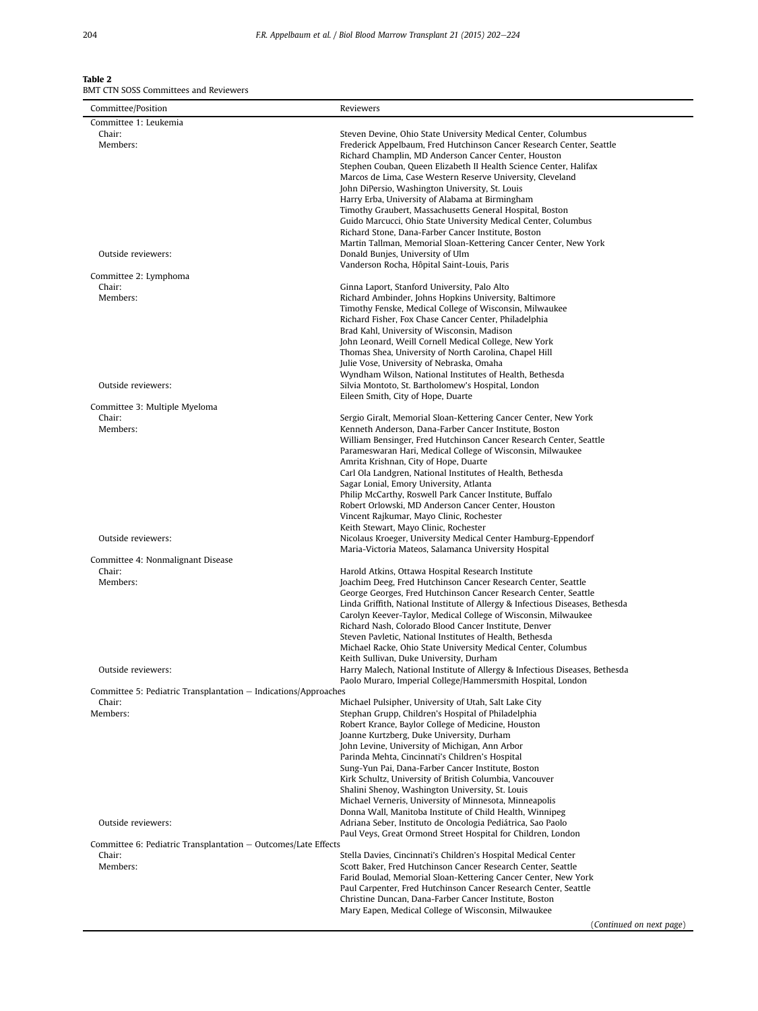# <span id="page-2-0"></span>-<br>BMT CTN SOSS Committees and Reviewers

| Committee/Position                                               | Reviewers                                                                                                                                       |
|------------------------------------------------------------------|-------------------------------------------------------------------------------------------------------------------------------------------------|
| Committee 1: Leukemia                                            |                                                                                                                                                 |
| Chair:                                                           | Steven Devine, Ohio State University Medical Center, Columbus                                                                                   |
| Members:                                                         | Frederick Appelbaum, Fred Hutchinson Cancer Research Center, Seattle                                                                            |
|                                                                  | Richard Champlin, MD Anderson Cancer Center, Houston<br>Stephen Couban, Queen Elizabeth II Health Science Center, Halifax                       |
|                                                                  | Marcos de Lima, Case Western Reserve University, Cleveland                                                                                      |
|                                                                  | John DiPersio, Washington University, St. Louis                                                                                                 |
|                                                                  | Harry Erba, University of Alabama at Birmingham                                                                                                 |
|                                                                  | Timothy Graubert, Massachusetts General Hospital, Boston                                                                                        |
|                                                                  | Guido Marcucci, Ohio State University Medical Center, Columbus                                                                                  |
|                                                                  | Richard Stone, Dana-Farber Cancer Institute, Boston                                                                                             |
| Outside reviewers:                                               | Martin Tallman, Memorial Sloan-Kettering Cancer Center, New York                                                                                |
|                                                                  | Donald Bunjes, University of Ulm<br>Vanderson Rocha, Hôpital Saint-Louis, Paris                                                                 |
| Committee 2: Lymphoma                                            |                                                                                                                                                 |
| Chair:                                                           | Ginna Laport, Stanford University, Palo Alto                                                                                                    |
| Members:                                                         | Richard Ambinder, Johns Hopkins University, Baltimore                                                                                           |
|                                                                  | Timothy Fenske, Medical College of Wisconsin, Milwaukee                                                                                         |
|                                                                  | Richard Fisher, Fox Chase Cancer Center, Philadelphia                                                                                           |
|                                                                  | Brad Kahl, University of Wisconsin, Madison                                                                                                     |
|                                                                  | John Leonard, Weill Cornell Medical College, New York<br>Thomas Shea, University of North Carolina, Chapel Hill                                 |
|                                                                  | Julie Vose, University of Nebraska, Omaha                                                                                                       |
|                                                                  | Wyndham Wilson, National Institutes of Health, Bethesda                                                                                         |
| Outside reviewers:                                               | Silvia Montoto, St. Bartholomew's Hospital, London                                                                                              |
|                                                                  | Eileen Smith, City of Hope, Duarte                                                                                                              |
| Committee 3: Multiple Myeloma                                    |                                                                                                                                                 |
| Chair:                                                           | Sergio Giralt, Memorial Sloan-Kettering Cancer Center, New York                                                                                 |
| Members:                                                         | Kenneth Anderson, Dana-Farber Cancer Institute, Boston<br>William Bensinger, Fred Hutchinson Cancer Research Center, Seattle                    |
|                                                                  | Parameswaran Hari, Medical College of Wisconsin, Milwaukee                                                                                      |
|                                                                  | Amrita Krishnan, City of Hope, Duarte                                                                                                           |
|                                                                  | Carl Ola Landgren, National Institutes of Health, Bethesda                                                                                      |
|                                                                  | Sagar Lonial, Emory University, Atlanta                                                                                                         |
|                                                                  | Philip McCarthy, Roswell Park Cancer Institute, Buffalo                                                                                         |
|                                                                  | Robert Orlowski, MD Anderson Cancer Center, Houston                                                                                             |
|                                                                  | Vincent Rajkumar, Mayo Clinic, Rochester                                                                                                        |
| Outside reviewers:                                               | Keith Stewart, Mayo Clinic, Rochester<br>Nicolaus Kroeger, University Medical Center Hamburg-Eppendorf                                          |
|                                                                  | Maria-Victoria Mateos, Salamanca University Hospital                                                                                            |
| Committee 4: Nonmalignant Disease                                |                                                                                                                                                 |
| Chair:                                                           | Harold Atkins, Ottawa Hospital Research Institute                                                                                               |
| Members:                                                         | Joachim Deeg, Fred Hutchinson Cancer Research Center, Seattle                                                                                   |
|                                                                  | George Georges, Fred Hutchinson Cancer Research Center, Seattle                                                                                 |
|                                                                  | Linda Griffith, National Institute of Allergy & Infectious Diseases, Bethesda<br>Carolyn Keever-Taylor, Medical College of Wisconsin, Milwaukee |
|                                                                  | Richard Nash, Colorado Blood Cancer Institute, Denver                                                                                           |
|                                                                  | Steven Payletic, National Institutes of Health, Bethesda                                                                                        |
|                                                                  | Michael Racke, Ohio State University Medical Center, Columbus                                                                                   |
|                                                                  | Keith Sullivan, Duke University, Durham                                                                                                         |
| Outside reviewers:                                               | Harry Malech, National Institute of Allergy & Infectious Diseases, Bethesda                                                                     |
| Committee 5: Pediatric Transplantation – Indications/Approaches  | Paolo Muraro, Imperial College/Hammersmith Hospital, London                                                                                     |
| Chair:                                                           | Michael Pulsipher, University of Utah, Salt Lake City                                                                                           |
| Members:                                                         | Stephan Grupp, Children's Hospital of Philadelphia                                                                                              |
|                                                                  | Robert Krance, Baylor College of Medicine, Houston                                                                                              |
|                                                                  | Joanne Kurtzberg, Duke University, Durham                                                                                                       |
|                                                                  | John Levine, University of Michigan, Ann Arbor                                                                                                  |
|                                                                  | Parinda Mehta, Cincinnati's Children's Hospital                                                                                                 |
|                                                                  | Sung-Yun Pai, Dana-Farber Cancer Institute, Boston<br>Kirk Schultz, University of British Columbia, Vancouver                                   |
|                                                                  | Shalini Shenoy, Washington University, St. Louis                                                                                                |
|                                                                  | Michael Verneris, University of Minnesota, Minneapolis                                                                                          |
|                                                                  | Donna Wall, Manitoba Institute of Child Health, Winnipeg                                                                                        |
| Outside reviewers:                                               | Adriana Seber, Instituto de Oncologia Pediátrica, Sao Paolo                                                                                     |
|                                                                  | Paul Veys, Great Ormond Street Hospital for Children, London                                                                                    |
| Committee 6: Pediatric Transplantation $-$ Outcomes/Late Effects |                                                                                                                                                 |
| Chair:<br>Members:                                               | Stella Davies, Cincinnati's Children's Hospital Medical Center<br>Scott Baker, Fred Hutchinson Cancer Research Center, Seattle                  |
|                                                                  | Farid Boulad, Memorial Sloan-Kettering Cancer Center, New York                                                                                  |
|                                                                  | Paul Carpenter, Fred Hutchinson Cancer Research Center, Seattle                                                                                 |
|                                                                  | Christine Duncan, Dana-Farber Cancer Institute, Boston                                                                                          |
|                                                                  | Mary Eapen, Medical College of Wisconsin, Milwaukee                                                                                             |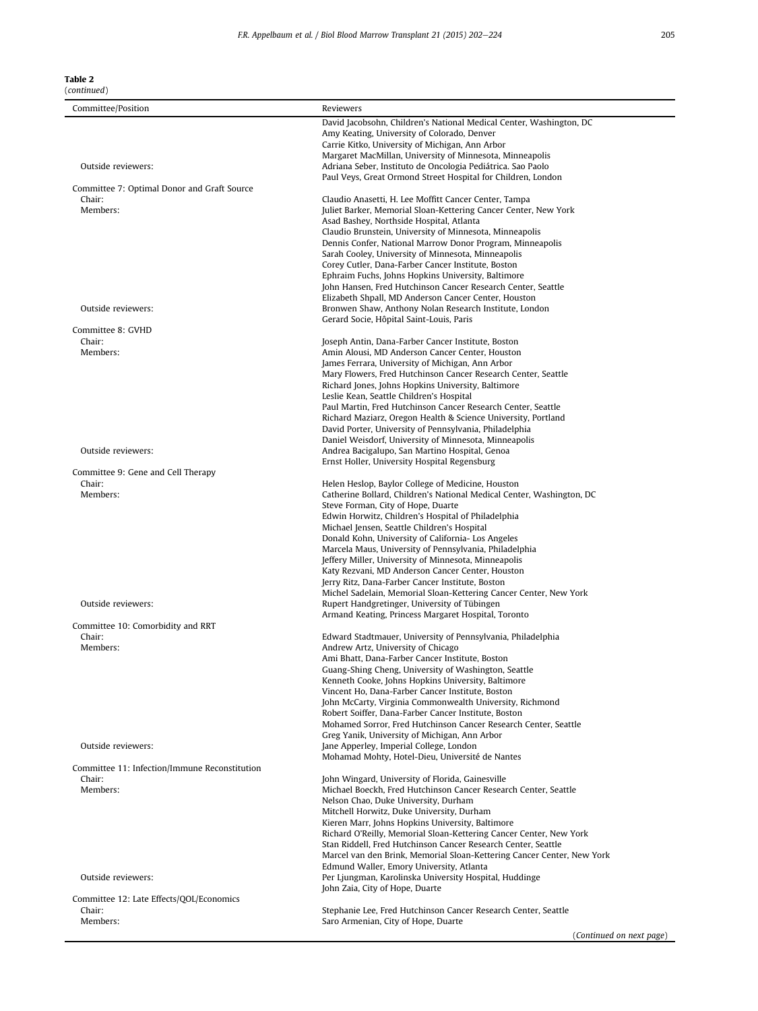------ –<br>(continued)

| Committee/Position                            | Reviewers                                                                                                                     |
|-----------------------------------------------|-------------------------------------------------------------------------------------------------------------------------------|
|                                               | David Jacobsohn, Children's National Medical Center, Washington, DC                                                           |
|                                               | Amy Keating, University of Colorado, Denver                                                                                   |
|                                               | Carrie Kitko, University of Michigan, Ann Arbor<br>Margaret MacMillan, University of Minnesota, Minneapolis                   |
| Outside reviewers:                            | Adriana Seber, Instituto de Oncologia Pediátrica. Sao Paolo                                                                   |
|                                               | Paul Veys, Great Ormond Street Hospital for Children, London                                                                  |
| Committee 7: Optimal Donor and Graft Source   |                                                                                                                               |
| Chair:                                        | Claudio Anasetti, H. Lee Moffitt Cancer Center, Tampa                                                                         |
| Members:                                      | Juliet Barker, Memorial Sloan-Kettering Cancer Center, New York                                                               |
|                                               | Asad Bashey, Northside Hospital, Atlanta                                                                                      |
|                                               | Claudio Brunstein, University of Minnesota, Minneapolis<br>Dennis Confer, National Marrow Donor Program, Minneapolis          |
|                                               | Sarah Cooley, University of Minnesota, Minneapolis                                                                            |
|                                               | Corey Cutler, Dana-Farber Cancer Institute, Boston                                                                            |
|                                               | Ephraim Fuchs, Johns Hopkins University, Baltimore                                                                            |
|                                               | John Hansen, Fred Hutchinson Cancer Research Center, Seattle                                                                  |
|                                               | Elizabeth Shpall, MD Anderson Cancer Center, Houston                                                                          |
| Outside reviewers:                            | Bronwen Shaw, Anthony Nolan Research Institute, London                                                                        |
| Committee 8: GVHD                             | Gerard Socie, Hôpital Saint-Louis, Paris                                                                                      |
| Chair:                                        | Joseph Antin, Dana-Farber Cancer Institute, Boston                                                                            |
| Members:                                      | Amin Alousi, MD Anderson Cancer Center, Houston                                                                               |
|                                               | James Ferrara, University of Michigan, Ann Arbor                                                                              |
|                                               | Mary Flowers, Fred Hutchinson Cancer Research Center, Seattle                                                                 |
|                                               | Richard Jones, Johns Hopkins University, Baltimore                                                                            |
|                                               | Leslie Kean, Seattle Children's Hospital                                                                                      |
|                                               | Paul Martin, Fred Hutchinson Cancer Research Center, Seattle<br>Richard Maziarz, Oregon Health & Science University, Portland |
|                                               | David Porter, University of Pennsylvania, Philadelphia                                                                        |
|                                               | Daniel Weisdorf, University of Minnesota, Minneapolis                                                                         |
| Outside reviewers:                            | Andrea Bacigalupo, San Martino Hospital, Genoa                                                                                |
|                                               | Ernst Holler, University Hospital Regensburg                                                                                  |
| Committee 9: Gene and Cell Therapy            |                                                                                                                               |
| Chair:                                        | Helen Heslop, Baylor College of Medicine, Houston                                                                             |
| Members:                                      | Catherine Bollard, Children's National Medical Center, Washington, DC<br>Steve Forman, City of Hope, Duarte                   |
|                                               | Edwin Horwitz, Children's Hospital of Philadelphia                                                                            |
|                                               | Michael Jensen, Seattle Children's Hospital                                                                                   |
|                                               | Donald Kohn, University of California- Los Angeles                                                                            |
|                                               | Marcela Maus, University of Pennsylvania, Philadelphia                                                                        |
|                                               | Jeffery Miller, University of Minnesota, Minneapolis                                                                          |
|                                               | Katy Rezvani, MD Anderson Cancer Center, Houston                                                                              |
|                                               | Jerry Ritz, Dana-Farber Cancer Institute, Boston<br>Michel Sadelain, Memorial Sloan-Kettering Cancer Center, New York         |
| Outside reviewers:                            | Rupert Handgretinger, University of Tübingen                                                                                  |
|                                               | Armand Keating, Princess Margaret Hospital, Toronto                                                                           |
| Committee 10: Comorbidity and RRT             |                                                                                                                               |
| Chair:                                        | Edward Stadtmauer, University of Pennsylvania, Philadelphia                                                                   |
| Members:                                      | Andrew Artz, University of Chicago                                                                                            |
|                                               | Ami Bhatt, Dana-Farber Cancer Institute, Boston                                                                               |
|                                               | Guang-Shing Cheng, University of Washington, Seattle<br>Kenneth Cooke, Johns Hopkins University, Baltimore                    |
|                                               | Vincent Ho, Dana-Farber Cancer Institute, Boston                                                                              |
|                                               | John McCarty, Virginia Commonwealth University, Richmond                                                                      |
|                                               | Robert Soiffer, Dana-Farber Cancer Institute, Boston                                                                          |
|                                               | Mohamed Sorror, Fred Hutchinson Cancer Research Center, Seattle                                                               |
|                                               | Greg Yanik, University of Michigan, Ann Arbor                                                                                 |
| Outside reviewers:                            | Jane Apperley, Imperial College, London                                                                                       |
| Committee 11: Infection/Immune Reconstitution | Mohamad Mohty, Hotel-Dieu, Université de Nantes                                                                               |
| Chair:                                        | John Wingard, University of Florida, Gainesville                                                                              |
| Members:                                      | Michael Boeckh, Fred Hutchinson Cancer Research Center, Seattle                                                               |
|                                               | Nelson Chao, Duke University, Durham                                                                                          |
|                                               | Mitchell Horwitz, Duke University, Durham                                                                                     |
|                                               | Kieren Marr, Johns Hopkins University, Baltimore                                                                              |
|                                               | Richard O'Reilly, Memorial Sloan-Kettering Cancer Center, New York                                                            |
|                                               | Stan Riddell, Fred Hutchinson Cancer Research Center, Seattle                                                                 |
|                                               | Marcel van den Brink, Memorial Sloan-Kettering Cancer Center, New York<br>Edmund Waller, Emory University, Atlanta            |
| Outside reviewers:                            | Per Ljungman, Karolinska University Hospital, Huddinge                                                                        |
|                                               | John Zaia, City of Hope, Duarte                                                                                               |
| Committee 12: Late Effects/QOL/Economics      |                                                                                                                               |
| Chair:                                        | Stephanie Lee, Fred Hutchinson Cancer Research Center, Seattle                                                                |
| Members:                                      | Saro Armenian, City of Hope, Duarte                                                                                           |
|                                               | (Continued on next page)                                                                                                      |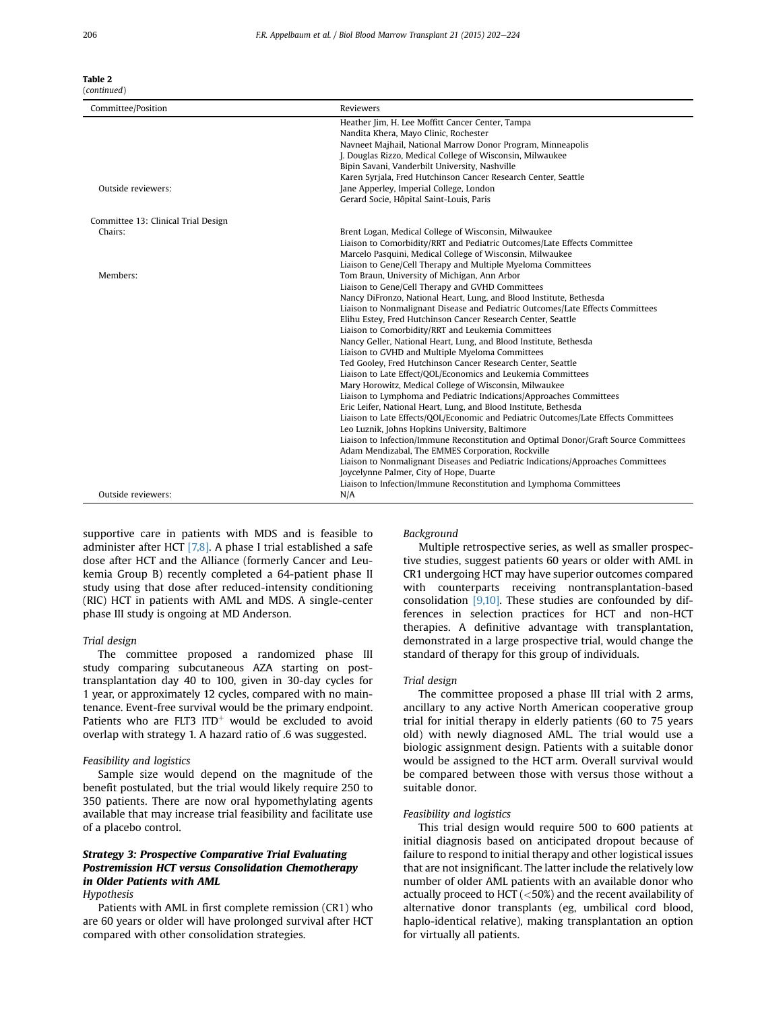| Table 2     |  |
|-------------|--|
| (continued) |  |

| Heather Jim, H. Lee Moffitt Cancer Center, Tampa<br>Nandita Khera, Mayo Clinic, Rochester<br>Navneet Majhail, National Marrow Donor Program, Minneapolis<br>J. Douglas Rizzo, Medical College of Wisconsin, Milwaukee<br>Bipin Savani, Vanderbilt University, Nashville<br>Karen Syrjala, Fred Hutchinson Cancer Research Center, Seattle<br>Outside reviewers:<br>Jane Apperley, Imperial College, London<br>Gerard Socie, Hôpital Saint-Louis, Paris<br>Committee 13: Clinical Trial Design<br>Chairs:<br>Brent Logan, Medical College of Wisconsin, Milwaukee<br>Liaison to Comorbidity/RRT and Pediatric Outcomes/Late Effects Committee<br>Marcelo Pasquini, Medical College of Wisconsin, Milwaukee<br>Liaison to Gene/Cell Therapy and Multiple Myeloma Committees<br>Members:<br>Tom Braun, University of Michigan, Ann Arbor<br>Liaison to Gene/Cell Therapy and GVHD Committees<br>Nancy DiFronzo, National Heart, Lung, and Blood Institute, Bethesda<br>Liaison to Nonmalignant Disease and Pediatric Outcomes/Late Effects Committees<br>Elihu Estey, Fred Hutchinson Cancer Research Center, Seattle<br>Liaison to Comorbidity/RRT and Leukemia Committees<br>Nancy Geller, National Heart, Lung, and Blood Institute, Bethesda<br>Liaison to GVHD and Multiple Myeloma Committees<br>Ted Gooley, Fred Hutchinson Cancer Research Center, Seattle<br>Liaison to Late Effect/QOL/Economics and Leukemia Committees<br>Mary Horowitz, Medical College of Wisconsin, Milwaukee<br>Liaison to Lymphoma and Pediatric Indications/Approaches Committees<br>Eric Leifer, National Heart, Lung, and Blood Institute, Bethesda<br>Liaison to Late Effects/QOL/Economic and Pediatric Outcomes/Late Effects Committees<br>Leo Luznik, Johns Hopkins University, Baltimore<br>Liaison to Infection/Immune Reconstitution and Optimal Donor/Graft Source Committees<br>Adam Mendizabal, The EMMES Corporation, Rockville<br>Liaison to Nonmalignant Diseases and Pediatric Indications/Approaches Committees<br>Joycelynne Palmer, City of Hope, Duarte<br>Liaison to Infection/Immune Reconstitution and Lymphoma Committees | Committee/Position | Reviewers |  |  |  |
|----------------------------------------------------------------------------------------------------------------------------------------------------------------------------------------------------------------------------------------------------------------------------------------------------------------------------------------------------------------------------------------------------------------------------------------------------------------------------------------------------------------------------------------------------------------------------------------------------------------------------------------------------------------------------------------------------------------------------------------------------------------------------------------------------------------------------------------------------------------------------------------------------------------------------------------------------------------------------------------------------------------------------------------------------------------------------------------------------------------------------------------------------------------------------------------------------------------------------------------------------------------------------------------------------------------------------------------------------------------------------------------------------------------------------------------------------------------------------------------------------------------------------------------------------------------------------------------------------------------------------------------------------------------------------------------------------------------------------------------------------------------------------------------------------------------------------------------------------------------------------------------------------------------------------------------------------------------------------------------------------------------------------------------------------------------------------------------------------------------------------------|--------------------|-----------|--|--|--|
|                                                                                                                                                                                                                                                                                                                                                                                                                                                                                                                                                                                                                                                                                                                                                                                                                                                                                                                                                                                                                                                                                                                                                                                                                                                                                                                                                                                                                                                                                                                                                                                                                                                                                                                                                                                                                                                                                                                                                                                                                                                                                                                                  |                    |           |  |  |  |
|                                                                                                                                                                                                                                                                                                                                                                                                                                                                                                                                                                                                                                                                                                                                                                                                                                                                                                                                                                                                                                                                                                                                                                                                                                                                                                                                                                                                                                                                                                                                                                                                                                                                                                                                                                                                                                                                                                                                                                                                                                                                                                                                  |                    |           |  |  |  |
|                                                                                                                                                                                                                                                                                                                                                                                                                                                                                                                                                                                                                                                                                                                                                                                                                                                                                                                                                                                                                                                                                                                                                                                                                                                                                                                                                                                                                                                                                                                                                                                                                                                                                                                                                                                                                                                                                                                                                                                                                                                                                                                                  |                    |           |  |  |  |
|                                                                                                                                                                                                                                                                                                                                                                                                                                                                                                                                                                                                                                                                                                                                                                                                                                                                                                                                                                                                                                                                                                                                                                                                                                                                                                                                                                                                                                                                                                                                                                                                                                                                                                                                                                                                                                                                                                                                                                                                                                                                                                                                  |                    |           |  |  |  |
|                                                                                                                                                                                                                                                                                                                                                                                                                                                                                                                                                                                                                                                                                                                                                                                                                                                                                                                                                                                                                                                                                                                                                                                                                                                                                                                                                                                                                                                                                                                                                                                                                                                                                                                                                                                                                                                                                                                                                                                                                                                                                                                                  |                    |           |  |  |  |
|                                                                                                                                                                                                                                                                                                                                                                                                                                                                                                                                                                                                                                                                                                                                                                                                                                                                                                                                                                                                                                                                                                                                                                                                                                                                                                                                                                                                                                                                                                                                                                                                                                                                                                                                                                                                                                                                                                                                                                                                                                                                                                                                  |                    |           |  |  |  |
|                                                                                                                                                                                                                                                                                                                                                                                                                                                                                                                                                                                                                                                                                                                                                                                                                                                                                                                                                                                                                                                                                                                                                                                                                                                                                                                                                                                                                                                                                                                                                                                                                                                                                                                                                                                                                                                                                                                                                                                                                                                                                                                                  |                    |           |  |  |  |
|                                                                                                                                                                                                                                                                                                                                                                                                                                                                                                                                                                                                                                                                                                                                                                                                                                                                                                                                                                                                                                                                                                                                                                                                                                                                                                                                                                                                                                                                                                                                                                                                                                                                                                                                                                                                                                                                                                                                                                                                                                                                                                                                  |                    |           |  |  |  |
|                                                                                                                                                                                                                                                                                                                                                                                                                                                                                                                                                                                                                                                                                                                                                                                                                                                                                                                                                                                                                                                                                                                                                                                                                                                                                                                                                                                                                                                                                                                                                                                                                                                                                                                                                                                                                                                                                                                                                                                                                                                                                                                                  |                    |           |  |  |  |
|                                                                                                                                                                                                                                                                                                                                                                                                                                                                                                                                                                                                                                                                                                                                                                                                                                                                                                                                                                                                                                                                                                                                                                                                                                                                                                                                                                                                                                                                                                                                                                                                                                                                                                                                                                                                                                                                                                                                                                                                                                                                                                                                  |                    |           |  |  |  |
|                                                                                                                                                                                                                                                                                                                                                                                                                                                                                                                                                                                                                                                                                                                                                                                                                                                                                                                                                                                                                                                                                                                                                                                                                                                                                                                                                                                                                                                                                                                                                                                                                                                                                                                                                                                                                                                                                                                                                                                                                                                                                                                                  |                    |           |  |  |  |
|                                                                                                                                                                                                                                                                                                                                                                                                                                                                                                                                                                                                                                                                                                                                                                                                                                                                                                                                                                                                                                                                                                                                                                                                                                                                                                                                                                                                                                                                                                                                                                                                                                                                                                                                                                                                                                                                                                                                                                                                                                                                                                                                  |                    |           |  |  |  |
|                                                                                                                                                                                                                                                                                                                                                                                                                                                                                                                                                                                                                                                                                                                                                                                                                                                                                                                                                                                                                                                                                                                                                                                                                                                                                                                                                                                                                                                                                                                                                                                                                                                                                                                                                                                                                                                                                                                                                                                                                                                                                                                                  |                    |           |  |  |  |
|                                                                                                                                                                                                                                                                                                                                                                                                                                                                                                                                                                                                                                                                                                                                                                                                                                                                                                                                                                                                                                                                                                                                                                                                                                                                                                                                                                                                                                                                                                                                                                                                                                                                                                                                                                                                                                                                                                                                                                                                                                                                                                                                  |                    |           |  |  |  |
|                                                                                                                                                                                                                                                                                                                                                                                                                                                                                                                                                                                                                                                                                                                                                                                                                                                                                                                                                                                                                                                                                                                                                                                                                                                                                                                                                                                                                                                                                                                                                                                                                                                                                                                                                                                                                                                                                                                                                                                                                                                                                                                                  |                    |           |  |  |  |
|                                                                                                                                                                                                                                                                                                                                                                                                                                                                                                                                                                                                                                                                                                                                                                                                                                                                                                                                                                                                                                                                                                                                                                                                                                                                                                                                                                                                                                                                                                                                                                                                                                                                                                                                                                                                                                                                                                                                                                                                                                                                                                                                  |                    |           |  |  |  |
|                                                                                                                                                                                                                                                                                                                                                                                                                                                                                                                                                                                                                                                                                                                                                                                                                                                                                                                                                                                                                                                                                                                                                                                                                                                                                                                                                                                                                                                                                                                                                                                                                                                                                                                                                                                                                                                                                                                                                                                                                                                                                                                                  |                    |           |  |  |  |
|                                                                                                                                                                                                                                                                                                                                                                                                                                                                                                                                                                                                                                                                                                                                                                                                                                                                                                                                                                                                                                                                                                                                                                                                                                                                                                                                                                                                                                                                                                                                                                                                                                                                                                                                                                                                                                                                                                                                                                                                                                                                                                                                  |                    |           |  |  |  |
|                                                                                                                                                                                                                                                                                                                                                                                                                                                                                                                                                                                                                                                                                                                                                                                                                                                                                                                                                                                                                                                                                                                                                                                                                                                                                                                                                                                                                                                                                                                                                                                                                                                                                                                                                                                                                                                                                                                                                                                                                                                                                                                                  |                    |           |  |  |  |
|                                                                                                                                                                                                                                                                                                                                                                                                                                                                                                                                                                                                                                                                                                                                                                                                                                                                                                                                                                                                                                                                                                                                                                                                                                                                                                                                                                                                                                                                                                                                                                                                                                                                                                                                                                                                                                                                                                                                                                                                                                                                                                                                  |                    |           |  |  |  |
|                                                                                                                                                                                                                                                                                                                                                                                                                                                                                                                                                                                                                                                                                                                                                                                                                                                                                                                                                                                                                                                                                                                                                                                                                                                                                                                                                                                                                                                                                                                                                                                                                                                                                                                                                                                                                                                                                                                                                                                                                                                                                                                                  |                    |           |  |  |  |
|                                                                                                                                                                                                                                                                                                                                                                                                                                                                                                                                                                                                                                                                                                                                                                                                                                                                                                                                                                                                                                                                                                                                                                                                                                                                                                                                                                                                                                                                                                                                                                                                                                                                                                                                                                                                                                                                                                                                                                                                                                                                                                                                  |                    |           |  |  |  |
|                                                                                                                                                                                                                                                                                                                                                                                                                                                                                                                                                                                                                                                                                                                                                                                                                                                                                                                                                                                                                                                                                                                                                                                                                                                                                                                                                                                                                                                                                                                                                                                                                                                                                                                                                                                                                                                                                                                                                                                                                                                                                                                                  |                    |           |  |  |  |
|                                                                                                                                                                                                                                                                                                                                                                                                                                                                                                                                                                                                                                                                                                                                                                                                                                                                                                                                                                                                                                                                                                                                                                                                                                                                                                                                                                                                                                                                                                                                                                                                                                                                                                                                                                                                                                                                                                                                                                                                                                                                                                                                  |                    |           |  |  |  |
|                                                                                                                                                                                                                                                                                                                                                                                                                                                                                                                                                                                                                                                                                                                                                                                                                                                                                                                                                                                                                                                                                                                                                                                                                                                                                                                                                                                                                                                                                                                                                                                                                                                                                                                                                                                                                                                                                                                                                                                                                                                                                                                                  |                    |           |  |  |  |
|                                                                                                                                                                                                                                                                                                                                                                                                                                                                                                                                                                                                                                                                                                                                                                                                                                                                                                                                                                                                                                                                                                                                                                                                                                                                                                                                                                                                                                                                                                                                                                                                                                                                                                                                                                                                                                                                                                                                                                                                                                                                                                                                  |                    |           |  |  |  |
|                                                                                                                                                                                                                                                                                                                                                                                                                                                                                                                                                                                                                                                                                                                                                                                                                                                                                                                                                                                                                                                                                                                                                                                                                                                                                                                                                                                                                                                                                                                                                                                                                                                                                                                                                                                                                                                                                                                                                                                                                                                                                                                                  |                    |           |  |  |  |
|                                                                                                                                                                                                                                                                                                                                                                                                                                                                                                                                                                                                                                                                                                                                                                                                                                                                                                                                                                                                                                                                                                                                                                                                                                                                                                                                                                                                                                                                                                                                                                                                                                                                                                                                                                                                                                                                                                                                                                                                                                                                                                                                  |                    |           |  |  |  |
|                                                                                                                                                                                                                                                                                                                                                                                                                                                                                                                                                                                                                                                                                                                                                                                                                                                                                                                                                                                                                                                                                                                                                                                                                                                                                                                                                                                                                                                                                                                                                                                                                                                                                                                                                                                                                                                                                                                                                                                                                                                                                                                                  |                    |           |  |  |  |
|                                                                                                                                                                                                                                                                                                                                                                                                                                                                                                                                                                                                                                                                                                                                                                                                                                                                                                                                                                                                                                                                                                                                                                                                                                                                                                                                                                                                                                                                                                                                                                                                                                                                                                                                                                                                                                                                                                                                                                                                                                                                                                                                  |                    |           |  |  |  |
|                                                                                                                                                                                                                                                                                                                                                                                                                                                                                                                                                                                                                                                                                                                                                                                                                                                                                                                                                                                                                                                                                                                                                                                                                                                                                                                                                                                                                                                                                                                                                                                                                                                                                                                                                                                                                                                                                                                                                                                                                                                                                                                                  |                    |           |  |  |  |
|                                                                                                                                                                                                                                                                                                                                                                                                                                                                                                                                                                                                                                                                                                                                                                                                                                                                                                                                                                                                                                                                                                                                                                                                                                                                                                                                                                                                                                                                                                                                                                                                                                                                                                                                                                                                                                                                                                                                                                                                                                                                                                                                  |                    |           |  |  |  |
|                                                                                                                                                                                                                                                                                                                                                                                                                                                                                                                                                                                                                                                                                                                                                                                                                                                                                                                                                                                                                                                                                                                                                                                                                                                                                                                                                                                                                                                                                                                                                                                                                                                                                                                                                                                                                                                                                                                                                                                                                                                                                                                                  | Outside reviewers: | N/A       |  |  |  |

supportive care in patients with MDS and is feasible to administer after HCT  $[7,8]$ . A phase I trial established a safe dose after HCT and the Alliance (formerly Cancer and Leukemia Group B) recently completed a 64-patient phase II study using that dose after reduced-intensity conditioning (RIC) HCT in patients with AML and MDS. A single-center phase III study is ongoing at MD Anderson.

#### Trial design

The committee proposed a randomized phase III study comparing subcutaneous AZA starting on posttransplantation day 40 to 100, given in 30-day cycles for 1 year, or approximately 12 cycles, compared with no maintenance. Event-free survival would be the primary endpoint. Patients who are FLT3  $ITD<sup>+</sup>$  would be excluded to avoid overlap with strategy 1. A hazard ratio of .6 was suggested.

#### Feasibility and logistics

Sample size would depend on the magnitude of the benefit postulated, but the trial would likely require 250 to 350 patients. There are now oral hypomethylating agents available that may increase trial feasibility and facilitate use of a placebo control.

# Strategy 3: Prospective Comparative Trial Evaluating Postremission HCT versus Consolidation Chemotherapy in Older Patients with AML

# Hypothesis

Patients with AML in first complete remission (CR1) who are 60 years or older will have prolonged survival after HCT compared with other consolidation strategies.

# Background

Multiple retrospective series, as well as smaller prospective studies, suggest patients 60 years or older with AML in CR1 undergoing HCT may have superior outcomes compared with counterparts receiving nontransplantation-based consolidation [\[9,10\]](#page-20-0). These studies are confounded by differences in selection practices for HCT and non-HCT therapies. A definitive advantage with transplantation, demonstrated in a large prospective trial, would change the standard of therapy for this group of individuals.

#### Trial design

The committee proposed a phase III trial with 2 arms, ancillary to any active North American cooperative group trial for initial therapy in elderly patients (60 to 75 years old) with newly diagnosed AML. The trial would use a biologic assignment design. Patients with a suitable donor would be assigned to the HCT arm. Overall survival would be compared between those with versus those without a suitable donor.

#### Feasibility and logistics

This trial design would require 500 to 600 patients at initial diagnosis based on anticipated dropout because of failure to respond to initial therapy and other logistical issues that are not insignificant. The latter include the relatively low number of older AML patients with an available donor who actually proceed to HCT  $\left( <50\% \right)$  and the recent availability of alternative donor transplants (eg, umbilical cord blood, haplo-identical relative), making transplantation an option for virtually all patients.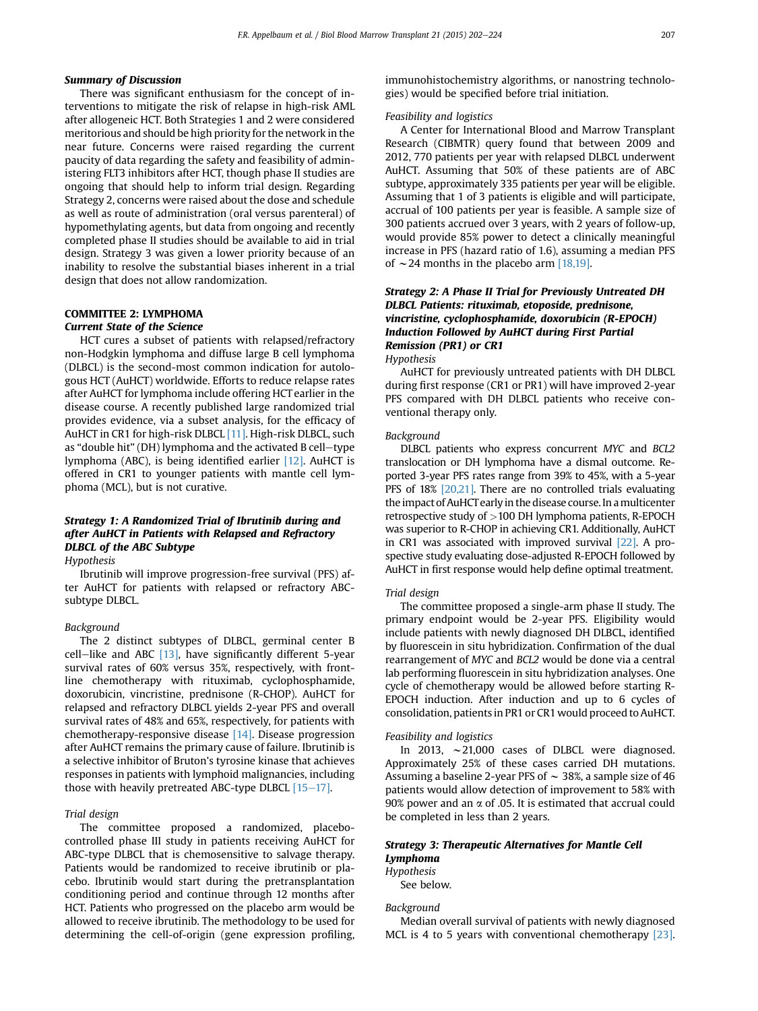#### Summary of Discussion

There was significant enthusiasm for the concept of interventions to mitigate the risk of relapse in high-risk AML after allogeneic HCT. Both Strategies 1 and 2 were considered meritorious and should be high priority for the network in the near future. Concerns were raised regarding the current paucity of data regarding the safety and feasibility of administering FLT3 inhibitors after HCT, though phase II studies are ongoing that should help to inform trial design. Regarding Strategy 2, concerns were raised about the dose and schedule as well as route of administration (oral versus parenteral) of hypomethylating agents, but data from ongoing and recently completed phase II studies should be available to aid in trial design. Strategy 3 was given a lower priority because of an inability to resolve the substantial biases inherent in a trial design that does not allow randomization.

# **Current State of the Science**

HCT cures a subset of patients with relapsed/refractory non-Hodgkin lymphoma and diffuse large B cell lymphoma (DLBCL) is the second-most common indication for autologous HCT (AuHCT) worldwide. Efforts to reduce relapse rates after AuHCT for lymphoma include offering HCT earlier in the disease course. A recently published large randomized trial provides evidence, via a subset analysis, for the efficacy of AuHCT in CR1 for high-risk DLBCL [\[11\]](#page-20-0). High-risk DLBCL, such as "double hit" (DH) lymphoma and the activated B cell-type lymphoma (ABC), is being identified earlier [\[12\].](#page-20-0) AuHCT is offered in CR1 to younger patients with mantle cell lymphoma (MCL), but is not curative.

# Strategy 1: A Randomized Trial of Ibrutinib during and after AuHCT in Patients with Relapsed and Refractory DLBCL of the ABC Subtype

Hypothesis

Ibrutinib will improve progression-free survival (PFS) after AuHCT for patients with relapsed or refractory ABCsubtype DLBCL.

#### Background

The 2 distinct subtypes of DLBCL, germinal center B cell-like and ABC  $[13]$ , have significantly different 5-year survival rates of 60% versus 35%, respectively, with frontline chemotherapy with rituximab, cyclophosphamide, doxorubicin, vincristine, prednisone (R-CHOP). AuHCT for relapsed and refractory DLBCL yields 2-year PFS and overall survival rates of 48% and 65%, respectively, for patients with chemotherapy-responsive disease [\[14\]](#page-20-0). Disease progression after AuHCT remains the primary cause of failure. Ibrutinib is a selective inhibitor of Bruton's tyrosine kinase that achieves responses in patients with lymphoid malignancies, including those with heavily pretreated ABC-type DLBCL  $[15-17]$  $[15-17]$ .

#### Trial design

The committee proposed a randomized, placebocontrolled phase III study in patients receiving AuHCT for ABC-type DLBCL that is chemosensitive to salvage therapy. Patients would be randomized to receive ibrutinib or placebo. Ibrutinib would start during the pretransplantation conditioning period and continue through 12 months after HCT. Patients who progressed on the placebo arm would be allowed to receive ibrutinib. The methodology to be used for determining the cell-of-origin (gene expression profiling, immunohistochemistry algorithms, or nanostring technologies) would be specified before trial initiation.

#### Feasibility and logistics

A Center for International Blood and Marrow Transplant Research (CIBMTR) query found that between 2009 and 2012, 770 patients per year with relapsed DLBCL underwent AuHCT. Assuming that 50% of these patients are of ABC subtype, approximately 335 patients per year will be eligible. Assuming that 1 of 3 patients is eligible and will participate, accrual of 100 patients per year is feasible. A sample size of 300 patients accrued over 3 years, with 2 years of follow-up, would provide 85% power to detect a clinically meaningful increase in PFS (hazard ratio of 1.6), assuming a median PFS of  $\sim$  24 months in the placebo arm [\[18,19\]](#page-20-0).

# Strategy 2: A Phase II Trial for Previously Untreated DH DLBCL Patients: rituximab, etoposide, prednisone, vincristine, cyclophosphamide, doxorubicin (R-EPOCH) Induction Followed by AuHCT during First Partial Remission (PR1) or CR1

Hypothesis

AuHCT for previously untreated patients with DH DLBCL during first response (CR1 or PR1) will have improved 2-year PFS compared with DH DLBCL patients who receive conventional therapy only.

#### Background

DLBCL patients who express concurrent MYC and BCL2 translocation or DH lymphoma have a dismal outcome. Reported 3-year PFS rates range from 39% to 45%, with a 5-year PFS of 18% [\[20,21\]](#page-20-0). There are no controlled trials evaluating the impact of AuHCT early in the disease course. In a multicenter retrospective study of >100 DH lymphoma patients, R-EPOCH was superior to R-CHOP in achieving CR1. Additionally, AuHCT in CR1 was associated with improved survival [\[22\]](#page-20-0). A prospective study evaluating dose-adjusted R-EPOCH followed by AuHCT in first response would help define optimal treatment.

#### Trial design

The committee proposed a single-arm phase II study. The primary endpoint would be 2-year PFS. Eligibility would include patients with newly diagnosed DH DLBCL, identified by fluorescein in situ hybridization. Confirmation of the dual rearrangement of MYC and BCL2 would be done via a central lab performing fluorescein in situ hybridization analyses. One cycle of chemotherapy would be allowed before starting R-EPOCH induction. After induction and up to 6 cycles of consolidation, patients in PR1 or CR1 would proceed to AuHCT.

#### Feasibility and logistics

In 2013,  $\sim$  21,000 cases of DLBCL were diagnosed. Approximately 25% of these cases carried DH mutations. Assuming a baseline 2-year PFS of  $\sim$  38%, a sample size of 46 patients would allow detection of improvement to 58% with 90% power and an  $\alpha$  of .05. It is estimated that accrual could be completed in less than 2 years.

# Strategy 3: Therapeutic Alternatives for Mantle Cell Lymphoma

# Hypothesis

See below.

Background

Median overall survival of patients with newly diagnosed MCL is 4 to 5 years with conventional chemotherapy [\[23\]](#page-20-0).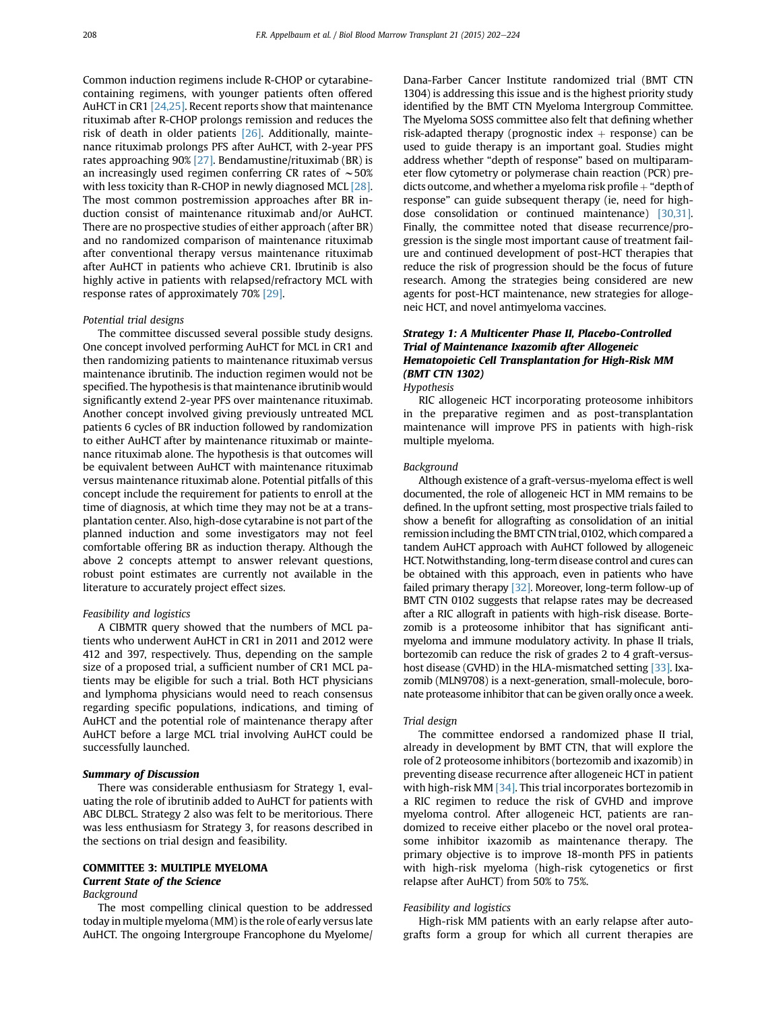Common induction regimens include R-CHOP or cytarabinecontaining regimens, with younger patients often offered AuHCT in CR1 [\[24,25\].](#page-20-0) Recent reports show that maintenance rituximab after R-CHOP prolongs remission and reduces the risk of death in older patients [\[26\].](#page-20-0) Additionally, maintenance rituximab prolongs PFS after AuHCT, with 2-year PFS rates approaching 90% [\[27\].](#page-20-0) Bendamustine/rituximab (BR) is an increasingly used regimen conferring CR rates of  $\sim$  50% with less toxicity than R-CHOP in newly diagnosed MCL [\[28\]](#page-20-0). The most common postremission approaches after BR induction consist of maintenance rituximab and/or AuHCT. There are no prospective studies of either approach (after BR) and no randomized comparison of maintenance rituximab after conventional therapy versus maintenance rituximab after AuHCT in patients who achieve CR1. Ibrutinib is also highly active in patients with relapsed/refractory MCL with response rates of approximately 70% [\[29\]](#page-20-0).

### Potential trial designs

The committee discussed several possible study designs. One concept involved performing AuHCT for MCL in CR1 and then randomizing patients to maintenance rituximab versus maintenance ibrutinib. The induction regimen would not be specified. The hypothesis is that maintenance ibrutinib would significantly extend 2-year PFS over maintenance rituximab. Another concept involved giving previously untreated MCL patients 6 cycles of BR induction followed by randomization to either AuHCT after by maintenance rituximab or maintenance rituximab alone. The hypothesis is that outcomes will be equivalent between AuHCT with maintenance rituximab versus maintenance rituximab alone. Potential pitfalls of this concept include the requirement for patients to enroll at the time of diagnosis, at which time they may not be at a transplantation center. Also, high-dose cytarabine is not part of the planned induction and some investigators may not feel comfortable offering BR as induction therapy. Although the above 2 concepts attempt to answer relevant questions, robust point estimates are currently not available in the literature to accurately project effect sizes.

#### Feasibility and logistics

A CIBMTR query showed that the numbers of MCL patients who underwent AuHCT in CR1 in 2011 and 2012 were 412 and 397, respectively. Thus, depending on the sample size of a proposed trial, a sufficient number of CR1 MCL patients may be eligible for such a trial. Both HCT physicians and lymphoma physicians would need to reach consensus regarding specific populations, indications, and timing of AuHCT and the potential role of maintenance therapy after AuHCT before a large MCL trial involving AuHCT could be successfully launched.

#### Summary of Discussion

There was considerable enthusiasm for Strategy 1, evaluating the role of ibrutinib added to AuHCT for patients with ABC DLBCL. Strategy 2 also was felt to be meritorious. There was less enthusiasm for Strategy 3, for reasons described in the sections on trial design and feasibility.

# **COMMITTEE 3: MULTIPLE MYELOMA** COMMITTEE 3: MULTIPLE MYELOMA Current State of the Science

Background

The most compelling clinical question to be addressed today in multiple myeloma (MM) is the role of early versus late AuHCT. The ongoing Intergroupe Francophone du Myelome/ Dana-Farber Cancer Institute randomized trial (BMT CTN 1304) is addressing this issue and is the highest priority study identified by the BMT CTN Myeloma Intergroup Committee. The Myeloma SOSS committee also felt that defining whether risk-adapted therapy (prognostic index  $+$  response) can be used to guide therapy is an important goal. Studies might address whether "depth of response" based on multiparameter flow cytometry or polymerase chain reaction (PCR) predicts outcome, and whether a myeloma risk profile  $+$  "depth of response" can guide subsequent therapy (ie, need for highdose consolidation or continued maintenance) [\[30,31\]](#page-20-0). Finally, the committee noted that disease recurrence/progression is the single most important cause of treatment failure and continued development of post-HCT therapies that reduce the risk of progression should be the focus of future research. Among the strategies being considered are new agents for post-HCT maintenance, new strategies for allogeneic HCT, and novel antimyeloma vaccines.

# Strategy 1: A Multicenter Phase II, Placebo-Controlled Trial of Maintenance Ixazomib after Allogeneic Hematopoietic Cell Transplantation for High-Risk MM (BMT CTN 1302)

Hypothesis

RIC allogeneic HCT incorporating proteosome inhibitors in the preparative regimen and as post-transplantation maintenance will improve PFS in patients with high-risk multiple myeloma.

#### Background

Although existence of a graft-versus-myeloma effect is well documented, the role of allogeneic HCT in MM remains to be defined. In the upfront setting, most prospective trials failed to show a benefit for allografting as consolidation of an initial remission including the BMT CTN trial, 0102, which compared a tandem AuHCT approach with AuHCT followed by allogeneic HCT. Notwithstanding, long-term disease control and cures can be obtained with this approach, even in patients who have failed primary therapy [\[32\].](#page-20-0) Moreover, long-term follow-up of BMT CTN 0102 suggests that relapse rates may be decreased after a RIC allograft in patients with high-risk disease. Bortezomib is a proteosome inhibitor that has significant antimyeloma and immune modulatory activity. In phase II trials, bortezomib can reduce the risk of grades 2 to 4 graft-versus-host disease (GVHD) in the HLA-mismatched setting [\[33\].](#page-20-0) Ixazomib (MLN9708) is a next-generation, small-molecule, boronate proteasome inhibitor that can be given orally once a week.

#### Trial design

The committee endorsed a randomized phase II trial, already in development by BMT CTN, that will explore the role of 2 proteosome inhibitors (bortezomib and ixazomib) in preventing disease recurrence after allogeneic HCT in patient with high-risk MM  $[34]$ . This trial incorporates bortezomib in a RIC regimen to reduce the risk of GVHD and improve myeloma control. After allogeneic HCT, patients are randomized to receive either placebo or the novel oral proteasome inhibitor ixazomib as maintenance therapy. The primary objective is to improve 18-month PFS in patients with high-risk myeloma (high-risk cytogenetics or first relapse after AuHCT) from 50% to 75%.

#### Feasibility and logistics

High-risk MM patients with an early relapse after autografts form a group for which all current therapies are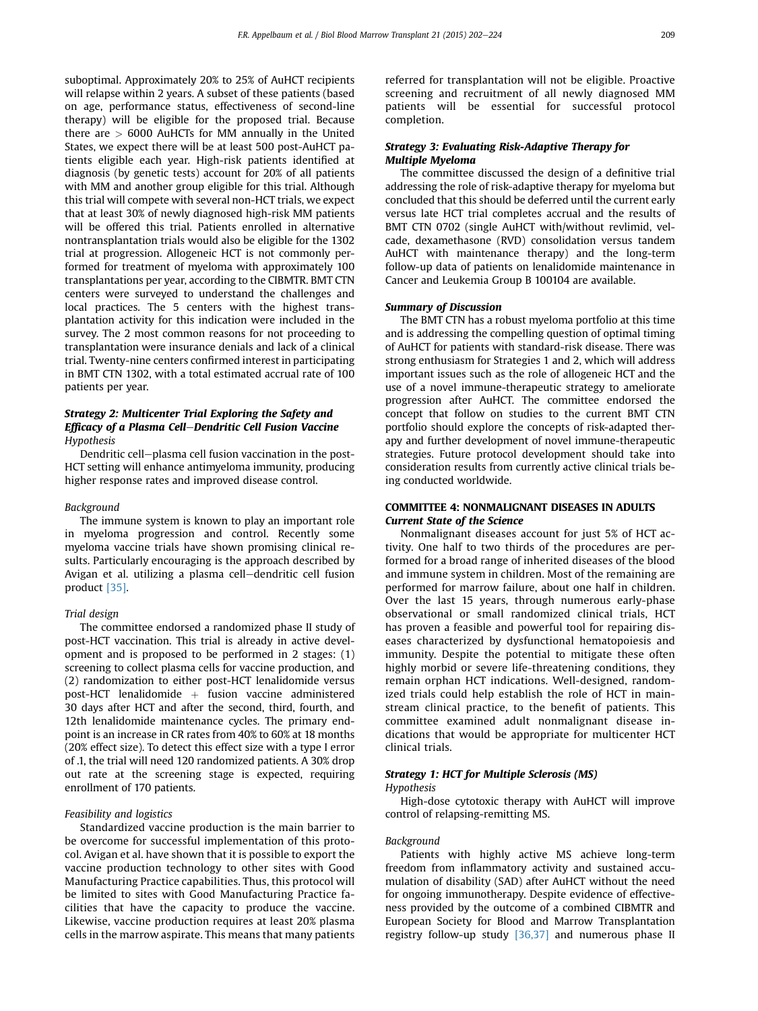suboptimal. Approximately 20% to 25% of AuHCT recipients will relapse within 2 years. A subset of these patients (based on age, performance status, effectiveness of second-line therapy) will be eligible for the proposed trial. Because there are  $> 6000$  AuHCTs for MM annually in the United States, we expect there will be at least 500 post-AuHCT patients eligible each year. High-risk patients identified at diagnosis (by genetic tests) account for 20% of all patients with MM and another group eligible for this trial. Although this trial will compete with several non-HCT trials, we expect that at least 30% of newly diagnosed high-risk MM patients will be offered this trial. Patients enrolled in alternative nontransplantation trials would also be eligible for the 1302 trial at progression. Allogeneic HCT is not commonly performed for treatment of myeloma with approximately 100 transplantations per year, according to the CIBMTR. BMT CTN centers were surveyed to understand the challenges and local practices. The 5 centers with the highest transplantation activity for this indication were included in the survey. The 2 most common reasons for not proceeding to transplantation were insurance denials and lack of a clinical trial. Twenty-nine centers confirmed interest in participating in BMT CTN 1302, with a total estimated accrual rate of 100 patients per year.

# Strategy 2: Multicenter Trial Exploring the Safety and Efficacy of a Plasma Cell-Dendritic Cell Fusion Vaccine Hypothesis

Dendritic cell-plasma cell fusion vaccination in the post-HCT setting will enhance antimyeloma immunity, producing higher response rates and improved disease control.

#### Background

The immune system is known to play an important role in myeloma progression and control. Recently some myeloma vaccine trials have shown promising clinical results. Particularly encouraging is the approach described by Avigan et al. utilizing a plasma cell-dendritic cell fusion product [\[35\].](#page-20-0)

#### Trial design

The committee endorsed a randomized phase II study of post-HCT vaccination. This trial is already in active development and is proposed to be performed in 2 stages: (1) screening to collect plasma cells for vaccine production, and (2) randomization to either post-HCT lenalidomide versus post-HCT lenalidomide  $+$  fusion vaccine administered 30 days after HCT and after the second, third, fourth, and 12th lenalidomide maintenance cycles. The primary endpoint is an increase in CR rates from 40% to 60% at 18 months (20% effect size). To detect this effect size with a type I error of .1, the trial will need 120 randomized patients. A 30% drop out rate at the screening stage is expected, requiring enrollment of 170 patients.

#### Feasibility and logistics

Standardized vaccine production is the main barrier to be overcome for successful implementation of this protocol. Avigan et al. have shown that it is possible to export the vaccine production technology to other sites with Good Manufacturing Practice capabilities. Thus, this protocol will be limited to sites with Good Manufacturing Practice facilities that have the capacity to produce the vaccine. Likewise, vaccine production requires at least 20% plasma cells in the marrow aspirate. This means that many patients referred for transplantation will not be eligible. Proactive screening and recruitment of all newly diagnosed MM patients will be essential for successful protocol completion.

# Strategy 3: Evaluating Risk-Adaptive Therapy for Multiple Myeloma

The committee discussed the design of a definitive trial addressing the role of risk-adaptive therapy for myeloma but concluded that this should be deferred until the current early versus late HCT trial completes accrual and the results of BMT CTN 0702 (single AuHCT with/without revlimid, velcade, dexamethasone (RVD) consolidation versus tandem AuHCT with maintenance therapy) and the long-term follow-up data of patients on lenalidomide maintenance in Cancer and Leukemia Group B 100104 are available.

# Summary of Discussion

The BMT CTN has a robust myeloma portfolio at this time and is addressing the compelling question of optimal timing of AuHCT for patients with standard-risk disease. There was strong enthusiasm for Strategies 1 and 2, which will address important issues such as the role of allogeneic HCT and the use of a novel immune-therapeutic strategy to ameliorate progression after AuHCT. The committee endorsed the concept that follow on studies to the current BMT CTN portfolio should explore the concepts of risk-adapted therapy and further development of novel immune-therapeutic strategies. Future protocol development should take into consideration results from currently active clinical trials being conducted worldwide.

# COMMITTEE 4: NONMALIGNANT DISEASES IN ADULTS Current State of the Science

Nonmalignant diseases account for just 5% of HCT activity. One half to two thirds of the procedures are performed for a broad range of inherited diseases of the blood and immune system in children. Most of the remaining are performed for marrow failure, about one half in children. Over the last 15 years, through numerous early-phase observational or small randomized clinical trials, HCT has proven a feasible and powerful tool for repairing diseases characterized by dysfunctional hematopoiesis and immunity. Despite the potential to mitigate these often highly morbid or severe life-threatening conditions, they remain orphan HCT indications. Well-designed, randomized trials could help establish the role of HCT in mainstream clinical practice, to the benefit of patients. This committee examined adult nonmalignant disease indications that would be appropriate for multicenter HCT clinical trials.

# Strategy 1: HCT for Multiple Sclerosis (MS)

# Hypothesis

High-dose cytotoxic therapy with AuHCT will improve control of relapsing-remitting MS.

#### Background

Patients with highly active MS achieve long-term freedom from inflammatory activity and sustained accumulation of disability (SAD) after AuHCT without the need for ongoing immunotherapy. Despite evidence of effectiveness provided by the outcome of a combined CIBMTR and European Society for Blood and Marrow Transplantation registry follow-up study [\[36,37\]](#page-20-0) and numerous phase II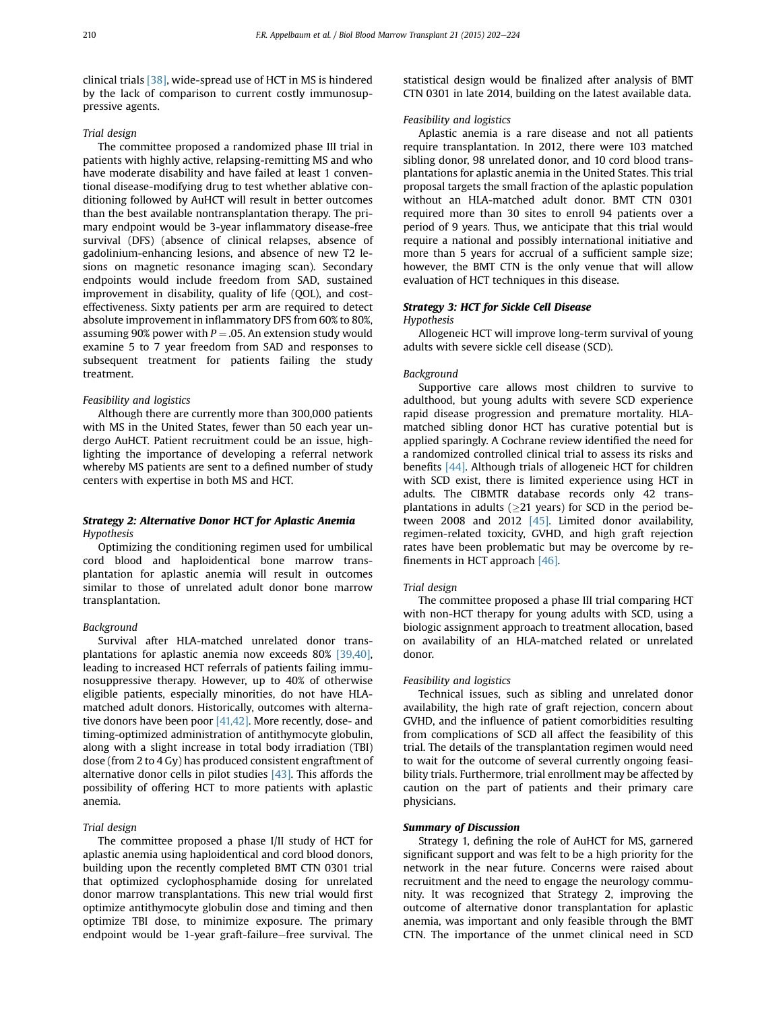clinical trials  $[38]$ , wide-spread use of HCT in MS is hindered by the lack of comparison to current costly immunosuppressive agents.

#### Trial design

The committee proposed a randomized phase III trial in patients with highly active, relapsing-remitting MS and who have moderate disability and have failed at least 1 conventional disease-modifying drug to test whether ablative conditioning followed by AuHCT will result in better outcomes than the best available nontransplantation therapy. The primary endpoint would be 3-year inflammatory disease-free survival (DFS) (absence of clinical relapses, absence of gadolinium-enhancing lesions, and absence of new T2 lesions on magnetic resonance imaging scan). Secondary endpoints would include freedom from SAD, sustained improvement in disability, quality of life (QOL), and costeffectiveness. Sixty patients per arm are required to detect absolute improvement in inflammatory DFS from 60% to 80%, assuming 90% power with  $P = .05$ . An extension study would examine 5 to 7 year freedom from SAD and responses to subsequent treatment for patients failing the study treatment.

#### Feasibility and logistics

Although there are currently more than 300,000 patients with MS in the United States, fewer than 50 each year undergo AuHCT. Patient recruitment could be an issue, highlighting the importance of developing a referral network whereby MS patients are sent to a defined number of study centers with expertise in both MS and HCT.

# Strategy 2: Alternative Donor HCT for Aplastic Anemia Hypothesis

Optimizing the conditioning regimen used for umbilical cord blood and haploidentical bone marrow transplantation for aplastic anemia will result in outcomes similar to those of unrelated adult donor bone marrow transplantation.

# Background

Survival after HLA-matched unrelated donor transplantations for aplastic anemia now exceeds 80% [\[39,40\]](#page-20-0), leading to increased HCT referrals of patients failing immunosuppressive therapy. However, up to 40% of otherwise eligible patients, especially minorities, do not have HLAmatched adult donors. Historically, outcomes with alternative donors have been poor  $[41,42]$ . More recently, dose- and timing-optimized administration of antithymocyte globulin, along with a slight increase in total body irradiation (TBI) dose (from 2 to 4 Gy) has produced consistent engraftment of alternative donor cells in pilot studies  $[43]$ . This affords the possibility of offering HCT to more patients with aplastic anemia.

#### Trial design

The committee proposed a phase I/II study of HCT for aplastic anemia using haploidentical and cord blood donors, building upon the recently completed BMT CTN 0301 trial that optimized cyclophosphamide dosing for unrelated donor marrow transplantations. This new trial would first optimize antithymocyte globulin dose and timing and then optimize TBI dose, to minimize exposure. The primary endpoint would be 1-year graft-failure-free survival. The statistical design would be finalized after analysis of BMT CTN 0301 in late 2014, building on the latest available data.

#### Feasibility and logistics

Aplastic anemia is a rare disease and not all patients require transplantation. In 2012, there were 103 matched sibling donor, 98 unrelated donor, and 10 cord blood transplantations for aplastic anemia in the United States. This trial proposal targets the small fraction of the aplastic population without an HLA-matched adult donor. BMT CTN 0301 required more than 30 sites to enroll 94 patients over a period of 9 years. Thus, we anticipate that this trial would require a national and possibly international initiative and more than 5 years for accrual of a sufficient sample size; however, the BMT CTN is the only venue that will allow evaluation of HCT techniques in this disease.

# Strategy 3: HCT for Sickle Cell Disease

#### Hypothesis

Allogeneic HCT will improve long-term survival of young adults with severe sickle cell disease (SCD).

#### Background

Supportive care allows most children to survive to adulthood, but young adults with severe SCD experience rapid disease progression and premature mortality. HLAmatched sibling donor HCT has curative potential but is applied sparingly. A Cochrane review identified the need for a randomized controlled clinical trial to assess its risks and benefits [\[44\].](#page-20-0) Although trials of allogeneic HCT for children with SCD exist, there is limited experience using HCT in adults. The CIBMTR database records only 42 transplantations in adults ( $\geq$ 21 years) for SCD in the period between 2008 and 2012  $[45]$ . Limited donor availability, regimen-related toxicity, GVHD, and high graft rejection rates have been problematic but may be overcome by refinements in HCT approach [\[46\].](#page-20-0)

#### Trial design

The committee proposed a phase III trial comparing HCT with non-HCT therapy for young adults with SCD, using a biologic assignment approach to treatment allocation, based on availability of an HLA-matched related or unrelated donor.

#### Feasibility and logistics

Technical issues, such as sibling and unrelated donor availability, the high rate of graft rejection, concern about GVHD, and the influence of patient comorbidities resulting from complications of SCD all affect the feasibility of this trial. The details of the transplantation regimen would need to wait for the outcome of several currently ongoing feasibility trials. Furthermore, trial enrollment may be affected by caution on the part of patients and their primary care physicians.

#### Summary of Discussion

Strategy 1, defining the role of AuHCT for MS, garnered significant support and was felt to be a high priority for the network in the near future. Concerns were raised about recruitment and the need to engage the neurology community. It was recognized that Strategy 2, improving the outcome of alternative donor transplantation for aplastic anemia, was important and only feasible through the BMT CTN. The importance of the unmet clinical need in SCD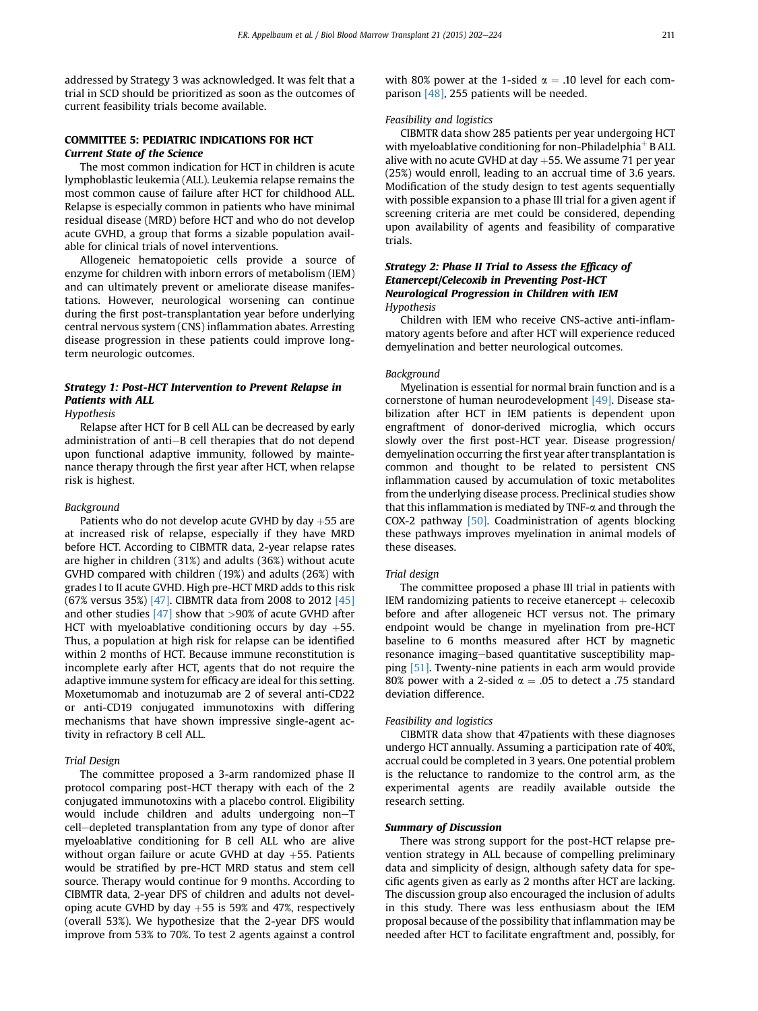addressed by Strategy 3 was acknowledged. It was felt that a trial in SCD should be prioritized as soon as the outcomes of current feasibility trials become available.

# COMMITTEE 5: PEDIATRIC INDICATIONS FOR HCT Current State of the Science

The most common indication for HCT in children is acute lymphoblastic leukemia (ALL). Leukemia relapse remains the most common cause of failure after HCT for childhood ALL. Relapse is especially common in patients who have minimal residual disease (MRD) before HCT and who do not develop acute GVHD, a group that forms a sizable population available for clinical trials of novel interventions.

Allogeneic hematopoietic cells provide a source of enzyme for children with inborn errors of metabolism (IEM) and can ultimately prevent or ameliorate disease manifestations. However, neurological worsening can continue during the first post-transplantation year before underlying central nervous system (CNS) inflammation abates. Arresting disease progression in these patients could improve longterm neurologic outcomes.

# Strategy 1: Post-HCT Intervention to Prevent Relapse in Patients with ALL

#### Hypothesis

Relapse after HCT for B cell ALL can be decreased by early administration of anti $-B$  cell therapies that do not depend upon functional adaptive immunity, followed by maintenance therapy through the first year after HCT, when relapse risk is highest.

#### Background

Patients who do not develop acute GVHD by day  $+55$  are at increased risk of relapse, especially if they have MRD before HCT. According to CIBMTR data, 2-year relapse rates are higher in children (31%) and adults (36%) without acute GVHD compared with children (19%) and adults (26%) with grades I to II acute GVHD. High pre-HCT MRD adds to this risk (67% versus 35%) [\[47\].](#page-20-0) CIBMTR data from 2008 to 2012 [\[45\]](#page-20-0) and other studies  $[47]$  show that >90% of acute GVHD after HCT with myeloablative conditioning occurs by day  $+55$ . Thus, a population at high risk for relapse can be identified within 2 months of HCT. Because immune reconstitution is incomplete early after HCT, agents that do not require the adaptive immune system for efficacy are ideal for this setting. Moxetumomab and inotuzumab are 2 of several anti-CD22 or anti-CD19 conjugated immunotoxins with differing mechanisms that have shown impressive single-agent activity in refractory B cell ALL.

#### Trial Design

The committee proposed a 3-arm randomized phase II protocol comparing post-HCT therapy with each of the 2 conjugated immunotoxins with a placebo control. Eligibility would include children and adults undergoing non-T cell-depleted transplantation from any type of donor after myeloablative conditioning for B cell ALL who are alive without organ failure or acute GVHD at day  $+55$ . Patients would be stratified by pre-HCT MRD status and stem cell source. Therapy would continue for 9 months. According to CIBMTR data, 2-year DFS of children and adults not developing acute GVHD by day  $+55$  is 59% and 47%, respectively (overall 53%). We hypothesize that the 2-year DFS would improve from 53% to 70%. To test 2 agents against a control

with 80% power at the 1-sided  $\alpha = .10$  level for each comparison [\[48\],](#page-20-0) 255 patients will be needed.

## Feasibility and logistics

CIBMTR data show 285 patients per year undergoing HCT with myeloablative conditioning for non-Philadelphia<sup>+</sup> B ALL alive with no acute GVHD at day  $+55$ . We assume 71 per year (25%) would enroll, leading to an accrual time of 3.6 years. Modification of the study design to test agents sequentially with possible expansion to a phase III trial for a given agent if screening criteria are met could be considered, depending upon availability of agents and feasibility of comparative trials.

# Strategy 2: Phase II Trial to Assess the Efficacy of Etanercept/Celecoxib in Preventing Post-HCT Neurological Progression in Children with IEM Hypothesis

Children with IEM who receive CNS-active anti-inflammatory agents before and after HCT will experience reduced demyelination and better neurological outcomes.

#### **Background**

Myelination is essential for normal brain function and is a cornerstone of human neurodevelopment [\[49\]](#page-20-0). Disease stabilization after HCT in IEM patients is dependent upon engraftment of donor-derived microglia, which occurs slowly over the first post-HCT year. Disease progression/ demyelination occurring the first year after transplantation is common and thought to be related to persistent CNS inflammation caused by accumulation of toxic metabolites from the underlying disease process. Preclinical studies show that this inflammation is mediated by TNF- $\alpha$  and through the COX-2 pathway [\[50\].](#page-20-0) Coadministration of agents blocking these pathways improves myelination in animal models of these diseases.

#### Trial design

The committee proposed a phase III trial in patients with IEM randomizing patients to receive etanercept  $+$  celecoxib before and after allogeneic HCT versus not. The primary endpoint would be change in myelination from pre-HCT baseline to 6 months measured after HCT by magnetic resonance imaging-based quantitative susceptibility mapping [\[51\]](#page-20-0). Twenty-nine patients in each arm would provide 80% power with a 2-sided  $\alpha = .05$  to detect a .75 standard deviation difference.

#### Feasibility and logistics

CIBMTR data show that 47patients with these diagnoses undergo HCT annually. Assuming a participation rate of 40%, accrual could be completed in 3 years. One potential problem is the reluctance to randomize to the control arm, as the experimental agents are readily available outside the research setting.

#### Summary of Discussion

There was strong support for the post-HCT relapse prevention strategy in ALL because of compelling preliminary data and simplicity of design, although safety data for specific agents given as early as 2 months after HCT are lacking. The discussion group also encouraged the inclusion of adults in this study. There was less enthusiasm about the IEM proposal because of the possibility that inflammation may be needed after HCT to facilitate engraftment and, possibly, for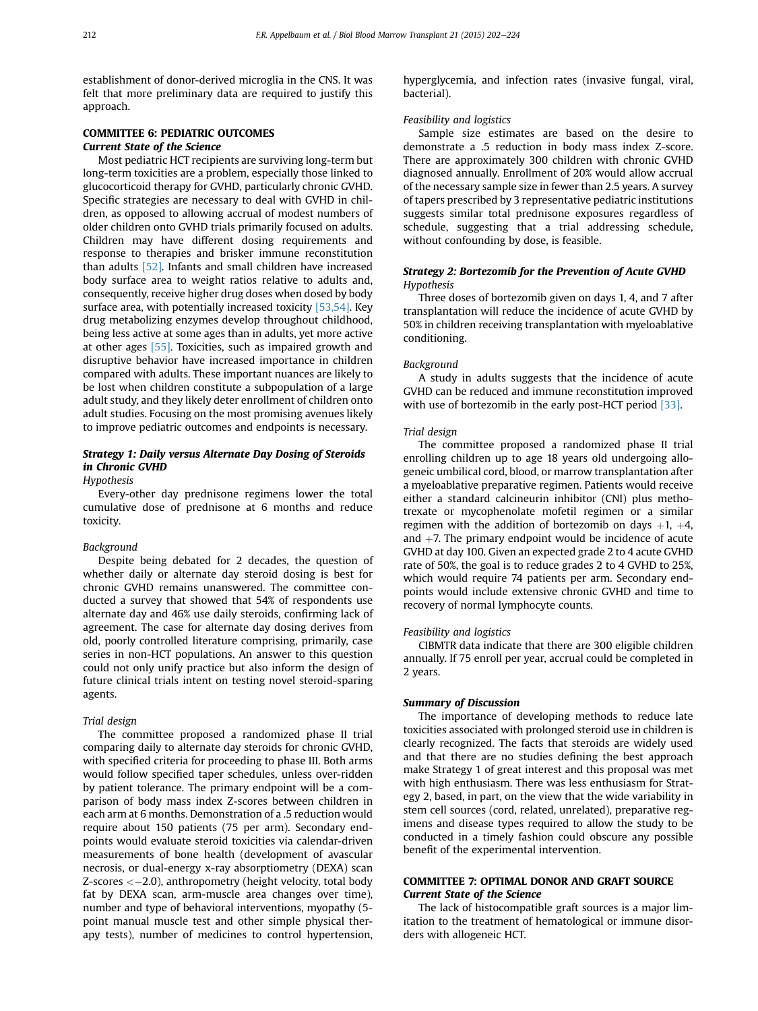establishment of donor-derived microglia in the CNS. It was felt that more preliminary data are required to justify this approach.

# **COMMITTEE COMMITTEE COMMITTEE COMMITTEE**

Most pediatric HCT recipients are surviving long-term but long-term toxicities are a problem, especially those linked to glucocorticoid therapy for GVHD, particularly chronic GVHD. Specific strategies are necessary to deal with GVHD in children, as opposed to allowing accrual of modest numbers of older children onto GVHD trials primarily focused on adults. Children may have different dosing requirements and response to therapies and brisker immune reconstitution than adults [\[52\].](#page-20-0) Infants and small children have increased body surface area to weight ratios relative to adults and, consequently, receive higher drug doses when dosed by body surface area, with potentially increased toxicity [\[53,54\].](#page-20-0) Key drug metabolizing enzymes develop throughout childhood, being less active at some ages than in adults, yet more active at other ages [\[55\].](#page-21-0) Toxicities, such as impaired growth and disruptive behavior have increased importance in children compared with adults. These important nuances are likely to be lost when children constitute a subpopulation of a large adult study, and they likely deter enrollment of children onto adult studies. Focusing on the most promising avenues likely to improve pediatric outcomes and endpoints is necessary.

# Strategy 1: Daily versus Alternate Day Dosing of Steroids in Chronic GVHD

#### Hypothesis

Every-other day prednisone regimens lower the total cumulative dose of prednisone at 6 months and reduce toxicity.

#### Background

Despite being debated for 2 decades, the question of whether daily or alternate day steroid dosing is best for chronic GVHD remains unanswered. The committee conducted a survey that showed that 54% of respondents use alternate day and 46% use daily steroids, confirming lack of agreement. The case for alternate day dosing derives from old, poorly controlled literature comprising, primarily, case series in non-HCT populations. An answer to this question could not only unify practice but also inform the design of future clinical trials intent on testing novel steroid-sparing agents.

#### Trial design

The committee proposed a randomized phase II trial comparing daily to alternate day steroids for chronic GVHD, with specified criteria for proceeding to phase III. Both arms would follow specified taper schedules, unless over-ridden by patient tolerance. The primary endpoint will be a comparison of body mass index Z-scores between children in each arm at 6 months. Demonstration of a .5 reduction would require about 150 patients (75 per arm). Secondary endpoints would evaluate steroid toxicities via calendar-driven measurements of bone health (development of avascular necrosis, or dual-energy x-ray absorptiometry (DEXA) scan  $Z$ -scores  $<-2.0$ ), anthropometry (height velocity, total body fat by DEXA scan, arm-muscle area changes over time), number and type of behavioral interventions, myopathy (5 point manual muscle test and other simple physical therapy tests), number of medicines to control hypertension, hyperglycemia, and infection rates (invasive fungal, viral, bacterial).

#### Feasibility and logistics

Sample size estimates are based on the desire to demonstrate a .5 reduction in body mass index Z-score. There are approximately 300 children with chronic GVHD diagnosed annually. Enrollment of 20% would allow accrual of the necessary sample size in fewer than 2.5 years. A survey of tapers prescribed by 3 representative pediatric institutions suggests similar total prednisone exposures regardless of schedule, suggesting that a trial addressing schedule, without confounding by dose, is feasible.

# Strategy 2: Bortezomib for the Prevention of Acute GVHD Hypothesis

Three doses of bortezomib given on days 1, 4, and 7 after transplantation will reduce the incidence of acute GVHD by 50% in children receiving transplantation with myeloablative conditioning.

#### Background

A study in adults suggests that the incidence of acute GVHD can be reduced and immune reconstitution improved with use of bortezomib in the early post-HCT period [\[33\].](#page-20-0)

#### Trial design

The committee proposed a randomized phase II trial enrolling children up to age 18 years old undergoing allogeneic umbilical cord, blood, or marrow transplantation after a myeloablative preparative regimen. Patients would receive either a standard calcineurin inhibitor (CNI) plus methotrexate or mycophenolate mofetil regimen or a similar regimen with the addition of bortezomib on days  $+1$ ,  $+4$ , and  $+7$ . The primary endpoint would be incidence of acute GVHD at day 100. Given an expected grade 2 to 4 acute GVHD rate of 50%, the goal is to reduce grades 2 to 4 GVHD to 25%, which would require 74 patients per arm. Secondary endpoints would include extensive chronic GVHD and time to recovery of normal lymphocyte counts.

### Feasibility and logistics

CIBMTR data indicate that there are 300 eligible children annually. If 75 enroll per year, accrual could be completed in 2 years.

## Summary of Discussion

The importance of developing methods to reduce late toxicities associated with prolonged steroid use in children is clearly recognized. The facts that steroids are widely used and that there are no studies defining the best approach make Strategy 1 of great interest and this proposal was met with high enthusiasm. There was less enthusiasm for Strategy 2, based, in part, on the view that the wide variability in stem cell sources (cord, related, unrelated), preparative regimens and disease types required to allow the study to be conducted in a timely fashion could obscure any possible benefit of the experimental intervention.

# **COMMITTEE 1: OPTIMAL DOMORATION** STATE SOURCE

The lack of histocompatible graft sources is a major limitation to the treatment of hematological or immune disorders with allogeneic HCT.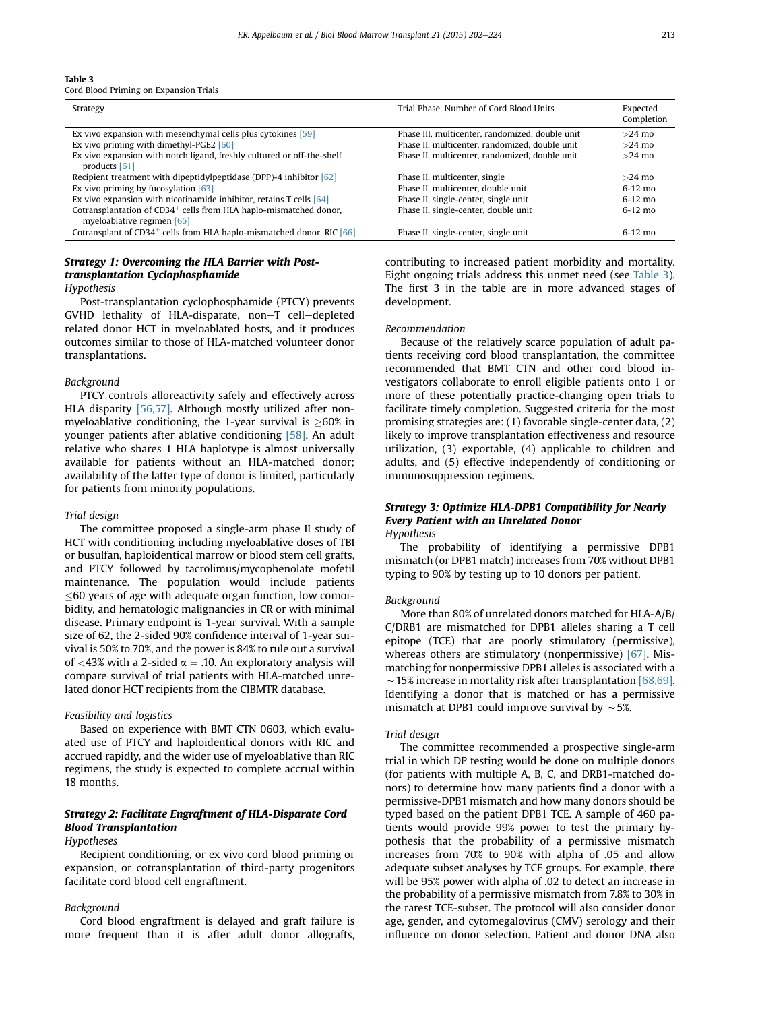#### Table 3

-<br>Cord Blood Priming on Expansion Trials

| Trial Phase, Number of Cord Blood Units         | Expected<br>Completion |
|-------------------------------------------------|------------------------|
| Phase III, multicenter, randomized, double unit | $>24$ mo               |
| Phase II, multicenter, randomized, double unit  | $>24$ mo               |
| Phase II, multicenter, randomized, double unit  | $>24$ mo               |
| Phase II, multicenter, single                   | $>24$ mo               |
| Phase II, multicenter, double unit              | $6-12$ mo              |
| Phase II, single-center, single unit            | $6-12$ mo              |
| Phase II, single-center, double unit            | $6-12$ mo              |
| Phase II, single-center, single unit            | $6-12$ mo              |
|                                                 |                        |

# Strategy 1: Overcoming the HLA Barrier with Posttransplantation Cyclophosphamide

#### Hypothesis

Post-transplantation cyclophosphamide (PTCY) prevents GVHD lethality of HLA-disparate, non-T cell-depleted related donor HCT in myeloablated hosts, and it produces outcomes similar to those of HLA-matched volunteer donor transplantations.

#### Background

PTCY controls alloreactivity safely and effectively across HLA disparity [\[56,57\]](#page-21-0). Although mostly utilized after nonmyeloablative conditioning, the 1-year survival is  $\geq$ 60% in younger patients after ablative conditioning [\[58\]](#page-21-0). An adult relative who shares 1 HLA haplotype is almost universally available for patients without an HLA-matched donor; availability of the latter type of donor is limited, particularly for patients from minority populations.

#### Trial design

The committee proposed a single-arm phase II study of HCT with conditioning including myeloablative doses of TBI or busulfan, haploidentical marrow or blood stem cell grafts, and PTCY followed by tacrolimus/mycophenolate mofetil maintenance. The population would include patients  $\leq$ 60 years of age with adequate organ function, low comorbidity, and hematologic malignancies in CR or with minimal disease. Primary endpoint is 1-year survival. With a sample size of 62, the 2-sided 90% confidence interval of 1-year survival is 50% to 70%, and the power is 84% to rule out a survival of  $\langle 43\%$  with a 2-sided  $\alpha = .10$ . An exploratory analysis will compare survival of trial patients with HLA-matched unrelated donor HCT recipients from the CIBMTR database.

#### Feasibility and logistics

Based on experience with BMT CTN 0603, which evaluated use of PTCY and haploidentical donors with RIC and accrued rapidly, and the wider use of myeloablative than RIC regimens, the study is expected to complete accrual within 18 months.

# Strategy 2: Facilitate Engraftment of HLA-Disparate Cord Blood Transplantation

### Hypotheses

Recipient conditioning, or ex vivo cord blood priming or expansion, or cotransplantation of third-party progenitors facilitate cord blood cell engraftment.

#### **Background**

Cord blood engraftment is delayed and graft failure is more frequent than it is after adult donor allografts,

contributing to increased patient morbidity and mortality. Eight ongoing trials address this unmet need (see Table 3). The first 3 in the table are in more advanced stages of development.

#### Recommendation

Because of the relatively scarce population of adult patients receiving cord blood transplantation, the committee recommended that BMT CTN and other cord blood investigators collaborate to enroll eligible patients onto 1 or more of these potentially practice-changing open trials to facilitate timely completion. Suggested criteria for the most promising strategies are: (1) favorable single-center data, (2) likely to improve transplantation effectiveness and resource utilization, (3) exportable, (4) applicable to children and adults, and (5) effective independently of conditioning or immunosuppression regimens.

# Strategy 3: Optimize HLA-DPB1 Compatibility for Nearly Every Patient with an Unrelated Donor

Hypothesis

The probability of identifying a permissive DPB1 mismatch (or DPB1 match) increases from 70% without DPB1 typing to 90% by testing up to 10 donors per patient.

#### Background

More than 80% of unrelated donors matched for HLA-A/B/ C/DRB1 are mismatched for DPB1 alleles sharing a T cell epitope (TCE) that are poorly stimulatory (permissive), whereas others are stimulatory (nonpermissive) [\[67\].](#page-21-0) Mismatching for nonpermissive DPB1 alleles is associated with a  $\sim$  15% increase in mortality risk after transplantation [\[68,69\]](#page-21-0). Identifying a donor that is matched or has a permissive mismatch at DPB1 could improve survival by  $\sim$  5%.

#### Trial design

The committee recommended a prospective single-arm trial in which DP testing would be done on multiple donors (for patients with multiple A, B, C, and DRB1-matched donors) to determine how many patients find a donor with a permissive-DPB1 mismatch and how many donors should be typed based on the patient DPB1 TCE. A sample of 460 patients would provide 99% power to test the primary hypothesis that the probability of a permissive mismatch increases from 70% to 90% with alpha of .05 and allow adequate subset analyses by TCE groups. For example, there will be 95% power with alpha of .02 to detect an increase in the probability of a permissive mismatch from 7.8% to 30% in the rarest TCE-subset. The protocol will also consider donor age, gender, and cytomegalovirus (CMV) serology and their influence on donor selection. Patient and donor DNA also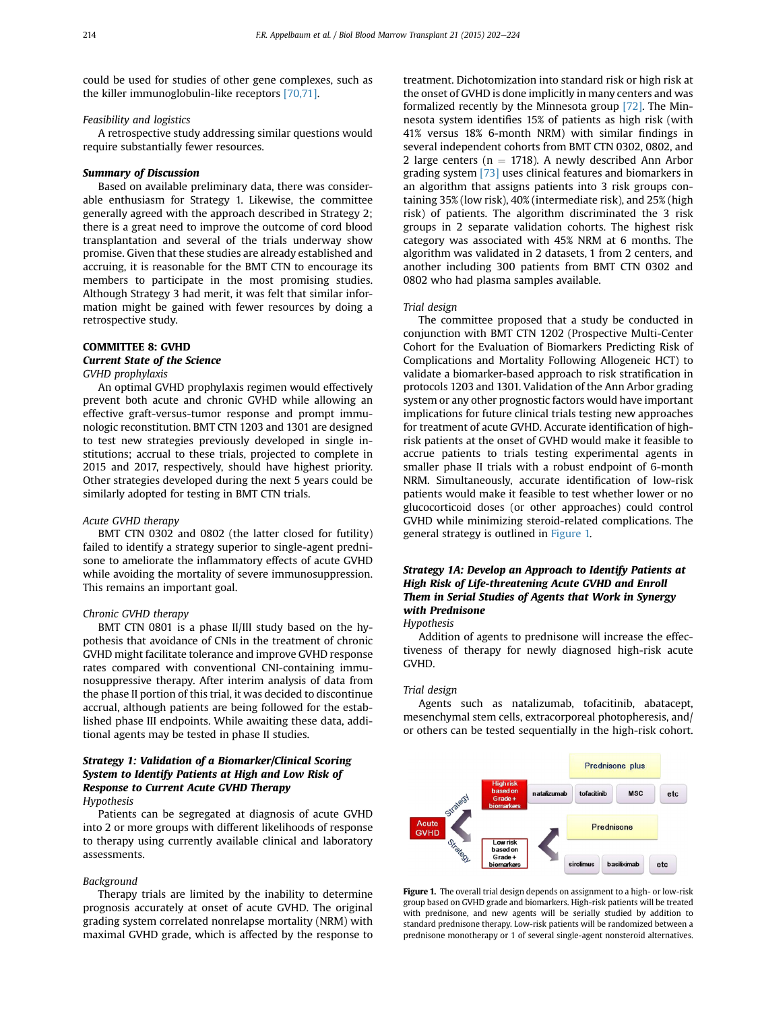could be used for studies of other gene complexes, such as the killer immunoglobulin-like receptors [\[70,71\].](#page-21-0)

# Feasibility and logistics

A retrospective study addressing similar questions would require substantially fewer resources.

### Summary of Discussion

Based on available preliminary data, there was considerable enthusiasm for Strategy 1. Likewise, the committee generally agreed with the approach described in Strategy 2; there is a great need to improve the outcome of cord blood transplantation and several of the trials underway show promise. Given that these studies are already established and accruing, it is reasonable for the BMT CTN to encourage its members to participate in the most promising studies. Although Strategy 3 had merit, it was felt that similar information might be gained with fewer resources by doing a retrospective study.

#### **COMMITTEE 8: GVHD**

# COMMITTEE 8: GVHD Current State of the Science

# GVHD prophylaxis

An optimal GVHD prophylaxis regimen would effectively prevent both acute and chronic GVHD while allowing an effective graft-versus-tumor response and prompt immunologic reconstitution. BMT CTN 1203 and 1301 are designed to test new strategies previously developed in single institutions; accrual to these trials, projected to complete in 2015 and 2017, respectively, should have highest priority. Other strategies developed during the next 5 years could be similarly adopted for testing in BMT CTN trials.

#### Acute GVHD therapy

BMT CTN 0302 and 0802 (the latter closed for futility) failed to identify a strategy superior to single-agent prednisone to ameliorate the inflammatory effects of acute GVHD while avoiding the mortality of severe immunosuppression. This remains an important goal.

#### Chronic GVHD therapy

BMT CTN 0801 is a phase II/III study based on the hypothesis that avoidance of CNIs in the treatment of chronic GVHD might facilitate tolerance and improve GVHD response rates compared with conventional CNI-containing immunosuppressive therapy. After interim analysis of data from the phase II portion of this trial, it was decided to discontinue accrual, although patients are being followed for the established phase III endpoints. While awaiting these data, additional agents may be tested in phase II studies.

# Strategy 1: Validation of a Biomarker/Clinical Scoring System to Identify Patients at High and Low Risk of Response to Current Acute GVHD Therapy Hypothesis

Patients can be segregated at diagnosis of acute GVHD into 2 or more groups with different likelihoods of response to therapy using currently available clinical and laboratory assessments.

#### Background

Therapy trials are limited by the inability to determine prognosis accurately at onset of acute GVHD. The original grading system correlated nonrelapse mortality (NRM) with maximal GVHD grade, which is affected by the response to treatment. Dichotomization into standard risk or high risk at the onset of GVHD is done implicitly in many centers and was formalized recently by the Minnesota group [\[72\]](#page-21-0). The Minnesota system identifies 15% of patients as high risk (with 41% versus 18% 6-month NRM) with similar findings in several independent cohorts from BMT CTN 0302, 0802, and 2 large centers ( $n = 1718$ ). A newly described Ann Arbor grading system [\[73\]](#page-21-0) uses clinical features and biomarkers in an algorithm that assigns patients into 3 risk groups containing 35% (low risk), 40% (intermediate risk), and 25% (high risk) of patients. The algorithm discriminated the 3 risk groups in 2 separate validation cohorts. The highest risk category was associated with 45% NRM at 6 months. The algorithm was validated in 2 datasets, 1 from 2 centers, and another including 300 patients from BMT CTN 0302 and 0802 who had plasma samples available.

## Trial design

The committee proposed that a study be conducted in conjunction with BMT CTN 1202 (Prospective Multi-Center Cohort for the Evaluation of Biomarkers Predicting Risk of Complications and Mortality Following Allogeneic HCT) to validate a biomarker-based approach to risk stratification in protocols 1203 and 1301. Validation of the Ann Arbor grading system or any other prognostic factors would have important implications for future clinical trials testing new approaches for treatment of acute GVHD. Accurate identification of highrisk patients at the onset of GVHD would make it feasible to accrue patients to trials testing experimental agents in smaller phase II trials with a robust endpoint of 6-month NRM. Simultaneously, accurate identification of low-risk patients would make it feasible to test whether lower or no glucocorticoid doses (or other approaches) could control GVHD while minimizing steroid-related complications. The general strategy is outlined in Figure 1.

# Strategy 1A: Develop an Approach to Identify Patients at High Risk of Life-threatening Acute GVHD and Enroll Them in Serial Studies of Agents that Work in Synergy with Prednisone

## Hypothesis

Addition of agents to prednisone will increase the effectiveness of therapy for newly diagnosed high-risk acute GVHD.

#### Trial design

Agents such as natalizumab, tofacitinib, abatacept, mesenchymal stem cells, extracorporeal photopheresis, and/ or others can be tested sequentially in the high-risk cohort.



Figure 1. The overall trial design depends on assignment to a high- or low-risk group based on GVHD grade and biomarkers. High-risk patients will be treated with prednisone, and new agents will be serially studied by addition to standard prednisone therapy. Low-risk patients will be randomized between a prednisone monotherapy or 1 of several single-agent nonsteroid alternatives.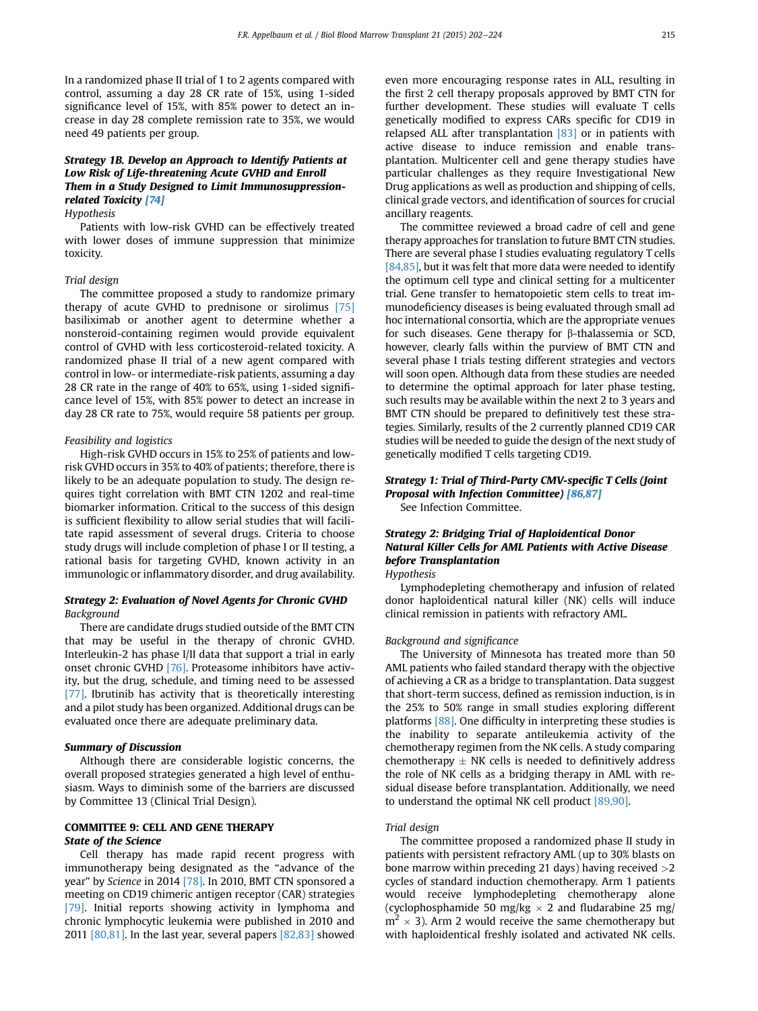In a randomized phase II trial of 1 to 2 agents compared with control, assuming a day 28 CR rate of 15%, using 1-sided significance level of 15%, with 85% power to detect an increase in day 28 complete remission rate to 35%, we would need 49 patients per group.

# Strategy 1B. Develop an Approach to Identify Patients at Low Risk of Life-threatening Acute GVHD and Enroll Them in a Study Designed to Limit Immunosuppressionrelated Toxicity [\[74\]](#page-21-0)

#### Hypothesis

Patients with low-risk GVHD can be effectively treated with lower doses of immune suppression that minimize toxicity.

# Trial design

The committee proposed a study to randomize primary therapy of acute GVHD to prednisone or sirolimus [\[75\]](#page-21-0) basiliximab or another agent to determine whether a nonsteroid-containing regimen would provide equivalent control of GVHD with less corticosteroid-related toxicity. A randomized phase II trial of a new agent compared with control in low- or intermediate-risk patients, assuming a day 28 CR rate in the range of 40% to 65%, using 1-sided significance level of 15%, with 85% power to detect an increase in day 28 CR rate to 75%, would require 58 patients per group.

#### Feasibility and logistics

High-risk GVHD occurs in 15% to 25% of patients and lowrisk GVHD occurs in 35% to 40% of patients; therefore, there is likely to be an adequate population to study. The design requires tight correlation with BMT CTN 1202 and real-time biomarker information. Critical to the success of this design is sufficient flexibility to allow serial studies that will facilitate rapid assessment of several drugs. Criteria to choose study drugs will include completion of phase I or II testing, a rational basis for targeting GVHD, known activity in an immunologic or inflammatory disorder, and drug availability.

### Strategy 2: Evaluation of Novel Agents for Chronic GVHD Background

There are candidate drugs studied outside of the BMT CTN that may be useful in the therapy of chronic GVHD. Interleukin-2 has phase I/II data that support a trial in early onset chronic GVHD [\[76\].](#page-21-0) Proteasome inhibitors have activity, but the drug, schedule, and timing need to be assessed [\[77\]](#page-21-0). Ibrutinib has activity that is theoretically interesting and a pilot study has been organized. Additional drugs can be evaluated once there are adequate preliminary data.

#### Summary of Discussion

Although there are considerable logistic concerns, the overall proposed strategies generated a high level of enthusiasm. Ways to diminish some of the barriers are discussed by Committee 13 (Clinical Trial Design).

# State of the Science

Cell therapy has made rapid recent progress with immunotherapy being designated as the "advance of the year" by Science in 2014 [\[78\].](#page-21-0) In 2010, BMT CTN sponsored a meeting on CD19 chimeric antigen receptor (CAR) strategies [\[79\]](#page-21-0). Initial reports showing activity in lymphoma and chronic lymphocytic leukemia were published in 2010 and 2011  $[80,81]$ . In the last year, several papers  $[82,83]$  showed even more encouraging response rates in ALL, resulting in the first 2 cell therapy proposals approved by BMT CTN for further development. These studies will evaluate T cells genetically modified to express CARs specific for CD19 in relapsed ALL after transplantation  $[83]$  or in patients with active disease to induce remission and enable transplantation. Multicenter cell and gene therapy studies have particular challenges as they require Investigational New Drug applications as well as production and shipping of cells, clinical grade vectors, and identification of sources for crucial ancillary reagents.

The committee reviewed a broad cadre of cell and gene therapy approaches for translation to future BMT CTN studies. There are several phase I studies evaluating regulatory T cells [\[84,85\]](#page-21-0), but it was felt that more data were needed to identify the optimum cell type and clinical setting for a multicenter trial. Gene transfer to hematopoietic stem cells to treat immunodeficiency diseases is being evaluated through small ad hoc international consortia, which are the appropriate venues for such diseases. Gene therapy for  $\beta$ -thalassemia or SCD, however, clearly falls within the purview of BMT CTN and several phase I trials testing different strategies and vectors will soon open. Although data from these studies are needed to determine the optimal approach for later phase testing, such results may be available within the next 2 to 3 years and BMT CTN should be prepared to definitively test these strategies. Similarly, results of the 2 currently planned CD19 CAR studies will be needed to guide the design of the next study of genetically modified T cells targeting CD19.

# Strategy 1: Trial of Third-Party CMV-specific T Cells (Joint Proposal with Infection Committee) [\[86,87\]](#page-21-0)

See Infection Committee.

# Strategy 2: Bridging Trial of Haploidentical Donor Natural Killer Cells for AML Patients with Active Disease before Transplantation

Hypothesis

Lymphodepleting chemotherapy and infusion of related donor haploidentical natural killer (NK) cells will induce clinical remission in patients with refractory AML.

#### Background and significance

The University of Minnesota has treated more than 50 AML patients who failed standard therapy with the objective of achieving a CR as a bridge to transplantation. Data suggest that short-term success, defined as remission induction, is in the 25% to 50% range in small studies exploring different platforms [\[88\].](#page-21-0) One difficulty in interpreting these studies is the inability to separate antileukemia activity of the chemotherapy regimen from the NK cells. A study comparing chemotherapy  $\pm$  NK cells is needed to definitively address the role of NK cells as a bridging therapy in AML with residual disease before transplantation. Additionally, we need to understand the optimal NK cell product [\[89,90\]](#page-21-0).

#### Trial design

The committee proposed a randomized phase II study in patients with persistent refractory AML (up to 30% blasts on bone marrow within preceding 21 days) having received >2 cycles of standard induction chemotherapy. Arm 1 patients would receive lymphodepleting chemotherapy alone (cyclophosphamide 50 mg/kg  $\times$  2 and fludarabine 25 mg/  $m<sup>2</sup>$   $\times$  3). Arm 2 would receive the same chemotherapy but with haploidentical freshly isolated and activated NK cells.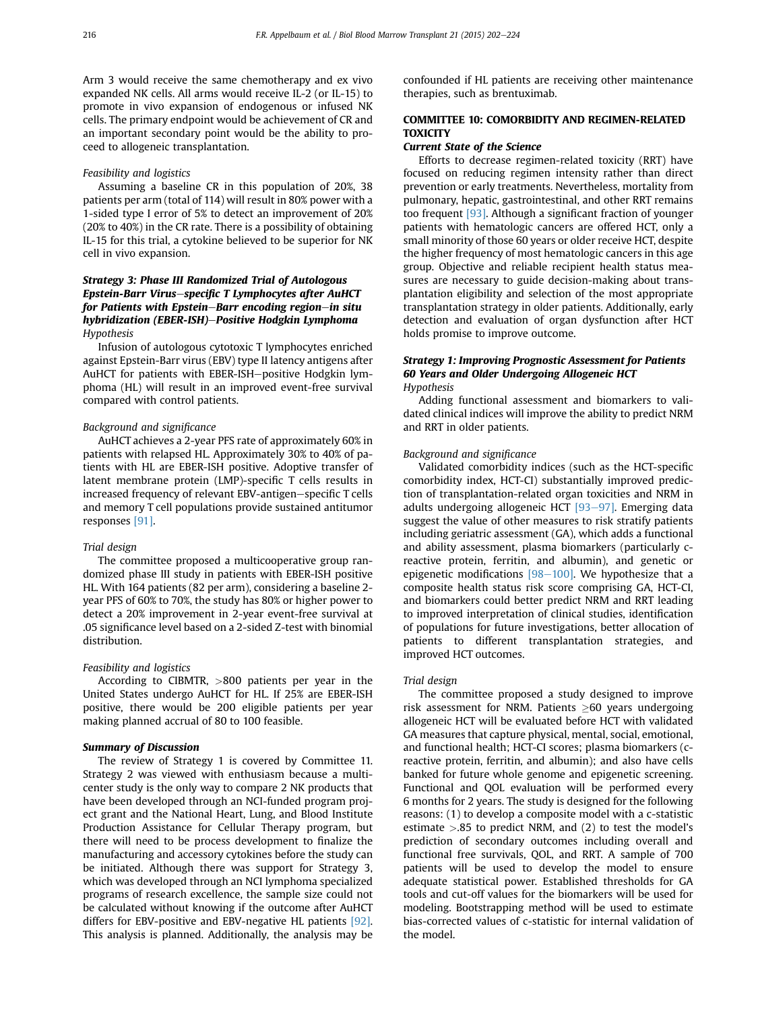Arm 3 would receive the same chemotherapy and ex vivo expanded NK cells. All arms would receive IL-2 (or IL-15) to promote in vivo expansion of endogenous or infused NK cells. The primary endpoint would be achievement of CR and an important secondary point would be the ability to proceed to allogeneic transplantation.

#### Feasibility and logistics

Assuming a baseline CR in this population of 20%, 38 patients per arm (total of 114) will result in 80% power with a 1-sided type I error of 5% to detect an improvement of 20% (20% to 40%) in the CR rate. There is a possibility of obtaining IL-15 for this trial, a cytokine believed to be superior for NK cell in vivo expansion.

# Strategy 3: Phase III Randomized Trial of Autologous Epstein-Barr Virus-specific T Lymphocytes after AuHCT for Patients with Epstein-Barr encoding region-in situ hybridization (EBER-ISH)-Positive Hodgkin Lymphoma Hypothesis

Infusion of autologous cytotoxic T lymphocytes enriched against Epstein-Barr virus (EBV) type II latency antigens after AuHCT for patients with EBER-ISH-positive Hodgkin lymphoma (HL) will result in an improved event-free survival compared with control patients.

#### Background and significance

AuHCT achieves a 2-year PFS rate of approximately 60% in patients with relapsed HL. Approximately 30% to 40% of patients with HL are EBER-ISH positive. Adoptive transfer of latent membrane protein (LMP)-specific T cells results in increased frequency of relevant EBV-antigen–specific T cells and memory T cell populations provide sustained antitumor responses [\[91\].](#page-21-0)

#### Trial design

The committee proposed a multicooperative group randomized phase III study in patients with EBER-ISH positive HL. With 164 patients (82 per arm), considering a baseline 2 year PFS of 60% to 70%, the study has 80% or higher power to detect a 20% improvement in 2-year event-free survival at .05 significance level based on a 2-sided Z-test with binomial distribution.

#### Feasibility and logistics

According to CIBMTR, >800 patients per year in the United States undergo AuHCT for HL. If 25% are EBER-ISH positive, there would be 200 eligible patients per year making planned accrual of 80 to 100 feasible.

#### Summary of Discussion

The review of Strategy 1 is covered by Committee 11. Strategy 2 was viewed with enthusiasm because a multicenter study is the only way to compare 2 NK products that have been developed through an NCI-funded program project grant and the National Heart, Lung, and Blood Institute Production Assistance for Cellular Therapy program, but there will need to be process development to finalize the manufacturing and accessory cytokines before the study can be initiated. Although there was support for Strategy 3, which was developed through an NCI lymphoma specialized programs of research excellence, the sample size could not be calculated without knowing if the outcome after AuHCT differs for EBV-positive and EBV-negative HL patients [\[92\]](#page-21-0). This analysis is planned. Additionally, the analysis may be confounded if HL patients are receiving other maintenance therapies, such as brentuximab.

# **COMMITTEE 10: COMORBIDITY AND REGIMEN-RELATED** TOXICITY

# TOXICITY Current State of the Science

Efforts to decrease regimen-related toxicity (RRT) have focused on reducing regimen intensity rather than direct prevention or early treatments. Nevertheless, mortality from pulmonary, hepatic, gastrointestinal, and other RRT remains too frequent [\[93\].](#page-21-0) Although a significant fraction of younger patients with hematologic cancers are offered HCT, only a small minority of those 60 years or older receive HCT, despite the higher frequency of most hematologic cancers in this age group. Objective and reliable recipient health status measures are necessary to guide decision-making about transplantation eligibility and selection of the most appropriate transplantation strategy in older patients. Additionally, early detection and evaluation of organ dysfunction after HCT holds promise to improve outcome.

# Strategy 1: Improving Prognostic Assessment for Patients 60 Years and Older Undergoing Allogeneic HCT Hypothesis

Adding functional assessment and biomarkers to validated clinical indices will improve the ability to predict NRM and RRT in older patients.

#### Background and significance

Validated comorbidity indices (such as the HCT-specific comorbidity index, HCT-CI) substantially improved prediction of transplantation-related organ toxicities and NRM in adults undergoing allogeneic HCT  $[93-97]$  $[93-97]$  $[93-97]$ . Emerging data suggest the value of other measures to risk stratify patients including geriatric assessment (GA), which adds a functional and ability assessment, plasma biomarkers (particularly creactive protein, ferritin, and albumin), and genetic or epigenetic modifications  $[98-100]$  $[98-100]$  $[98-100]$ . We hypothesize that a composite health status risk score comprising GA, HCT-CI, and biomarkers could better predict NRM and RRT leading to improved interpretation of clinical studies, identification of populations for future investigations, better allocation of patients to different transplantation strategies, and improved HCT outcomes.

#### Trial design

The committee proposed a study designed to improve risk assessment for NRM. Patients  $\geq$ 60 years undergoing allogeneic HCT will be evaluated before HCT with validated GA measures that capture physical, mental, social, emotional, and functional health; HCT-CI scores; plasma biomarkers (creactive protein, ferritin, and albumin); and also have cells banked for future whole genome and epigenetic screening. Functional and QOL evaluation will be performed every 6 months for 2 years. The study is designed for the following reasons: (1) to develop a composite model with a c-statistic estimate >.85 to predict NRM, and (2) to test the model's prediction of secondary outcomes including overall and functional free survivals, QOL, and RRT. A sample of 700 patients will be used to develop the model to ensure adequate statistical power. Established thresholds for GA tools and cut-off values for the biomarkers will be used for modeling. Bootstrapping method will be used to estimate bias-corrected values of c-statistic for internal validation of the model.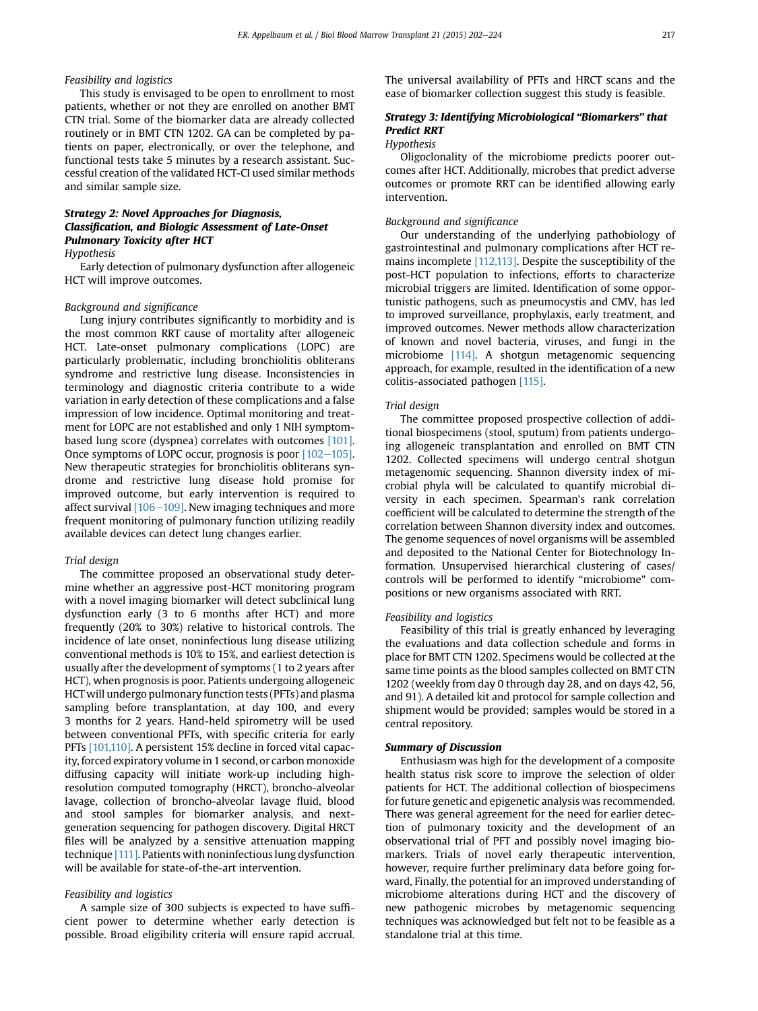### Feasibility and logistics

This study is envisaged to be open to enrollment to most patients, whether or not they are enrolled on another BMT CTN trial. Some of the biomarker data are already collected routinely or in BMT CTN 1202. GA can be completed by patients on paper, electronically, or over the telephone, and functional tests take 5 minutes by a research assistant. Successful creation of the validated HCT-CI used similar methods and similar sample size.

# Strategy 2: Novel Approaches for Diagnosis, Classification, and Biologic Assessment of Late-Onset Pulmonary Toxicity after HCT

Hypothesis

Early detection of pulmonary dysfunction after allogeneic HCT will improve outcomes.

## Background and significance

Lung injury contributes significantly to morbidity and is the most common RRT cause of mortality after allogeneic HCT. Late-onset pulmonary complications (LOPC) are particularly problematic, including bronchiolitis obliterans syndrome and restrictive lung disease. Inconsistencies in terminology and diagnostic criteria contribute to a wide variation in early detection of these complications and a false impression of low incidence. Optimal monitoring and treatment for LOPC are not established and only 1 NIH symptombased lung score (dyspnea) correlates with outcomes [\[101\]](#page-21-0). Once symptoms of LOPC occur, prognosis is poor  $[102-105]$  $[102-105]$  $[102-105]$ . New therapeutic strategies for bronchiolitis obliterans syndrome and restrictive lung disease hold promise for improved outcome, but early intervention is required to affect survival  $[106-109]$  $[106-109]$  $[106-109]$ . New imaging techniques and more frequent monitoring of pulmonary function utilizing readily available devices can detect lung changes earlier.

#### Trial design

The committee proposed an observational study determine whether an aggressive post-HCT monitoring program with a novel imaging biomarker will detect subclinical lung dysfunction early (3 to 6 months after HCT) and more frequently (20% to 30%) relative to historical controls. The incidence of late onset, noninfectious lung disease utilizing conventional methods is 10% to 15%, and earliest detection is usually after the development of symptoms (1 to 2 years after HCT), when prognosis is poor. Patients undergoing allogeneic HCT will undergo pulmonary function tests (PFTs) and plasma sampling before transplantation, at day 100, and every 3 months for 2 years. Hand-held spirometry will be used between conventional PFTs, with specific criteria for early PFTs [\[101,110\]](#page-21-0). A persistent 15% decline in forced vital capacity, forced expiratory volume in 1 second, or carbon monoxide diffusing capacity will initiate work-up including highresolution computed tomography (HRCT), broncho-alveolar lavage, collection of broncho-alveolar lavage fluid, blood and stool samples for biomarker analysis, and nextgeneration sequencing for pathogen discovery. Digital HRCT files will be analyzed by a sensitive attenuation mapping technique [\[111\]](#page-22-0). Patients with noninfectious lung dysfunction will be available for state-of-the-art intervention.

#### Feasibility and logistics

A sample size of 300 subjects is expected to have sufficient power to determine whether early detection is possible. Broad eligibility criteria will ensure rapid accrual. The universal availability of PFTs and HRCT scans and the ease of biomarker collection suggest this study is feasible.

# Strategy 3: Identifying Microbiological "Biomarkers" that Predict RRT

#### Hypothesis

Oligoclonality of the microbiome predicts poorer outcomes after HCT. Additionally, microbes that predict adverse outcomes or promote RRT can be identified allowing early intervention.

#### Background and significance

Our understanding of the underlying pathobiology of gastrointestinal and pulmonary complications after HCT remains incomplete [\[112,113\].](#page-22-0) Despite the susceptibility of the post-HCT population to infections, efforts to characterize microbial triggers are limited. Identification of some opportunistic pathogens, such as pneumocystis and CMV, has led to improved surveillance, prophylaxis, early treatment, and improved outcomes. Newer methods allow characterization of known and novel bacteria, viruses, and fungi in the microbiome [\[114\]](#page-22-0). A shotgun metagenomic sequencing approach, for example, resulted in the identification of a new colitis-associated pathogen [\[115\].](#page-22-0)

#### Trial design

The committee proposed prospective collection of additional biospecimens (stool, sputum) from patients undergoing allogeneic transplantation and enrolled on BMT CTN 1202. Collected specimens will undergo central shotgun metagenomic sequencing. Shannon diversity index of microbial phyla will be calculated to quantify microbial diversity in each specimen. Spearman's rank correlation coefficient will be calculated to determine the strength of the correlation between Shannon diversity index and outcomes. The genome sequences of novel organisms will be assembled and deposited to the National Center for Biotechnology Information. Unsupervised hierarchical clustering of cases/ controls will be performed to identify "microbiome" compositions or new organisms associated with RRT.

#### Feasibility and logistics

Feasibility of this trial is greatly enhanced by leveraging the evaluations and data collection schedule and forms in place for BMT CTN 1202. Specimens would be collected at the same time points as the blood samples collected on BMT CTN 1202 (weekly from day 0 through day 28, and on days 42, 56, and 91). A detailed kit and protocol for sample collection and shipment would be provided; samples would be stored in a central repository.

#### Summary of Discussion

Enthusiasm was high for the development of a composite health status risk score to improve the selection of older patients for HCT. The additional collection of biospecimens for future genetic and epigenetic analysis was recommended. There was general agreement for the need for earlier detection of pulmonary toxicity and the development of an observational trial of PFT and possibly novel imaging biomarkers. Trials of novel early therapeutic intervention, however, require further preliminary data before going forward, Finally, the potential for an improved understanding of microbiome alterations during HCT and the discovery of new pathogenic microbes by metagenomic sequencing techniques was acknowledged but felt not to be feasible as a standalone trial at this time.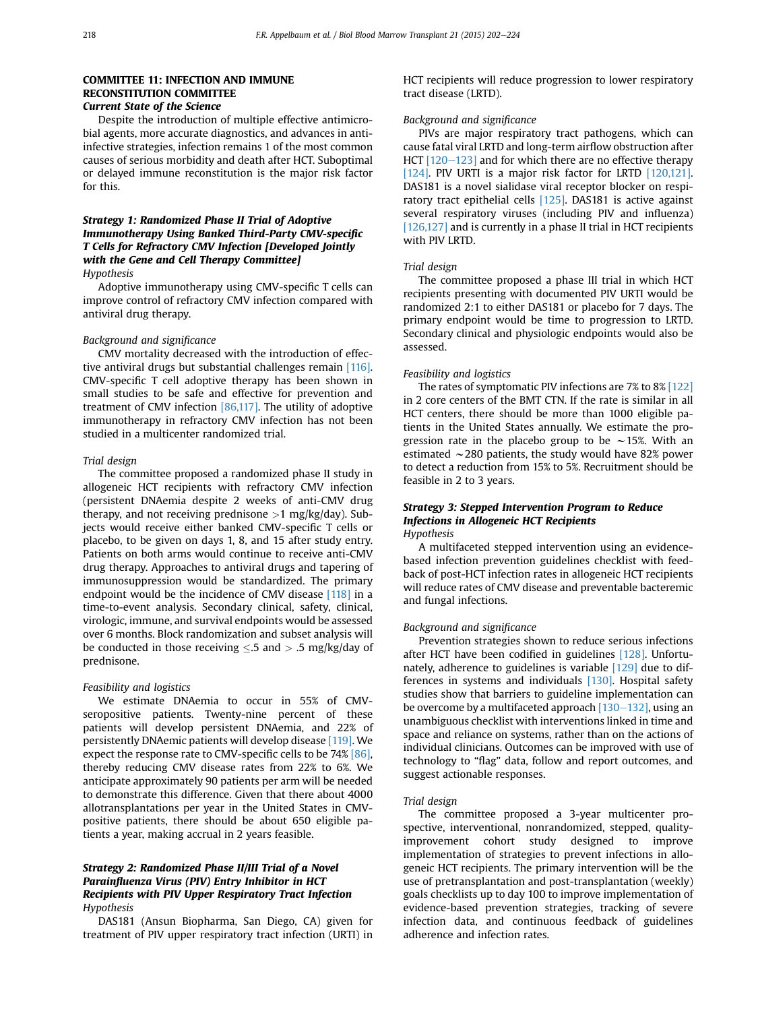# COMMITTEE 11: INFECTION AND IMMUNE RECONSTITUTION COMMITTEE Current State of the Science

Despite the introduction of multiple effective antimicrobial agents, more accurate diagnostics, and advances in antiinfective strategies, infection remains 1 of the most common causes of serious morbidity and death after HCT. Suboptimal or delayed immune reconstitution is the major risk factor for this.

# Strategy 1: Randomized Phase II Trial of Adoptive Immunotherapy Using Banked Third-Party CMV-specific T Cells for Refractory CMV Infection [Developed Jointly with the Gene and Cell Therapy Committee] Hypothesis

Adoptive immunotherapy using CMV-specific T cells can improve control of refractory CMV infection compared with antiviral drug therapy.

#### Background and significance

CMV mortality decreased with the introduction of effective antiviral drugs but substantial challenges remain [\[116\]](#page-22-0). CMV-specific T cell adoptive therapy has been shown in small studies to be safe and effective for prevention and treatment of CMV infection  $[86,117]$ . The utility of adoptive immunotherapy in refractory CMV infection has not been studied in a multicenter randomized trial.

#### Trial design

The committee proposed a randomized phase II study in allogeneic HCT recipients with refractory CMV infection (persistent DNAemia despite 2 weeks of anti-CMV drug therapy, and not receiving prednisone  $>1$  mg/kg/day). Subjects would receive either banked CMV-specific T cells or placebo, to be given on days 1, 8, and 15 after study entry. Patients on both arms would continue to receive anti-CMV drug therapy. Approaches to antiviral drugs and tapering of immunosuppression would be standardized. The primary endpoint would be the incidence of CMV disease [\[118\]](#page-22-0) in a time-to-event analysis. Secondary clinical, safety, clinical, virologic, immune, and survival endpoints would be assessed over 6 months. Block randomization and subset analysis will be conducted in those receiving  $\leq$ .5 and  $>$  .5 mg/kg/day of prednisone.

#### Feasibility and logistics

We estimate DNAemia to occur in 55% of CMVseropositive patients. Twenty-nine percent of these patients will develop persistent DNAemia, and 22% of persistently DNAemic patients will develop disease [\[119\].](#page-22-0) We expect the response rate to CMV-specific cells to be 74% [\[86\]](#page-21-0), thereby reducing CMV disease rates from 22% to 6%. We anticipate approximately 90 patients per arm will be needed to demonstrate this difference. Given that there about 4000 allotransplantations per year in the United States in CMVpositive patients, there should be about 650 eligible patients a year, making accrual in 2 years feasible.

# Strategy 2: Randomized Phase II/III Trial of a Novel Parainfluenza Virus (PIV) Entry Inhibitor in HCT Recipients with PIV Upper Respiratory Tract Infection Hypothesis

DAS181 (Ansun Biopharma, San Diego, CA) given for treatment of PIV upper respiratory tract infection (URTI) in HCT recipients will reduce progression to lower respiratory tract disease (LRTD).

#### Background and significance

PIVs are major respiratory tract pathogens, which can cause fatal viral LRTD and long-term airflow obstruction after HCT  $[120-123]$  $[120-123]$  $[120-123]$  and for which there are no effective therapy [\[124\].](#page-22-0) PIV URTI is a major risk factor for LRTD [\[120,121\]](#page-22-0). DAS181 is a novel sialidase viral receptor blocker on respiratory tract epithelial cells [\[125\].](#page-22-0) DAS181 is active against several respiratory viruses (including PIV and influenza) [\[126,127\]](#page-22-0) and is currently in a phase II trial in HCT recipients with PIV LRTD.

#### Trial design

The committee proposed a phase III trial in which HCT recipients presenting with documented PIV URTI would be randomized 2:1 to either DAS181 or placebo for 7 days. The primary endpoint would be time to progression to LRTD. Secondary clinical and physiologic endpoints would also be assessed.

#### Feasibility and logistics

The rates of symptomatic PIV infections are 7% to 8% [\[122\]](#page-22-0) in 2 core centers of the BMT CTN. If the rate is similar in all HCT centers, there should be more than 1000 eligible patients in the United States annually. We estimate the progression rate in the placebo group to be  $\sim$  15%. With an estimated  $\sim$  280 patients, the study would have 82% power to detect a reduction from 15% to 5%. Recruitment should be feasible in 2 to 3 years.

### Strategy 3: Stepped Intervention Program to Reduce Infections in Allogeneic HCT Recipients Hypothesis

A multifaceted stepped intervention using an evidencebased infection prevention guidelines checklist with feedback of post-HCT infection rates in allogeneic HCT recipients will reduce rates of CMV disease and preventable bacteremic and fungal infections.

#### Background and significance

Prevention strategies shown to reduce serious infections after HCT have been codified in guidelines [\[128\]](#page-22-0). Unfortu-nately, adherence to guidelines is variable [\[129\]](#page-22-0) due to dif-ferences in systems and individuals [\[130\].](#page-22-0) Hospital safety studies show that barriers to guideline implementation can be overcome by a multifaceted approach  $[130-132]$  $[130-132]$  $[130-132]$ , using an unambiguous checklist with interventions linked in time and space and reliance on systems, rather than on the actions of individual clinicians. Outcomes can be improved with use of technology to "flag" data, follow and report outcomes, and suggest actionable responses.

#### Trial design

The committee proposed a 3-year multicenter prospective, interventional, nonrandomized, stepped, qualityimprovement cohort study designed to improve implementation of strategies to prevent infections in allogeneic HCT recipients. The primary intervention will be the use of pretransplantation and post-transplantation (weekly) goals checklists up to day 100 to improve implementation of evidence-based prevention strategies, tracking of severe infection data, and continuous feedback of guidelines adherence and infection rates.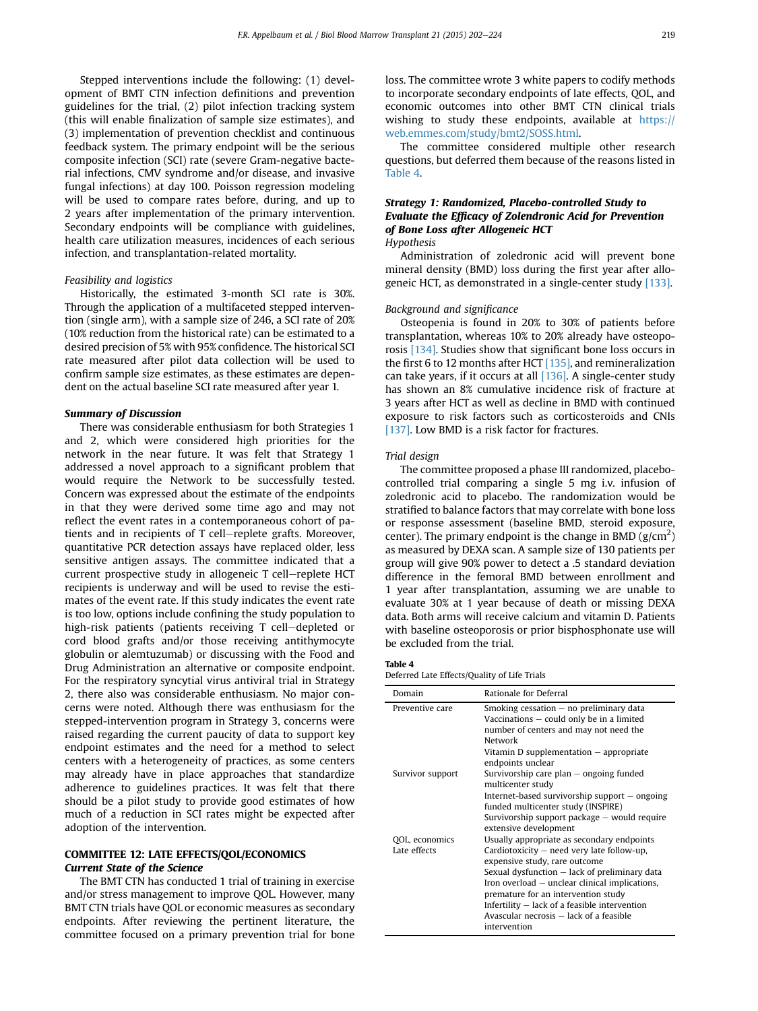Stepped interventions include the following: (1) development of BMT CTN infection definitions and prevention guidelines for the trial, (2) pilot infection tracking system (this will enable finalization of sample size estimates), and (3) implementation of prevention checklist and continuous feedback system. The primary endpoint will be the serious composite infection (SCI) rate (severe Gram-negative bacterial infections, CMV syndrome and/or disease, and invasive fungal infections) at day 100. Poisson regression modeling will be used to compare rates before, during, and up to 2 years after implementation of the primary intervention. Secondary endpoints will be compliance with guidelines, health care utilization measures, incidences of each serious infection, and transplantation-related mortality.

# Feasibility and logistics

Historically, the estimated 3-month SCI rate is 30%. Through the application of a multifaceted stepped intervention (single arm), with a sample size of 246, a SCI rate of 20% (10% reduction from the historical rate) can be estimated to a desired precision of 5% with 95% confidence. The historical SCI rate measured after pilot data collection will be used to confirm sample size estimates, as these estimates are dependent on the actual baseline SCI rate measured after year 1.

#### Summary of Discussion

There was considerable enthusiasm for both Strategies 1 and 2, which were considered high priorities for the network in the near future. It was felt that Strategy 1 addressed a novel approach to a significant problem that would require the Network to be successfully tested. Concern was expressed about the estimate of the endpoints in that they were derived some time ago and may not reflect the event rates in a contemporaneous cohort of patients and in recipients of  $T$  cell-replete grafts. Moreover, quantitative PCR detection assays have replaced older, less sensitive antigen assays. The committee indicated that a current prospective study in allogeneic T cell-replete HCT recipients is underway and will be used to revise the estimates of the event rate. If this study indicates the event rate is too low, options include confining the study population to high-risk patients (patients receiving T cell-depleted or cord blood grafts and/or those receiving antithymocyte globulin or alemtuzumab) or discussing with the Food and Drug Administration an alternative or composite endpoint. For the respiratory syncytial virus antiviral trial in Strategy 2, there also was considerable enthusiasm. No major concerns were noted. Although there was enthusiasm for the stepped-intervention program in Strategy 3, concerns were raised regarding the current paucity of data to support key endpoint estimates and the need for a method to select centers with a heterogeneity of practices, as some centers may already have in place approaches that standardize adherence to guidelines practices. It was felt that there should be a pilot study to provide good estimates of how much of a reduction in SCI rates might be expected after adoption of the intervention.

# COMMITTEE 12: LATE EFFECTS/QOL/ECONOMICS Current State of the Science

The BMT CTN has conducted 1 trial of training in exercise and/or stress management to improve QOL. However, many BMT CTN trials have QOL or economic measures as secondary endpoints. After reviewing the pertinent literature, the committee focused on a primary prevention trial for bone

loss. The committee wrote 3 white papers to codify methods to incorporate secondary endpoints of late effects, QOL, and economic outcomes into other BMT CTN clinical trials wishing to study these endpoints, available at [https://](https://web.emmes.com/study/bmt2/SOSS.html) [web.emmes.com/study/bmt2/SOSS.html.](https://web.emmes.com/study/bmt2/SOSS.html)

The committee considered multiple other research questions, but deferred them because of the reasons listed in Table 4.

# Strategy 1: Randomized, Placebo-controlled Study to Evaluate the Efficacy of Zolendronic Acid for Prevention of Bone Loss after Allogeneic HCT Hypothesis

Administration of zoledronic acid will prevent bone mineral density (BMD) loss during the first year after allogeneic HCT, as demonstrated in a single-center study [\[133\]](#page-22-0).

### Background and significance

Osteopenia is found in 20% to 30% of patients before transplantation, whereas 10% to 20% already have osteoporosis [\[134\]](#page-22-0). Studies show that significant bone loss occurs in the first 6 to 12 months after HCT [\[135\],](#page-22-0) and remineralization can take years, if it occurs at all [\[136\].](#page-22-0) A single-center study has shown an 8% cumulative incidence risk of fracture at 3 years after HCT as well as decline in BMD with continued exposure to risk factors such as corticosteroids and CNIs [\[137\]](#page-22-0). Low BMD is a risk factor for fractures.

#### Trial design

The committee proposed a phase III randomized, placebocontrolled trial comparing a single 5 mg i.v. infusion of zoledronic acid to placebo. The randomization would be stratified to balance factors that may correlate with bone loss or response assessment (baseline BMD, steroid exposure, center). The primary endpoint is the change in BMD (g/cm<sup>2</sup>) as measured by DEXA scan. A sample size of 130 patients per group will give 90% power to detect a .5 standard deviation difference in the femoral BMD between enrollment and 1 year after transplantation, assuming we are unable to evaluate 30% at 1 year because of death or missing DEXA data. Both arms will receive calcium and vitamin D. Patients with baseline osteoporosis or prior bisphosphonate use will be excluded from the trial.

Table 4 ------<br>Dafarra

| Deferred Late Effects/Quality of Life Trials |  |  |  |  |  |  |  |
|----------------------------------------------|--|--|--|--|--|--|--|
|----------------------------------------------|--|--|--|--|--|--|--|

| Domain                         | Rationale for Deferral                                                                                                                                                                                                                                                                                                                                                                |
|--------------------------------|---------------------------------------------------------------------------------------------------------------------------------------------------------------------------------------------------------------------------------------------------------------------------------------------------------------------------------------------------------------------------------------|
| Preventive care                | Smoking cessation $-$ no preliminary data<br>Vaccinations – could only be in a limited<br>number of centers and may not need the<br>Network<br>Vitamin D supplementation $-$ appropriate<br>endpoints unclear                                                                                                                                                                         |
| Survivor support               | Survivorship care plan $-$ ongoing funded<br>multicenter study<br>Internet-based survivorship support $-$ ongoing<br>funded multicenter study (INSPIRE)<br>Survivorship support package – would require<br>extensive development                                                                                                                                                      |
| QOL, economics<br>Late effects | Usually appropriate as secondary endpoints<br>Cardiotoxicity $-$ need very late follow-up,<br>expensive study, rare outcome<br>Sexual dysfunction $-$ lack of preliminary data<br>Iron overload – unclear clinical implications,<br>premature for an intervention study<br>Infertility $-$ lack of a feasible intervention<br>Avascular necrosis – lack of a feasible<br>intervention |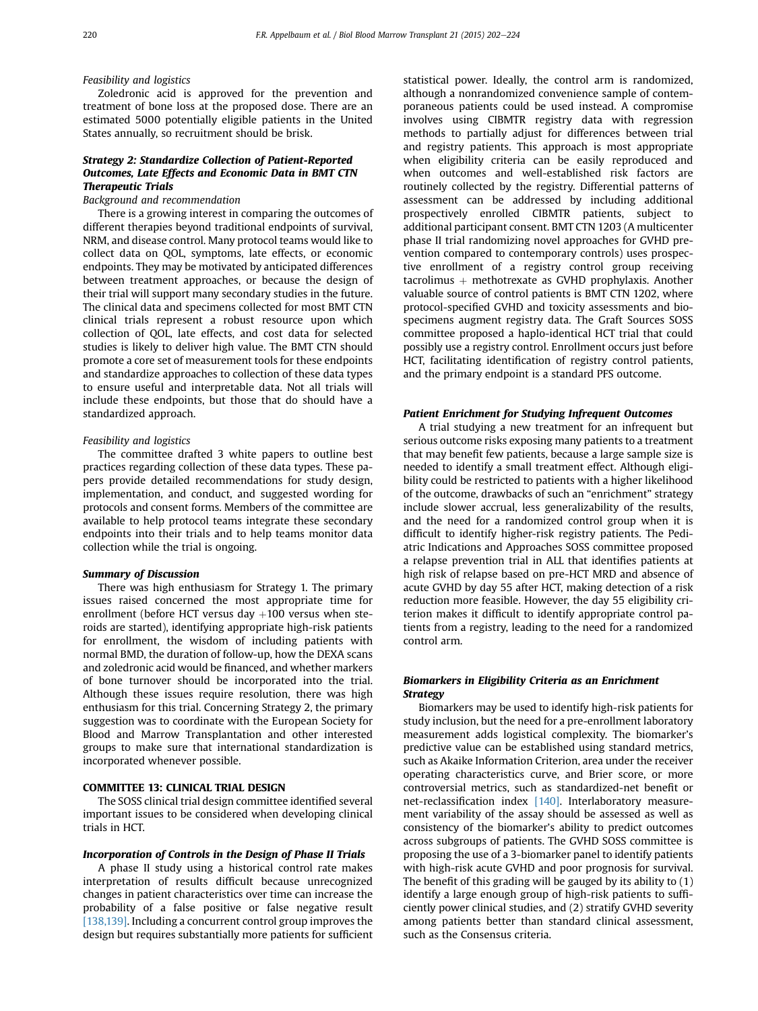#### Feasibility and logistics

Zoledronic acid is approved for the prevention and treatment of bone loss at the proposed dose. There are an estimated 5000 potentially eligible patients in the United States annually, so recruitment should be brisk.

# Strategy 2: Standardize Collection of Patient-Reported Outcomes, Late Effects and Economic Data in BMT CTN Therapeutic Trials

#### Background and recommendation

There is a growing interest in comparing the outcomes of different therapies beyond traditional endpoints of survival, NRM, and disease control. Many protocol teams would like to collect data on QOL, symptoms, late effects, or economic endpoints. They may be motivated by anticipated differences between treatment approaches, or because the design of their trial will support many secondary studies in the future. The clinical data and specimens collected for most BMT CTN clinical trials represent a robust resource upon which collection of QOL, late effects, and cost data for selected studies is likely to deliver high value. The BMT CTN should promote a core set of measurement tools for these endpoints and standardize approaches to collection of these data types to ensure useful and interpretable data. Not all trials will include these endpoints, but those that do should have a standardized approach.

## Feasibility and logistics

The committee drafted 3 white papers to outline best practices regarding collection of these data types. These papers provide detailed recommendations for study design, implementation, and conduct, and suggested wording for protocols and consent forms. Members of the committee are available to help protocol teams integrate these secondary endpoints into their trials and to help teams monitor data collection while the trial is ongoing.

#### Summary of Discussion

There was high enthusiasm for Strategy 1. The primary issues raised concerned the most appropriate time for enrollment (before HCT versus day  $+100$  versus when steroids are started), identifying appropriate high-risk patients for enrollment, the wisdom of including patients with normal BMD, the duration of follow-up, how the DEXA scans and zoledronic acid would be financed, and whether markers of bone turnover should be incorporated into the trial. Although these issues require resolution, there was high enthusiasm for this trial. Concerning Strategy 2, the primary suggestion was to coordinate with the European Society for Blood and Marrow Transplantation and other interested groups to make sure that international standardization is incorporated whenever possible.

The SOSS clinical trial design committee identified several important issues to be considered when developing clinical trials in HCT.

#### Incorporation of Controls in the Design of Phase II Trials

A phase II study using a historical control rate makes interpretation of results difficult because unrecognized changes in patient characteristics over time can increase the probability of a false positive or false negative result [\[138,139\].](#page-22-0) Including a concurrent control group improves the design but requires substantially more patients for sufficient statistical power. Ideally, the control arm is randomized, although a nonrandomized convenience sample of contemporaneous patients could be used instead. A compromise involves using CIBMTR registry data with regression methods to partially adjust for differences between trial and registry patients. This approach is most appropriate when eligibility criteria can be easily reproduced and when outcomes and well-established risk factors are routinely collected by the registry. Differential patterns of assessment can be addressed by including additional prospectively enrolled CIBMTR patients, subject to additional participant consent. BMT CTN 1203 (A multicenter phase II trial randomizing novel approaches for GVHD prevention compared to contemporary controls) uses prospective enrollment of a registry control group receiving  $tacrolimus + methotrexate as GVHD prophylaxis. Another$ valuable source of control patients is BMT CTN 1202, where protocol-specified GVHD and toxicity assessments and biospecimens augment registry data. The Graft Sources SOSS committee proposed a haplo-identical HCT trial that could possibly use a registry control. Enrollment occurs just before HCT, facilitating identification of registry control patients, and the primary endpoint is a standard PFS outcome.

#### Patient Enrichment for Studying Infrequent Outcomes

A trial studying a new treatment for an infrequent but serious outcome risks exposing many patients to a treatment that may benefit few patients, because a large sample size is needed to identify a small treatment effect. Although eligibility could be restricted to patients with a higher likelihood of the outcome, drawbacks of such an "enrichment" strategy include slower accrual, less generalizability of the results, and the need for a randomized control group when it is difficult to identify higher-risk registry patients. The Pediatric Indications and Approaches SOSS committee proposed a relapse prevention trial in ALL that identifies patients at high risk of relapse based on pre-HCT MRD and absence of acute GVHD by day 55 after HCT, making detection of a risk reduction more feasible. However, the day 55 eligibility criterion makes it difficult to identify appropriate control patients from a registry, leading to the need for a randomized control arm.

# Biomarkers in Eligibility Criteria as an Enrichment Strategy

Biomarkers may be used to identify high-risk patients for study inclusion, but the need for a pre-enrollment laboratory measurement adds logistical complexity. The biomarker's predictive value can be established using standard metrics, such as Akaike Information Criterion, area under the receiver operating characteristics curve, and Brier score, or more controversial metrics, such as standardized-net benefit or net-reclassification index [\[140\].](#page-22-0) Interlaboratory measurement variability of the assay should be assessed as well as consistency of the biomarker's ability to predict outcomes across subgroups of patients. The GVHD SOSS committee is proposing the use of a 3-biomarker panel to identify patients with high-risk acute GVHD and poor prognosis for survival. The benefit of this grading will be gauged by its ability to (1) identify a large enough group of high-risk patients to sufficiently power clinical studies, and (2) stratify GVHD severity among patients better than standard clinical assessment, such as the Consensus criteria.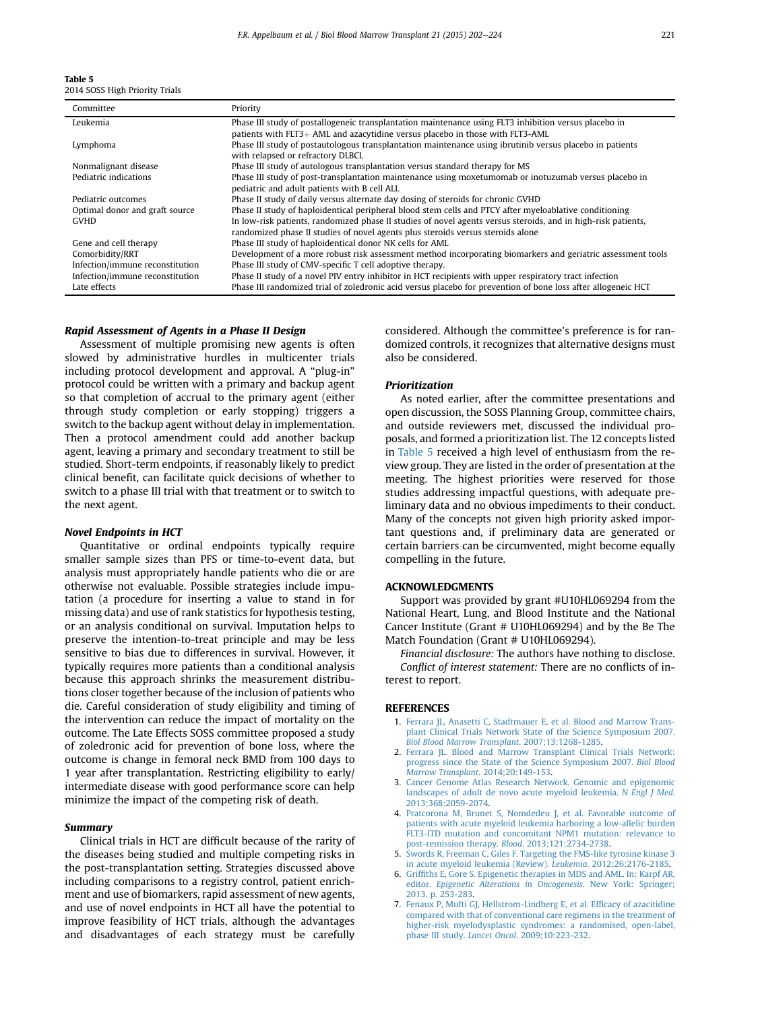<span id="page-19-0"></span>Table 5 ------ -<br>2014 SOSS High Priority Trials

| Committee                       | Priority                                                                                                      |
|---------------------------------|---------------------------------------------------------------------------------------------------------------|
| Leukemia                        | Phase III study of postallogeneic transplantation maintenance using FLT3 inhibition versus placebo in         |
|                                 | patients with $FLT3 + AML$ and azacytidine versus placebo in those with $FLT3-AML$                            |
| Lymphoma                        | Phase III study of postautologous transplantation maintenance using ibrutinib versus placebo in patients      |
|                                 | with relapsed or refractory DLBCL                                                                             |
| Nonmalignant disease            | Phase III study of autologous transplantation versus standard therapy for MS                                  |
| Pediatric indications           | Phase III study of post-transplantation maintenance using moxetumomab or inotuzumab versus placebo in         |
|                                 | pediatric and adult patients with B cell ALL                                                                  |
| Pediatric outcomes              | Phase II study of daily versus alternate day dosing of steroids for chronic GVHD                              |
| Optimal donor and graft source  | Phase II study of haploidentical peripheral blood stem cells and PTCY after myeloablative conditioning        |
| <b>GVHD</b>                     | In low-risk patients, randomized phase II studies of novel agents versus steroids, and in high-risk patients, |
|                                 | randomized phase II studies of novel agents plus steroids versus steroids alone                               |
| Gene and cell therapy           | Phase III study of haploidentical donor NK cells for AML                                                      |
| Comorbidity/RRT                 | Development of a more robust risk assessment method incorporating biomarkers and geriatric assessment tools   |
| Infection/immune reconstitution | Phase III study of CMV-specific T cell adoptive therapy.                                                      |
| Infection/immune reconstitution | Phase II study of a novel PIV entry inhibitor in HCT recipients with upper respiratory tract infection        |
| Late effects                    | Phase III randomized trial of zoledronic acid versus placebo for prevention of bone loss after allogeneic HCT |

#### Rapid Assessment of Agents in a Phase II Design

Assessment of multiple promising new agents is often slowed by administrative hurdles in multicenter trials including protocol development and approval. A "plug-in" protocol could be written with a primary and backup agent so that completion of accrual to the primary agent (either through study completion or early stopping) triggers a switch to the backup agent without delay in implementation. Then a protocol amendment could add another backup agent, leaving a primary and secondary treatment to still be studied. Short-term endpoints, if reasonably likely to predict clinical benefit, can facilitate quick decisions of whether to switch to a phase III trial with that treatment or to switch to the next agent.

#### Novel Endpoints in HCT

Quantitative or ordinal endpoints typically require smaller sample sizes than PFS or time-to-event data, but analysis must appropriately handle patients who die or are otherwise not evaluable. Possible strategies include imputation (a procedure for inserting a value to stand in for missing data) and use of rank statistics for hypothesis testing, or an analysis conditional on survival. Imputation helps to preserve the intention-to-treat principle and may be less sensitive to bias due to differences in survival. However, it typically requires more patients than a conditional analysis because this approach shrinks the measurement distributions closer together because of the inclusion of patients who die. Careful consideration of study eligibility and timing of the intervention can reduce the impact of mortality on the outcome. The Late Effects SOSS committee proposed a study of zoledronic acid for prevention of bone loss, where the outcome is change in femoral neck BMD from 100 days to 1 year after transplantation. Restricting eligibility to early/ intermediate disease with good performance score can help minimize the impact of the competing risk of death.

#### Summary

Clinical trials in HCT are difficult because of the rarity of the diseases being studied and multiple competing risks in the post-transplantation setting. Strategies discussed above including comparisons to a registry control, patient enrichment and use of biomarkers, rapid assessment of new agents, and use of novel endpoints in HCT all have the potential to improve feasibility of HCT trials, although the advantages and disadvantages of each strategy must be carefully considered. Although the committee's preference is for randomized controls, it recognizes that alternative designs must also be considered.

#### Prioritization

As noted earlier, after the committee presentations and open discussion, the SOSS Planning Group, committee chairs, and outside reviewers met, discussed the individual proposals, and formed a prioritization list. The 12 concepts listed in Table 5 received a high level of enthusiasm from the review group. They are listed in the order of presentation at the meeting. The highest priorities were reserved for those studies addressing impactful questions, with adequate preliminary data and no obvious impediments to their conduct. Many of the concepts not given high priority asked important questions and, if preliminary data are generated or certain barriers can be circumvented, might become equally compelling in the future.

Support was provided by grant #U10HL069294 from the National Heart, Lung, and Blood Institute and the National Cancer Institute (Grant # U10HL069294) and by the Be The Match Foundation (Grant # U10HL069294).

Financial disclosure: The authors have nothing to disclose. Conflict of interest statement: There are no conflicts of interest to report.

#### **REFERENCES**

- 1. [Ferrara JL, Anasetti C, Stadtmauer E, et al. Blood and Marrow Trans](http://refhub.elsevier.com/S1083-8791(14)00628-4/sref1)[plant Clinical Trials Network State of the Science Symposium 2007.](http://refhub.elsevier.com/S1083-8791(14)00628-4/sref1) [Biol Blood Marrow Transplant](http://refhub.elsevier.com/S1083-8791(14)00628-4/sref1). 2007;13:1268-1285.
	- 2. Ferrara IL. Blood and Marrow Transplant Clinical Trials Network: [progress since the State of the Science Symposium 2007.](http://refhub.elsevier.com/S1083-8791(14)00628-4/sref2) Biol Blood Marrow Transplant[. 2014;20:149-153.](http://refhub.elsevier.com/S1083-8791(14)00628-4/sref2)
	- 3. [Cancer Genome Atlas Research Network. Genomic and epigenomic](http://refhub.elsevier.com/S1083-8791(14)00628-4/sref3) [landscapes of adult de novo acute myeloid leukemia.](http://refhub.elsevier.com/S1083-8791(14)00628-4/sref3) N Engl J Med. [2013;368:2059-2074](http://refhub.elsevier.com/S1083-8791(14)00628-4/sref3).
	- 4. [Pratcorona M, Brunet S, Nomdedeu J, et al. Favorable outcome of](http://refhub.elsevier.com/S1083-8791(14)00628-4/sref4) [patients with acute myeloid leukemia harboring a low-allelic burden](http://refhub.elsevier.com/S1083-8791(14)00628-4/sref4) [FLT3-ITD mutation and concomitant NPM1 mutation: relevance to](http://refhub.elsevier.com/S1083-8791(14)00628-4/sref4) [post-remission therapy.](http://refhub.elsevier.com/S1083-8791(14)00628-4/sref4) Blood. 2013;121:2734-2738.
- 5. [Swords R, Freeman C, Giles F. Targeting the FMS-like tyrosine kinase 3](http://refhub.elsevier.com/S1083-8791(14)00628-4/sref5) [in acute myeloid leukemia \(Review\).](http://refhub.elsevier.com/S1083-8791(14)00628-4/sref5) Leukemia. 2012;26:2176-2185.
- 6. Griffi[ths E, Gore S. Epigenetic therapies in MDS and AML. In: Karpf AR,](http://refhub.elsevier.com/S1083-8791(14)00628-4/sref6) editor. [Epigenetic Alterations in Oncogenesis](http://refhub.elsevier.com/S1083-8791(14)00628-4/sref6). New York: Springer; [2013. p. 253-283](http://refhub.elsevier.com/S1083-8791(14)00628-4/sref6).
- 7. [Fenaux P, Mufti GJ, Hellstrom-Lindberg E, et al. Ef](http://refhub.elsevier.com/S1083-8791(14)00628-4/sref7)ficacy of azacitidine [compared with that of conventional care regimens in the treatment of](http://refhub.elsevier.com/S1083-8791(14)00628-4/sref7) [higher-risk myelodysplastic syndromes: a randomised, open-label,](http://refhub.elsevier.com/S1083-8791(14)00628-4/sref7) phase III study. Lancet Oncol[. 2009;10:223-232](http://refhub.elsevier.com/S1083-8791(14)00628-4/sref7).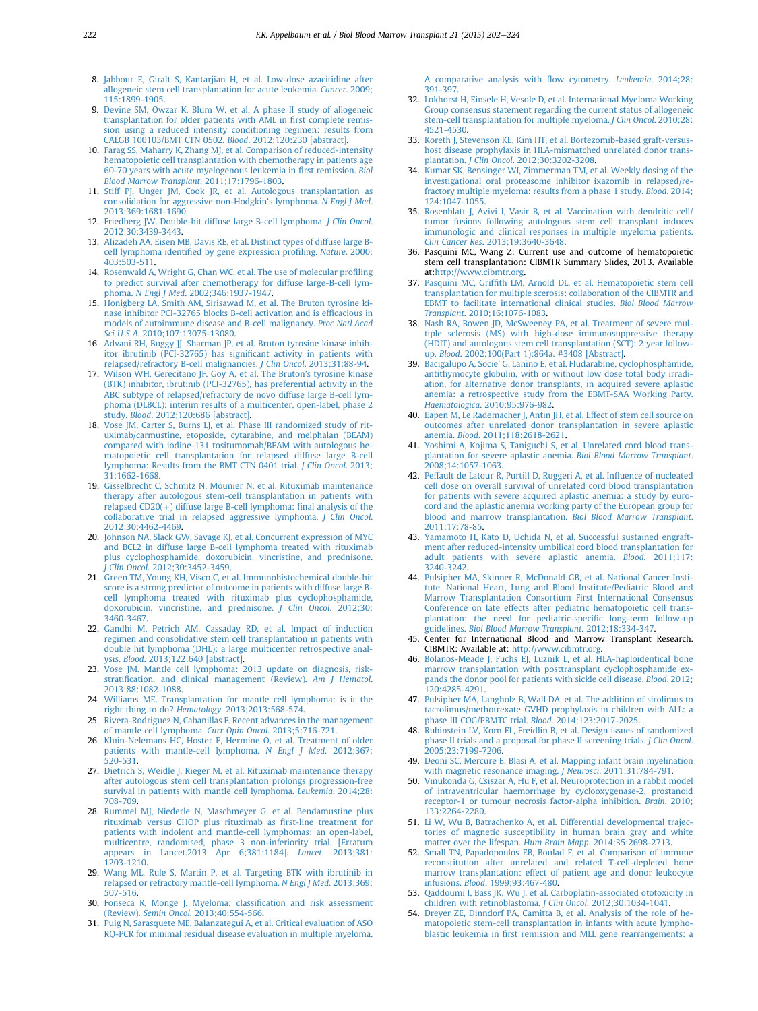- <span id="page-20-0"></span>8. [Jabbour E, Giralt S, Kantarjian H, et al. Low-dose azacitidine after](http://refhub.elsevier.com/S1083-8791(14)00628-4/sref8) [allogeneic stem cell transplantation for acute leukemia.](http://refhub.elsevier.com/S1083-8791(14)00628-4/sref8) Cancer. 2009; [115:1899-1905](http://refhub.elsevier.com/S1083-8791(14)00628-4/sref8).
- 9. [Devine SM, Owzar K, Blum W, et al. A phase II study of allogeneic](http://refhub.elsevier.com/S1083-8791(14)00628-4/sref9) [transplantation for older patients with AML in](http://refhub.elsevier.com/S1083-8791(14)00628-4/sref9) first complete remis[sion using a reduced intensity conditioning regimen: results from](http://refhub.elsevier.com/S1083-8791(14)00628-4/sref9) [CALGB 100103/BMT CTN 0502.](http://refhub.elsevier.com/S1083-8791(14)00628-4/sref9) Blood. 2012;120:230 [abstract].
- 10. [Farag SS, Maharry K, Zhang MJ, et al. Comparison of reduced-intensity](http://refhub.elsevier.com/S1083-8791(14)00628-4/sref10) [hematopoietic cell transplantation with chemotherapy in patients age](http://refhub.elsevier.com/S1083-8791(14)00628-4/sref10) [60-70 years with acute myelogenous leukemia in](http://refhub.elsevier.com/S1083-8791(14)00628-4/sref10) first remission. Biol [Blood Marrow Transplant](http://refhub.elsevier.com/S1083-8791(14)00628-4/sref10). 2011;17:1796-1803.
- 11. [Stiff PJ, Unger JM, Cook JR, et al. Autologous transplantation as](http://refhub.elsevier.com/S1083-8791(14)00628-4/sref11) [consolidation for aggressive non-Hodgkin](http://refhub.elsevier.com/S1083-8791(14)00628-4/sref11)'s lymphoma. N Engl J Med. [2013;369:1681-1690.](http://refhub.elsevier.com/S1083-8791(14)00628-4/sref11)
- 12. [Friedberg JW. Double-hit diffuse large B-cell lymphoma.](http://refhub.elsevier.com/S1083-8791(14)00628-4/sref12) J Clin Oncol. [2012;30:3439-3443](http://refhub.elsevier.com/S1083-8791(14)00628-4/sref12).
- 13. [Alizadeh AA, Eisen MB, Davis RE, et al. Distinct types of diffuse large B](http://refhub.elsevier.com/S1083-8791(14)00628-4/sref13)cell lymphoma identifi[ed by gene expression pro](http://refhub.elsevier.com/S1083-8791(14)00628-4/sref13)filing. Nature. 2000; [403:503-511.](http://refhub.elsevier.com/S1083-8791(14)00628-4/sref13)
- 14. [Rosenwald A, Wright G, Chan WC, et al. The use of molecular pro](http://refhub.elsevier.com/S1083-8791(14)00628-4/sref14)filing [to predict survival after chemotherapy for diffuse large-B-cell lym](http://refhub.elsevier.com/S1083-8791(14)00628-4/sref14)phoma. N Engl J Med[. 2002;346:1937-1947.](http://refhub.elsevier.com/S1083-8791(14)00628-4/sref14)
- 15. [Honigberg LA, Smith AM, Sirisawad M, et al. The Bruton tyrosine ki](http://refhub.elsevier.com/S1083-8791(14)00628-4/sref15)[nase inhibitor PCI-32765 blocks B-cell activation and is ef](http://refhub.elsevier.com/S1083-8791(14)00628-4/sref15)ficacious in [models of autoimmune disease and B-cell malignancy.](http://refhub.elsevier.com/S1083-8791(14)00628-4/sref15) Proc Natl Acad Sci U S A[. 2010;107:13075-13080.](http://refhub.elsevier.com/S1083-8791(14)00628-4/sref15)
- 16. [Advani RH, Buggy JJ, Sharman JP, et al. Bruton tyrosine kinase inhib](http://refhub.elsevier.com/S1083-8791(14)00628-4/sref16)[itor ibrutinib \(PCI-32765\) has signi](http://refhub.elsevier.com/S1083-8791(14)00628-4/sref16)ficant activity in patients with [relapsed/refractory B-cell malignancies.](http://refhub.elsevier.com/S1083-8791(14)00628-4/sref16) J Clin Oncol. 2013;31:88-94.
- 17. [Wilson WH, Gerecitano JF, Goy A, et al. The Bruton](http://refhub.elsevier.com/S1083-8791(14)00628-4/sref17)'s tyrosine kinase [\(BTK\) inhibitor, ibrutinib \(PCI-32765\), has preferential activity in the](http://refhub.elsevier.com/S1083-8791(14)00628-4/sref17) [ABC subtype of relapsed/refractory de novo diffuse large B-cell lym](http://refhub.elsevier.com/S1083-8791(14)00628-4/sref17)[phoma \(DLBCL\): interim results of a multicenter, open-label, phase 2](http://refhub.elsevier.com/S1083-8791(14)00628-4/sref17) study. Blood[. 2012;120:686 \[abstract\].](http://refhub.elsevier.com/S1083-8791(14)00628-4/sref17)
- 18. [Vose JM, Carter S, Burns LJ, et al. Phase III randomized study of rit](http://refhub.elsevier.com/S1083-8791(14)00628-4/sref18)[uximab/carmustine, etoposide, cytarabine, and melphalan \(BEAM\)](http://refhub.elsevier.com/S1083-8791(14)00628-4/sref18) [compared with iodine-131 tositumomab/BEAM with autologous he](http://refhub.elsevier.com/S1083-8791(14)00628-4/sref18)[matopoietic cell transplantation for relapsed diffuse large B-cell](http://refhub.elsevier.com/S1083-8791(14)00628-4/sref18) [lymphoma: Results from the BMT CTN 0401 trial.](http://refhub.elsevier.com/S1083-8791(14)00628-4/sref18) J Clin Oncol. 2013; [31:1662-1668.](http://refhub.elsevier.com/S1083-8791(14)00628-4/sref18)
- 19. [Gisselbrecht C, Schmitz N, Mounier N, et al. Rituximab maintenance](http://refhub.elsevier.com/S1083-8791(14)00628-4/sref19) [therapy after autologous stem-cell transplantation in patients with](http://refhub.elsevier.com/S1083-8791(14)00628-4/sref19) relapsed  $CD20(+)$  diffuse large B-cell lymphoma: final analysis of the [collaborative trial in relapsed aggressive lymphoma.](http://refhub.elsevier.com/S1083-8791(14)00628-4/sref19) J Clin Oncol. [2012;30:4462-4469](http://refhub.elsevier.com/S1083-8791(14)00628-4/sref19).
- 20. [Johnson NA, Slack GW, Savage KJ, et al. Concurrent expression of MYC](http://refhub.elsevier.com/S1083-8791(14)00628-4/sref20) [and BCL2 in diffuse large B-cell lymphoma treated with rituximab](http://refhub.elsevier.com/S1083-8791(14)00628-4/sref20) [plus cyclophosphamide, doxorubicin, vincristine, and prednisone.](http://refhub.elsevier.com/S1083-8791(14)00628-4/sref20) Clin Oncol. 2012:30:3452-3459.
- 21. [Green TM, Young KH, Visco C, et al. Immunohistochemical double-hit](http://refhub.elsevier.com/S1083-8791(14)00628-4/sref21) [score is a strong predictor of outcome in patients with diffuse large B](http://refhub.elsevier.com/S1083-8791(14)00628-4/sref21)[cell lymphoma treated with rituximab plus cyclophosphamide,](http://refhub.elsevier.com/S1083-8791(14)00628-4/sref21) [doxorubicin, vincristine, and prednisone.](http://refhub.elsevier.com/S1083-8791(14)00628-4/sref21) J Clin Oncol. 2012;30: [3460-3467.](http://refhub.elsevier.com/S1083-8791(14)00628-4/sref21)
- 22. [Gandhi M, Petrich AM, Cassaday RD, et al. Impact of induction](http://refhub.elsevier.com/S1083-8791(14)00628-4/sref22) [regimen and consolidative stem cell transplantation in patients with](http://refhub.elsevier.com/S1083-8791(14)00628-4/sref22) [double hit lymphoma \(DHL\): a large multicenter retrospective anal](http://refhub.elsevier.com/S1083-8791(14)00628-4/sref22)ysis. Blood[. 2013;122:640 \[abstract\]](http://refhub.elsevier.com/S1083-8791(14)00628-4/sref22).
- 23. [Vose JM. Mantle cell lymphoma: 2013 update on diagnosis, risk](http://refhub.elsevier.com/S1083-8791(14)00628-4/sref23)stratifi[cation, and clinical management \(Review\).](http://refhub.elsevier.com/S1083-8791(14)00628-4/sref23) Am J Hematol. [2013;88:1082-1088](http://refhub.elsevier.com/S1083-8791(14)00628-4/sref23).
- 24. [Williams ME. Transplantation for mantle cell lymphoma: is it the](http://refhub.elsevier.com/S1083-8791(14)00628-4/sref24) right thing to do? Hematology[. 2013;2013:568-574](http://refhub.elsevier.com/S1083-8791(14)00628-4/sref24).
- 25. [Rivera-Rodriguez N, Cabanillas F. Recent advances in the management](http://refhub.elsevier.com/S1083-8791(14)00628-4/sref25) [of mantle cell lymphoma.](http://refhub.elsevier.com/S1083-8791(14)00628-4/sref25) Curr Opin Oncol. 2013;5:716-721.
- 26. [Kluin-Nelemans HC, Hoster E, Hermine O, et al. Treatment of older](http://refhub.elsevier.com/S1083-8791(14)00628-4/sref26) [patients with mantle-cell lymphoma.](http://refhub.elsevier.com/S1083-8791(14)00628-4/sref26) N Engl J Med. 2012;367: [520-531](http://refhub.elsevier.com/S1083-8791(14)00628-4/sref26).
- 27. [Dietrich S, Weidle J, Rieger M, et al. Rituximab maintenance therapy](http://refhub.elsevier.com/S1083-8791(14)00628-4/sref27) [after autologous stem cell transplantation prolongs progression-free](http://refhub.elsevier.com/S1083-8791(14)00628-4/sref27) [survival in patients with mantle cell lymphoma.](http://refhub.elsevier.com/S1083-8791(14)00628-4/sref27) Leukemia. 2014;28: [708-709](http://refhub.elsevier.com/S1083-8791(14)00628-4/sref27).
- 28. [Rummel MJ, Niederle N, Maschmeyer G, et al. Bendamustine plus](http://refhub.elsevier.com/S1083-8791(14)00628-4/sref28) [rituximab versus CHOP plus rituximab as](http://refhub.elsevier.com/S1083-8791(14)00628-4/sref28) first-line treatment for [patients with indolent and mantle-cell lymphomas: an open-label,](http://refhub.elsevier.com/S1083-8791(14)00628-4/sref28) [multicentre, randomised, phase 3 non-inferiority trial. \[Erratum](http://refhub.elsevier.com/S1083-8791(14)00628-4/sref28) [appears in Lancet.2013 Apr 6;381:1184\].](http://refhub.elsevier.com/S1083-8791(14)00628-4/sref28) Lancet. 2013;381: [1203-1210.](http://refhub.elsevier.com/S1083-8791(14)00628-4/sref28)
- 29. [Wang ML, Rule S, Martin P, et al. Targeting BTK with ibrutinib in](http://refhub.elsevier.com/S1083-8791(14)00628-4/sref29) [relapsed or refractory mantle-cell lymphoma.](http://refhub.elsevier.com/S1083-8791(14)00628-4/sref29) N Engl J Med. 2013;369: [507-516](http://refhub.elsevier.com/S1083-8791(14)00628-4/sref29).
- 30. [Fonseca R, Monge J. Myeloma: classi](http://refhub.elsevier.com/S1083-8791(14)00628-4/sref30)fication and risk assessment (Review). Semin Oncol[. 2013;40:554-566](http://refhub.elsevier.com/S1083-8791(14)00628-4/sref30).
- 31. [Puig N, Sarasquete ME, Balanzategui A, et al. Critical evaluation of ASO](http://refhub.elsevier.com/S1083-8791(14)00628-4/sref31) [RQ-PCR for minimal residual disease evaluation in multiple myeloma.](http://refhub.elsevier.com/S1083-8791(14)00628-4/sref31)

[A comparative analysis with](http://refhub.elsevier.com/S1083-8791(14)00628-4/sref31) flow cytometry. Leukemia. 2014;28: [391-397](http://refhub.elsevier.com/S1083-8791(14)00628-4/sref31).

- 32. [Lokhorst H, Einsele H, Vesole D, et al. International Myeloma Working](http://refhub.elsevier.com/S1083-8791(14)00628-4/sref32) [Group consensus statement regarding the current status of allogeneic](http://refhub.elsevier.com/S1083-8791(14)00628-4/sref32) [stem-cell transplantation for multiple myeloma.](http://refhub.elsevier.com/S1083-8791(14)00628-4/sref32) J Clin Oncol. 2010;28: [4521-4530.](http://refhub.elsevier.com/S1083-8791(14)00628-4/sref32)
- 33. [Koreth J, Stevenson KE, Kim HT, et al. Bortezomib-based graft-versus](http://refhub.elsevier.com/S1083-8791(14)00628-4/sref33)[host disease prophylaxis in HLA-mismatched unrelated donor trans](http://refhub.elsevier.com/S1083-8791(14)00628-4/sref33)plantation. J Clin Oncol[. 2012;30:3202-3208.](http://refhub.elsevier.com/S1083-8791(14)00628-4/sref33)
- 34. [Kumar SK, Bensinger WI, Zimmerman TM, et al. Weekly dosing of the](http://refhub.elsevier.com/S1083-8791(14)00628-4/sref34) [investigational oral proteasome inhibitor ixazomib in relapsed/re](http://refhub.elsevier.com/S1083-8791(14)00628-4/sref34)[fractory multiple myeloma: results from a phase 1 study.](http://refhub.elsevier.com/S1083-8791(14)00628-4/sref34) Blood. 2014; [124:1047-1055](http://refhub.elsevier.com/S1083-8791(14)00628-4/sref34).
- 35. [Rosenblatt J, Avivi I, Vasir B, et al. Vaccination with dendritic cell/](http://refhub.elsevier.com/S1083-8791(14)00628-4/sref35) [tumor fusions following autologous stem cell transplant induces](http://refhub.elsevier.com/S1083-8791(14)00628-4/sref35) [immunologic and clinical responses in multiple myeloma patients.](http://refhub.elsevier.com/S1083-8791(14)00628-4/sref35) Clin Cancer Res[. 2013;19:3640-3648](http://refhub.elsevier.com/S1083-8791(14)00628-4/sref35).
- 36. Pasquini MC, Wang Z: Current use and outcome of hematopoietic stem cell transplantation: CIBMTR Summary Slides, 2013. Available at:<http://www.cibmtr.org>.
- 37. Pasquini MC, Griffi[th LM, Arnold DL, et al. Hematopoietic stem cell](http://refhub.elsevier.com/S1083-8791(14)00628-4/sref36) [transplantation for multiple scerosis: collaboration of the CIBMTR and](http://refhub.elsevier.com/S1083-8791(14)00628-4/sref36) [EBMT to facilitate international clinical studies.](http://refhub.elsevier.com/S1083-8791(14)00628-4/sref36) Biol Blood Marrow Transplant[. 2010;16:1076-1083.](http://refhub.elsevier.com/S1083-8791(14)00628-4/sref36)
- 38. [Nash RA, Bowen JD, McSweeney PA, et al. Treatment of severe mul](http://refhub.elsevier.com/S1083-8791(14)00628-4/sref37)[tiple sclerosis \(MS\) with high-dose immunosuppressive therapy](http://refhub.elsevier.com/S1083-8791(14)00628-4/sref37) [\(HDIT\) and autologous stem cell transplantation \(SCT\): 2 year follow](http://refhub.elsevier.com/S1083-8791(14)00628-4/sref37)up. Blood[. 2002;100\(Part 1\):864a. #3408 \[Abstract\].](http://refhub.elsevier.com/S1083-8791(14)00628-4/sref37)
- 39. Bacigalupo A, Socie' [G, Lanino E, et al. Fludarabine, cyclophosphamide,](http://refhub.elsevier.com/S1083-8791(14)00628-4/sref38) [antithymocyte globulin, with or without low dose total body irradi](http://refhub.elsevier.com/S1083-8791(14)00628-4/sref38)[ation, for alternative donor transplants, in acquired severe aplastic](http://refhub.elsevier.com/S1083-8791(14)00628-4/sref38) [anemia: a retrospective study from the EBMT-SAA Working Party.](http://refhub.elsevier.com/S1083-8791(14)00628-4/sref38) Haematologica[. 2010;95:976-982.](http://refhub.elsevier.com/S1083-8791(14)00628-4/sref38)
- 40. [Eapen M, Le Rademacher J, Antin JH, et al. Effect of stem cell source on](http://refhub.elsevier.com/S1083-8791(14)00628-4/sref39) [outcomes after unrelated donor transplantation in severe aplastic](http://refhub.elsevier.com/S1083-8791(14)00628-4/sref39) anemia. Blood[. 2011;118:2618-2621.](http://refhub.elsevier.com/S1083-8791(14)00628-4/sref39)
- 41. [Yoshimi A, Kojima S, Taniguchi S, et al. Unrelated cord blood trans](http://refhub.elsevier.com/S1083-8791(14)00628-4/sref40)[plantation for severe aplastic anemia.](http://refhub.elsevier.com/S1083-8791(14)00628-4/sref40) Biol Blood Marrow Transplant. [2008;14:1057-1063](http://refhub.elsevier.com/S1083-8791(14)00628-4/sref40).
- 42. [Peffault de Latour R, Purtill D, Ruggeri A, et al. In](http://refhub.elsevier.com/S1083-8791(14)00628-4/sref41)fluence of nucleated [cell dose on overall survival of unrelated cord blood transplantation](http://refhub.elsevier.com/S1083-8791(14)00628-4/sref41) [for patients with severe acquired aplastic anemia: a study by euro](http://refhub.elsevier.com/S1083-8791(14)00628-4/sref41)[cord and the aplastic anemia working party of the European group for](http://refhub.elsevier.com/S1083-8791(14)00628-4/sref41) [blood and marrow transplantation.](http://refhub.elsevier.com/S1083-8791(14)00628-4/sref41) Biol Blood Marrow Transplant. [2011;17:78-85.](http://refhub.elsevier.com/S1083-8791(14)00628-4/sref41)
- 43. [Yamamoto H, Kato D, Uchida N, et al. Successful sustained engraft](http://refhub.elsevier.com/S1083-8791(14)00628-4/sref42)[ment after reduced-intensity umbilical cord blood transplantation for](http://refhub.elsevier.com/S1083-8791(14)00628-4/sref42) [adult patients with severe aplastic anemia.](http://refhub.elsevier.com/S1083-8791(14)00628-4/sref42) Blood. 2011;117: [3240-3242.](http://refhub.elsevier.com/S1083-8791(14)00628-4/sref42)
- 44. [Pulsipher MA, Skinner R, McDonald GB, et al. National Cancer Insti](http://refhub.elsevier.com/S1083-8791(14)00628-4/sref43)[tute, National Heart, Lung and Blood Institute/Pediatric Blood and](http://refhub.elsevier.com/S1083-8791(14)00628-4/sref43) [Marrow Transplantation Consortium First International Consensus](http://refhub.elsevier.com/S1083-8791(14)00628-4/sref43) [Conference on late effects after pediatric hematopoietic cell trans](http://refhub.elsevier.com/S1083-8791(14)00628-4/sref43)[plantation: the need for pediatric-speci](http://refhub.elsevier.com/S1083-8791(14)00628-4/sref43)fic long-term follow-up guidelines. [Biol Blood Marrow Transplant](http://refhub.elsevier.com/S1083-8791(14)00628-4/sref43). 2012;18:334-347.
- 45. Center for International Blood and Marrow Transplant Research. CIBMTR: Available at: [http://www.cibmtr.org.](http://www.cibmtr.org)
- 46. [Bolanos-Meade J, Fuchs EJ, Luznik L, et al. HLA-haploidentical bone](http://refhub.elsevier.com/S1083-8791(14)00628-4/sref44) [marrow transplantation with posttransplant cyclophosphamide ex](http://refhub.elsevier.com/S1083-8791(14)00628-4/sref44)[pands the donor pool for patients with sickle cell disease.](http://refhub.elsevier.com/S1083-8791(14)00628-4/sref44) Blood. 2012; [120:4285-4291](http://refhub.elsevier.com/S1083-8791(14)00628-4/sref44).
- 47. [Pulsipher MA, Langholz B, Wall DA, et al. The addition of sirolimus to](http://refhub.elsevier.com/S1083-8791(14)00628-4/sref45) [tacrolimus/methotrexate GVHD prophylaxis in children with ALL: a](http://refhub.elsevier.com/S1083-8791(14)00628-4/sref45) [phase III COG/PBMTC trial.](http://refhub.elsevier.com/S1083-8791(14)00628-4/sref45) Blood. 2014;123:2017-2025.
- 48. [Rubinstein LV, Korn EL, Freidlin B, et al. Design issues of randomized](http://refhub.elsevier.com/S1083-8791(14)00628-4/sref46) [phase II trials and a proposal for phase II screening trials.](http://refhub.elsevier.com/S1083-8791(14)00628-4/sref46) J Clin Oncol. [2005;23:7199-7206](http://refhub.elsevier.com/S1083-8791(14)00628-4/sref46).
- 49. [Deoni SC, Mercure E, Blasi A, et al. Mapping infant brain myelination](http://refhub.elsevier.com/S1083-8791(14)00628-4/sref47) [with magnetic resonance imaging.](http://refhub.elsevier.com/S1083-8791(14)00628-4/sref47) J Neurosci. 2011;31:784-791.
- 50. [Vinukonda G, Csiszar A, Hu F, et al. Neuroprotection in a rabbit model](http://refhub.elsevier.com/S1083-8791(14)00628-4/sref48) [of intraventricular haemorrhage by cyclooxygenase-2, prostanoid](http://refhub.elsevier.com/S1083-8791(14)00628-4/sref48) [receptor-1 or tumour necrosis factor-alpha inhibition.](http://refhub.elsevier.com/S1083-8791(14)00628-4/sref48) Brain. 2010; [133:2264-2280](http://refhub.elsevier.com/S1083-8791(14)00628-4/sref48).
- 51. [Li W, Wu B, Batrachenko A, et al. Differential developmental trajec](http://refhub.elsevier.com/S1083-8791(14)00628-4/sref49)[tories of magnetic susceptibility in human brain gray and white](http://refhub.elsevier.com/S1083-8791(14)00628-4/sref49) [matter over the lifespan.](http://refhub.elsevier.com/S1083-8791(14)00628-4/sref49) Hum Brain Mapp. 2014;35:2698-2713.
- 52. [Small TN, Papadopoulos EB, Boulad F, et al. Comparison of immune](http://refhub.elsevier.com/S1083-8791(14)00628-4/sref50) [reconstitution after unrelated and related T-cell-depleted bone](http://refhub.elsevier.com/S1083-8791(14)00628-4/sref50) [marrow transplantation: effect of patient age and donor leukocyte](http://refhub.elsevier.com/S1083-8791(14)00628-4/sref50) infusions. Blood[. 1999;93:467-480.](http://refhub.elsevier.com/S1083-8791(14)00628-4/sref50)
- 53. [Qaddoumi I, Bass JK, Wu J, et al. Carboplatin-associated ototoxicity in](http://refhub.elsevier.com/S1083-8791(14)00628-4/sref51) [children with retinoblastoma.](http://refhub.elsevier.com/S1083-8791(14)00628-4/sref51) J Clin Oncol. 2012;30:1034-1041.
- 54. [Dreyer ZE, Dinndorf PA, Camitta B, et al. Analysis of the role of he](http://refhub.elsevier.com/S1083-8791(14)00628-4/sref52)[matopoietic stem-cell transplantation in infants with acute lympho](http://refhub.elsevier.com/S1083-8791(14)00628-4/sref52)blastic leukemia in fi[rst remission and MLL gene rearrangements: a](http://refhub.elsevier.com/S1083-8791(14)00628-4/sref52)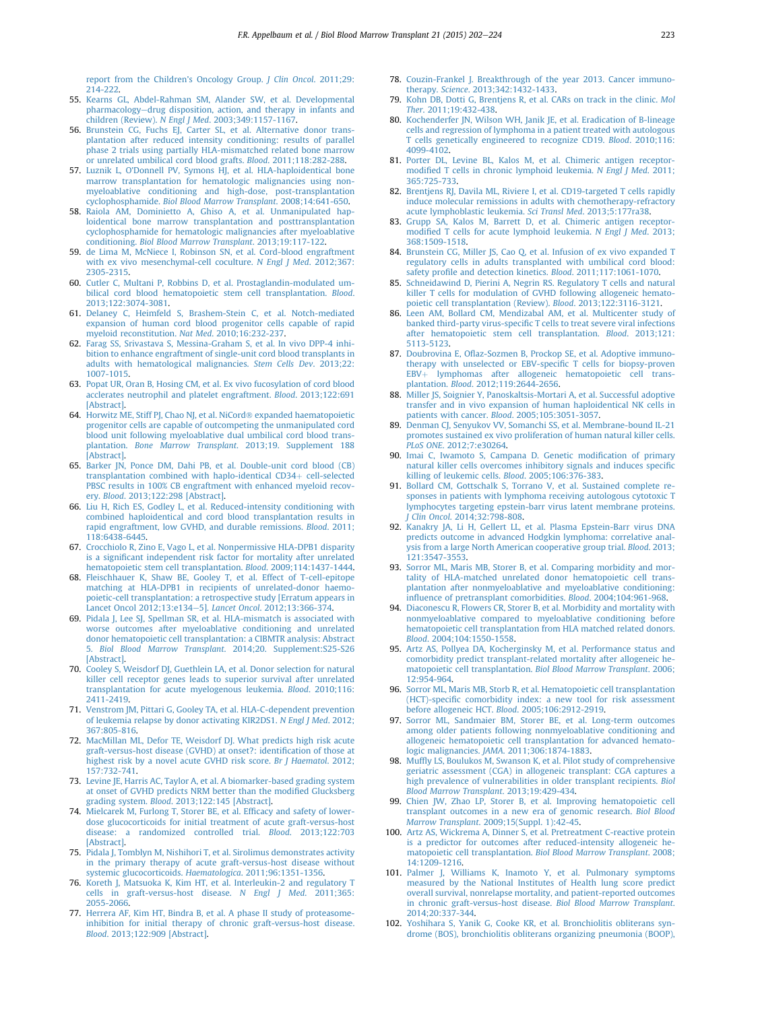<span id="page-21-0"></span>[report from the Children](http://refhub.elsevier.com/S1083-8791(14)00628-4/sref52)'s Oncology Group. J Clin Oncol. 2011;29: [214-222.](http://refhub.elsevier.com/S1083-8791(14)00628-4/sref52)

- 55. [Kearns GL, Abdel-Rahman SM, Alander SW, et al. Developmental](http://refhub.elsevier.com/S1083-8791(14)00628-4/sref53) [pharmacology](http://refhub.elsevier.com/S1083-8791(14)00628-4/sref53)-[drug disposition, action, and therapy in infants and](http://refhub.elsevier.com/S1083-8791(14)00628-4/sref53) children (Review). N Engl J Med[. 2003;349:1157-1167.](http://refhub.elsevier.com/S1083-8791(14)00628-4/sref53)
- 56. [Brunstein CG, Fuchs EJ, Carter SL, et al. Alternative donor trans](http://refhub.elsevier.com/S1083-8791(14)00628-4/sref54)[plantation after reduced intensity conditioning: results of parallel](http://refhub.elsevier.com/S1083-8791(14)00628-4/sref54) [phase 2 trials using partially HLA-mismatched related bone marrow](http://refhub.elsevier.com/S1083-8791(14)00628-4/sref54) [or unrelated umbilical cord blood grafts.](http://refhub.elsevier.com/S1083-8791(14)00628-4/sref54) Blood. 2011;118:282-288.
- 57. Luznik L, O'[Donnell PV, Symons HJ, et al. HLA-haploidentical bone](http://refhub.elsevier.com/S1083-8791(14)00628-4/sref55) [marrow transplantation for hematologic malignancies using non](http://refhub.elsevier.com/S1083-8791(14)00628-4/sref55)[myeloablative conditioning and high-dose, post-transplantation](http://refhub.elsevier.com/S1083-8791(14)00628-4/sref55) cyclophosphamide. [Biol Blood Marrow Transplant](http://refhub.elsevier.com/S1083-8791(14)00628-4/sref55). 2008;14:641-650.
- 58. [Raiola AM, Dominietto A, Ghiso A, et al. Unmanipulated hap](http://refhub.elsevier.com/S1083-8791(14)00628-4/sref56)[loidentical bone marrow transplantation and posttransplantation](http://refhub.elsevier.com/S1083-8791(14)00628-4/sref56) [cyclophosphamide for hematologic malignancies after myeloablative](http://refhub.elsevier.com/S1083-8791(14)00628-4/sref56) conditioning. [Biol Blood Marrow Transplant](http://refhub.elsevier.com/S1083-8791(14)00628-4/sref56). 2013;19:117-122.
- 59. [de Lima M, McNiece I, Robinson SN, et al. Cord-blood engraftment](http://refhub.elsevier.com/S1083-8791(14)00628-4/sref57) [with ex vivo mesenchymal-cell coculture.](http://refhub.elsevier.com/S1083-8791(14)00628-4/sref57) N Engl J Med. 2012;367: [2305-2315.](http://refhub.elsevier.com/S1083-8791(14)00628-4/sref57)
- 60. [Cutler C, Multani P, Robbins D, et al. Prostaglandin-modulated um](http://refhub.elsevier.com/S1083-8791(14)00628-4/sref58)[bilical cord blood hematopoietic stem cell transplantation.](http://refhub.elsevier.com/S1083-8791(14)00628-4/sref58) Blood. [2013;122:3074-3081.](http://refhub.elsevier.com/S1083-8791(14)00628-4/sref58)
- 61. [Delaney C, Heimfeld S, Brashem-Stein C, et al. Notch-mediated](http://refhub.elsevier.com/S1083-8791(14)00628-4/sref59) [expansion of human cord blood progenitor cells capable of rapid](http://refhub.elsevier.com/S1083-8791(14)00628-4/sref59) [myeloid reconstitution.](http://refhub.elsevier.com/S1083-8791(14)00628-4/sref59) Nat Med. 2010;16:232-237.
- 62. [Farag SS, Srivastava S, Messina-Graham S, et al. In vivo DPP-4 inhi](http://refhub.elsevier.com/S1083-8791(14)00628-4/sref60)[bition to enhance engraftment of single-unit cord blood transplants in](http://refhub.elsevier.com/S1083-8791(14)00628-4/sref60) [adults with hematological malignancies.](http://refhub.elsevier.com/S1083-8791(14)00628-4/sref60) Stem Cells Dev. 2013;22: [1007-1015.](http://refhub.elsevier.com/S1083-8791(14)00628-4/sref60)
- 63. [Popat UR, Oran B, Hosing CM, et al. Ex vivo fucosylation of cord blood](http://refhub.elsevier.com/S1083-8791(14)00628-4/sref61) [acclerates neutrophil and platelet engraftment.](http://refhub.elsevier.com/S1083-8791(14)00628-4/sref61) Blood. 2013;122:691 [\[Abstract\]](http://refhub.elsevier.com/S1083-8791(14)00628-4/sref61).
- 64. [Horwitz ME, Stiff PJ, Chao NJ, et al. NiCord](http://refhub.elsevier.com/S1083-8791(14)00628-4/sref62)<sup>®</sup> [expanded haematopoietic](http://refhub.elsevier.com/S1083-8791(14)00628-4/sref62) [progenitor cells are capable of outcompeting the unmanipulated cord](http://refhub.elsevier.com/S1083-8791(14)00628-4/sref62) [blood unit following myeloablative dual umbilical cord blood trans](http://refhub.elsevier.com/S1083-8791(14)00628-4/sref62)plantation. Bone Marrow Transplant[. 2013;19. Supplement 188](http://refhub.elsevier.com/S1083-8791(14)00628-4/sref62) [\[Abstract\]](http://refhub.elsevier.com/S1083-8791(14)00628-4/sref62).
- 65. [Barker JN, Ponce DM, Dahi PB, et al. Double-unit cord blood \(CB\)](http://refhub.elsevier.com/S1083-8791(14)00628-4/sref63)  $transplantation$  combined with haplo-identical  $CD34+$  [cell-selected](http://refhub.elsevier.com/S1083-8791(14)00628-4/sref63) [PBSC results in 100% CB engraftment with enhanced myeloid recov](http://refhub.elsevier.com/S1083-8791(14)00628-4/sref63)ery. Blood[. 2013;122:298 \[Abstract\]](http://refhub.elsevier.com/S1083-8791(14)00628-4/sref63).
- 66. [Liu H, Rich ES, Godley L, et al. Reduced-intensity conditioning with](http://refhub.elsevier.com/S1083-8791(14)00628-4/sref64) [combined haploidentical and cord blood transplantation results in](http://refhub.elsevier.com/S1083-8791(14)00628-4/sref64) [rapid engraftment, low GVHD, and durable remissions.](http://refhub.elsevier.com/S1083-8791(14)00628-4/sref64) Blood. 2011; [118:6438-6445](http://refhub.elsevier.com/S1083-8791(14)00628-4/sref64).
- 67. [Crocchiolo R, Zino E, Vago L, et al. Nonpermissive HLA-DPB1 disparity](http://refhub.elsevier.com/S1083-8791(14)00628-4/sref65) is a signifi[cant independent risk factor for mortality after unrelated](http://refhub.elsevier.com/S1083-8791(14)00628-4/sref65) [hematopoietic stem cell transplantation.](http://refhub.elsevier.com/S1083-8791(14)00628-4/sref65) Blood. 2009;114:1437-1444.
- 68. [Fleischhauer K, Shaw BE, Gooley T, et al. Effect of T-cell-epitope](http://refhub.elsevier.com/S1083-8791(14)00628-4/sref66) [matching at HLA-DPB1 in recipients of unrelated-donor haemo](http://refhub.elsevier.com/S1083-8791(14)00628-4/sref66)[poietic-cell transplantation: a retrospective study \[Erratum appears in](http://refhub.elsevier.com/S1083-8791(14)00628-4/sref66) [Lancet Oncol 2012;13:e134](http://refhub.elsevier.com/S1083-8791(14)00628-4/sref66)-5]. Lancet Oncol[. 2012;13:366-374](http://refhub.elsevier.com/S1083-8791(14)00628-4/sref66).
- 69. [Pidala J, Lee SJ, Spellman SR, et al. HLA-mismatch is associated with](http://refhub.elsevier.com/S1083-8791(14)00628-4/sref67) [worse outcomes after myeloablative conditioning and unrelated](http://refhub.elsevier.com/S1083-8791(14)00628-4/sref67) [donor hematopoietic cell transplantation: a CIBMTR analysis: Abstract](http://refhub.elsevier.com/S1083-8791(14)00628-4/sref67) 5. Biol Blood Marrow Transplant[. 2014;20. Supplement:S25-S26](http://refhub.elsevier.com/S1083-8791(14)00628-4/sref67) [\[Abstract\]](http://refhub.elsevier.com/S1083-8791(14)00628-4/sref67).
- 70. [Cooley S, Weisdorf DJ, Guethlein LA, et al. Donor selection for natural](http://refhub.elsevier.com/S1083-8791(14)00628-4/sref68) [killer cell receptor genes leads to superior survival after unrelated](http://refhub.elsevier.com/S1083-8791(14)00628-4/sref68) [transplantation for acute myelogenous leukemia.](http://refhub.elsevier.com/S1083-8791(14)00628-4/sref68) Blood. 2010;116: [2411-2419.](http://refhub.elsevier.com/S1083-8791(14)00628-4/sref68)
- 71. [Venstrom JM, Pittari G, Gooley TA, et al. HLA-C-dependent prevention](http://refhub.elsevier.com/S1083-8791(14)00628-4/sref69) [of leukemia relapse by donor activating KIR2DS1.](http://refhub.elsevier.com/S1083-8791(14)00628-4/sref69) N Engl J Med. 2012; [367:805-816.](http://refhub.elsevier.com/S1083-8791(14)00628-4/sref69)
- 72. [MacMillan ML, Defor TE, Weisdorf DJ. What predicts high risk acute](http://refhub.elsevier.com/S1083-8791(14)00628-4/sref70) [graft-versus-host disease \(GVHD\) at onset?: identi](http://refhub.elsevier.com/S1083-8791(14)00628-4/sref70)fication of those at [highest risk by a novel acute GVHD risk score.](http://refhub.elsevier.com/S1083-8791(14)00628-4/sref70) Br J Haematol. 2012; [157:732-741.](http://refhub.elsevier.com/S1083-8791(14)00628-4/sref70)
- 73. [Levine JE, Harris AC, Taylor A, et al. A biomarker-based grading system](http://refhub.elsevier.com/S1083-8791(14)00628-4/sref71) [at onset of GVHD predicts NRM better than the modi](http://refhub.elsevier.com/S1083-8791(14)00628-4/sref71)fied Glucksberg grading system. Blood[. 2013;122:145 \[Abstract\]](http://refhub.elsevier.com/S1083-8791(14)00628-4/sref71).
- 74. [Mielcarek M, Furlong T, Storer BE, et al. Ef](http://refhub.elsevier.com/S1083-8791(14)00628-4/sref72)ficacy and safety of lower[dose glucocorticoids for initial treatment of acute graft-versus-host](http://refhub.elsevier.com/S1083-8791(14)00628-4/sref72) [disease: a randomized controlled trial.](http://refhub.elsevier.com/S1083-8791(14)00628-4/sref72) Blood. 2013;122:703 [\[Abstract\]](http://refhub.elsevier.com/S1083-8791(14)00628-4/sref72).
- 75. [Pidala J, Tomblyn M, Nishihori T, et al. Sirolimus demonstrates activity](http://refhub.elsevier.com/S1083-8791(14)00628-4/sref73) [in the primary therapy of acute graft-versus-host disease without](http://refhub.elsevier.com/S1083-8791(14)00628-4/sref73) [systemic glucocorticoids.](http://refhub.elsevier.com/S1083-8791(14)00628-4/sref73) Haematologica. 2011;96:1351-1356.
- 76. [Koreth J, Matsuoka K, Kim HT, et al. Interleukin-2 and regulatory T](http://refhub.elsevier.com/S1083-8791(14)00628-4/sref74) [cells in graft-versus-host disease.](http://refhub.elsevier.com/S1083-8791(14)00628-4/sref74) N Engl J Med. 2011;365: [2055-2066.](http://refhub.elsevier.com/S1083-8791(14)00628-4/sref74)
- 77. [Herrera AF, Kim HT, Bindra B, et al. A phase II study of proteasome](http://refhub.elsevier.com/S1083-8791(14)00628-4/sref75)[inhibition for initial therapy of chronic graft-versus-host disease.](http://refhub.elsevier.com/S1083-8791(14)00628-4/sref75) Blood[. 2013;122:909 \[Abstract\].](http://refhub.elsevier.com/S1083-8791(14)00628-4/sref75)
- 78. [Couzin-Frankel J. Breakthrough of the year 2013. Cancer immuno](http://refhub.elsevier.com/S1083-8791(14)00628-4/sref76)therapy. Science[. 2013;342:1432-1433.](http://refhub.elsevier.com/S1083-8791(14)00628-4/sref76)
- 79. [Kohn DB, Dotti G, Brentjens R, et al. CARs on track in the clinic.](http://refhub.elsevier.com/S1083-8791(14)00628-4/sref77) Mol Ther[. 2011;19:432-438.](http://refhub.elsevier.com/S1083-8791(14)00628-4/sref77)
- 80. [Kochenderfer JN, Wilson WH, Janik JE, et al. Eradication of B-lineage](http://refhub.elsevier.com/S1083-8791(14)00628-4/sref78) [cells and regression of lymphoma in a patient treated with autologous](http://refhub.elsevier.com/S1083-8791(14)00628-4/sref78) [T cells genetically engineered to recognize CD19.](http://refhub.elsevier.com/S1083-8791(14)00628-4/sref78) Blood. 2010;116: [4099-4102.](http://refhub.elsevier.com/S1083-8791(14)00628-4/sref78)
- 81. [Porter DL, Levine BL, Kalos M, et al. Chimeric antigen receptor](http://refhub.elsevier.com/S1083-8791(14)00628-4/sref79)modifi[ed T cells in chronic lymphoid leukemia.](http://refhub.elsevier.com/S1083-8791(14)00628-4/sref79) N Engl J Med. 2011; [365:725-733.](http://refhub.elsevier.com/S1083-8791(14)00628-4/sref79)
- 82. [Brentjens RJ, Davila ML, Riviere I, et al. CD19-targeted T cells rapidly](http://refhub.elsevier.com/S1083-8791(14)00628-4/sref80) [induce molecular remissions in adults with chemotherapy-refractory](http://refhub.elsevier.com/S1083-8791(14)00628-4/sref80) [acute lymphoblastic leukemia.](http://refhub.elsevier.com/S1083-8791(14)00628-4/sref80) Sci Transl Med. 2013;5:177ra38.
- 83. [Grupp SA, Kalos M, Barrett D, et al. Chimeric antigen receptor](http://refhub.elsevier.com/S1083-8791(14)00628-4/sref81)modifi[ed T cells for acute lymphoid leukemia.](http://refhub.elsevier.com/S1083-8791(14)00628-4/sref81) N Engl J Med. 2013; [368:1509-1518](http://refhub.elsevier.com/S1083-8791(14)00628-4/sref81).
- 84. [Brunstein CG, Miller JS, Cao Q, et al. Infusion of ex vivo expanded T](http://refhub.elsevier.com/S1083-8791(14)00628-4/sref82) [regulatory cells in adults transplanted with umbilical cord blood:](http://refhub.elsevier.com/S1083-8791(14)00628-4/sref82) safety profi[le and detection kinetics.](http://refhub.elsevier.com/S1083-8791(14)00628-4/sref82) Blood. 2011;117:1061-1070.
- 85. [Schneidawind D, Pierini A, Negrin RS. Regulatory T cells and natural](http://refhub.elsevier.com/S1083-8791(14)00628-4/sref83) [killer T cells for modulation of GVHD following allogeneic hemato](http://refhub.elsevier.com/S1083-8791(14)00628-4/sref83)[poietic cell transplantation \(Review\).](http://refhub.elsevier.com/S1083-8791(14)00628-4/sref83) Blood. 2013;122:3116-3121.
- 86. [Leen AM, Bollard CM, Mendizabal AM, et al. Multicenter study of](http://refhub.elsevier.com/S1083-8791(14)00628-4/sref84) banked third-party virus-specifi[c T cells to treat severe viral infections](http://refhub.elsevier.com/S1083-8791(14)00628-4/sref84) [after hematopoietic stem cell transplantation.](http://refhub.elsevier.com/S1083-8791(14)00628-4/sref84) Blood. 2013;121: [5113-5123.](http://refhub.elsevier.com/S1083-8791(14)00628-4/sref84)
- 87. Doubrovina E, Ofl[az-Sozmen B, Prockop SE, et al. Adoptive immuno](http://refhub.elsevier.com/S1083-8791(14)00628-4/sref85)[therapy with unselected or EBV-speci](http://refhub.elsevier.com/S1083-8791(14)00628-4/sref85)fic T cells for biopsy-proven [EBV](http://refhub.elsevier.com/S1083-8791(14)00628-4/sref85)+ [lymphomas after allogeneic hematopoietic cell trans](http://refhub.elsevier.com/S1083-8791(14)00628-4/sref85)plantation. Blood[. 2012;119:2644-2656.](http://refhub.elsevier.com/S1083-8791(14)00628-4/sref85)
- 88. [Miller JS, Soignier Y, Panoskaltsis-Mortari A, et al. Successful adoptive](http://refhub.elsevier.com/S1083-8791(14)00628-4/sref86) [transfer and in vivo expansion of human haploidentical NK cells in](http://refhub.elsevier.com/S1083-8791(14)00628-4/sref86) patients with cancer. Blood[. 2005;105:3051-3057](http://refhub.elsevier.com/S1083-8791(14)00628-4/sref86).
- 89. [Denman CJ, Senyukov VV, Somanchi SS, et al. Membrane-bound IL-21](http://refhub.elsevier.com/S1083-8791(14)00628-4/sref87) [promotes sustained ex vivo proliferation of human natural killer cells.](http://refhub.elsevier.com/S1083-8791(14)00628-4/sref87) PLoS ONE[. 2012;7:e30264](http://refhub.elsevier.com/S1083-8791(14)00628-4/sref87).
- 90. [Imai C, Iwamoto S, Campana D. Genetic modi](http://refhub.elsevier.com/S1083-8791(14)00628-4/sref88)fication of primary [natural killer cells overcomes inhibitory signals and induces speci](http://refhub.elsevier.com/S1083-8791(14)00628-4/sref88)fic [killing of leukemic cells.](http://refhub.elsevier.com/S1083-8791(14)00628-4/sref88) Blood. 2005;106:376-383.
- 91. [Bollard CM, Gottschalk S, Torrano V, et al. Sustained complete re](http://refhub.elsevier.com/S1083-8791(14)00628-4/sref89)[sponses in patients with lymphoma receiving autologous cytotoxic T](http://refhub.elsevier.com/S1083-8791(14)00628-4/sref89) [lymphocytes targeting epstein-barr virus latent membrane proteins.](http://refhub.elsevier.com/S1083-8791(14)00628-4/sref89) J Clin Oncol[. 2014;32:798-808](http://refhub.elsevier.com/S1083-8791(14)00628-4/sref89).
- 92. [Kanakry JA, Li H, Gellert LL, et al. Plasma Epstein-Barr virus DNA](http://refhub.elsevier.com/S1083-8791(14)00628-4/sref90) [predicts outcome in advanced Hodgkin lymphoma: correlative anal](http://refhub.elsevier.com/S1083-8791(14)00628-4/sref90)[ysis from a large North American cooperative group trial.](http://refhub.elsevier.com/S1083-8791(14)00628-4/sref90) Blood. 2013; [121:3547-3553](http://refhub.elsevier.com/S1083-8791(14)00628-4/sref90).
- 93. [Sorror ML, Maris MB, Storer B, et al. Comparing morbidity and mor](http://refhub.elsevier.com/S1083-8791(14)00628-4/sref91)[tality of HLA-matched unrelated donor hematopoietic cell trans](http://refhub.elsevier.com/S1083-8791(14)00628-4/sref91)[plantation after nonmyeloablative and myeloablative conditioning:](http://refhub.elsevier.com/S1083-8791(14)00628-4/sref91) infl[uence of pretransplant comorbidities.](http://refhub.elsevier.com/S1083-8791(14)00628-4/sref91) Blood. 2004;104:961-968.
- 94. [Diaconescu R, Flowers CR, Storer B, et al. Morbidity and mortality with](http://refhub.elsevier.com/S1083-8791(14)00628-4/sref92) [nonmyeloablative compared to myeloablative conditioning before](http://refhub.elsevier.com/S1083-8791(14)00628-4/sref92) [hematopoietic cell transplantation from HLA matched related donors.](http://refhub.elsevier.com/S1083-8791(14)00628-4/sref92) Blood[. 2004;104:1550-1558.](http://refhub.elsevier.com/S1083-8791(14)00628-4/sref92)
- 95. [Artz AS, Pollyea DA, Kocherginsky M, et al. Performance status and](http://refhub.elsevier.com/S1083-8791(14)00628-4/sref93) [comorbidity predict transplant-related mortality after allogeneic he](http://refhub.elsevier.com/S1083-8791(14)00628-4/sref93)[matopoietic cell transplantation.](http://refhub.elsevier.com/S1083-8791(14)00628-4/sref93) Biol Blood Marrow Transplant. 2006; [12:954-964.](http://refhub.elsevier.com/S1083-8791(14)00628-4/sref93)
- 96. [Sorror ML, Maris MB, Storb R, et al. Hematopoietic cell transplantation](http://refhub.elsevier.com/S1083-8791(14)00628-4/sref94) (HCT)-specifi[c comorbidity index: a new tool for risk assessment](http://refhub.elsevier.com/S1083-8791(14)00628-4/sref94) before allogeneic HCT. Blood[. 2005;106:2912-2919](http://refhub.elsevier.com/S1083-8791(14)00628-4/sref94).
- 97. [Sorror ML, Sandmaier BM, Storer BE, et al. Long-term outcomes](http://refhub.elsevier.com/S1083-8791(14)00628-4/sref95) [among older patients following nonmyeloablative conditioning and](http://refhub.elsevier.com/S1083-8791(14)00628-4/sref95) [allogeneic hematopoietic cell transplantation for advanced hemato](http://refhub.elsevier.com/S1083-8791(14)00628-4/sref95)logic malignancies. JAMA[. 2011;306:1874-1883](http://refhub.elsevier.com/S1083-8791(14)00628-4/sref95).
- 98. Muffl[y LS, Boulukos M, Swanson K, et al. Pilot study of comprehensive](http://refhub.elsevier.com/S1083-8791(14)00628-4/sref96) [geriatric assessment \(CGA\) in allogeneic transplant: CGA captures a](http://refhub.elsevier.com/S1083-8791(14)00628-4/sref96) [high prevalence of vulnerabilities in older transplant recipients.](http://refhub.elsevier.com/S1083-8791(14)00628-4/sref96) Biol [Blood Marrow Transplant](http://refhub.elsevier.com/S1083-8791(14)00628-4/sref96). 2013;19:429-434.
- 99. [Chien JW, Zhao LP, Storer B, et al. Improving hematopoietic cell](http://refhub.elsevier.com/S1083-8791(14)00628-4/sref97) [transplant outcomes in a new era of genomic research.](http://refhub.elsevier.com/S1083-8791(14)00628-4/sref97) Biol Blood Marrow Transplant[. 2009;15\(Suppl. 1\):42-45.](http://refhub.elsevier.com/S1083-8791(14)00628-4/sref97)
- 100. [Artz AS, Wickrema A, Dinner S, et al. Pretreatment C-reactive protein](http://refhub.elsevier.com/S1083-8791(14)00628-4/sref98) [is a predictor for outcomes after reduced-intensity allogeneic he](http://refhub.elsevier.com/S1083-8791(14)00628-4/sref98)[matopoietic cell transplantation.](http://refhub.elsevier.com/S1083-8791(14)00628-4/sref98) Biol Blood Marrow Transplant. 2008; [14:1209-1216.](http://refhub.elsevier.com/S1083-8791(14)00628-4/sref98)
- 101. [Palmer J, Williams K, Inamoto Y, et al. Pulmonary symptoms](http://refhub.elsevier.com/S1083-8791(14)00628-4/sref99) [measured by the National Institutes of Health lung score predict](http://refhub.elsevier.com/S1083-8791(14)00628-4/sref99) [overall survival, nonrelapse mortality, and patient-reported outcomes](http://refhub.elsevier.com/S1083-8791(14)00628-4/sref99) [in chronic graft-versus-host disease.](http://refhub.elsevier.com/S1083-8791(14)00628-4/sref99) Biol Blood Marrow Transplant. [2014;20:337-344.](http://refhub.elsevier.com/S1083-8791(14)00628-4/sref99)
- 102. [Yoshihara S, Yanik G, Cooke KR, et al. Bronchiolitis obliterans syn](http://refhub.elsevier.com/S1083-8791(14)00628-4/sref100)[drome \(BOS\), bronchiolitis obliterans organizing pneumonia \(BOOP\),](http://refhub.elsevier.com/S1083-8791(14)00628-4/sref100)